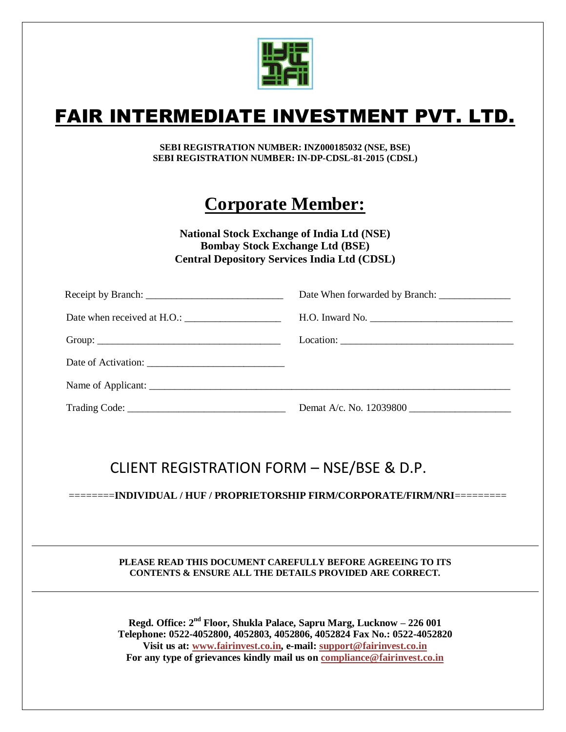

## FAIR INTERMEDIATE INVESTMENT PVT. LTD.

**SEBI REGISTRATION NUMBER: INZ000185032 (NSE, BSE) SEBI REGISTRATION NUMBER: IN-DP-CDSL-81-2015 (CDSL)**

## **Corporate Member:**

**National Stock Exchange of India Ltd (NSE) Bombay Stock Exchange Ltd (BSE) Central Depository Services India Ltd (CDSL)**

| Demat A/c. No. $12039800$ |
|---------------------------|

### CLIENT REGISTRATION FORM – NSE/BSE & D.P.

========**INDIVIDUAL / HUF / PROPRIETORSHIP FIRM/CORPORATE/FIRM/NRI**=========

### **PLEASE READ THIS DOCUMENT CAREFULLY BEFORE AGREEING TO ITS CONTENTS & ENSURE ALL THE DETAILS PROVIDED ARE CORRECT.**

**Regd. Office: 2 nd Floor, Shukla Palace, Sapru Marg, Lucknow – 226 001 Telephone: 0522-4052800, 4052803, 4052806, 4052824 Fax No.: 0522-4052820 Visit us at: [www.fairinvest.co.in,](http://www.fairinvest.co.in/) e-mail: [support@fairinvest.co.in](mailto:support@fairinvest.co.in) For any type of grievances kindly mail us on [compliance@fairinvest.co.in](mailto:compliance@fairinvest.co.in)**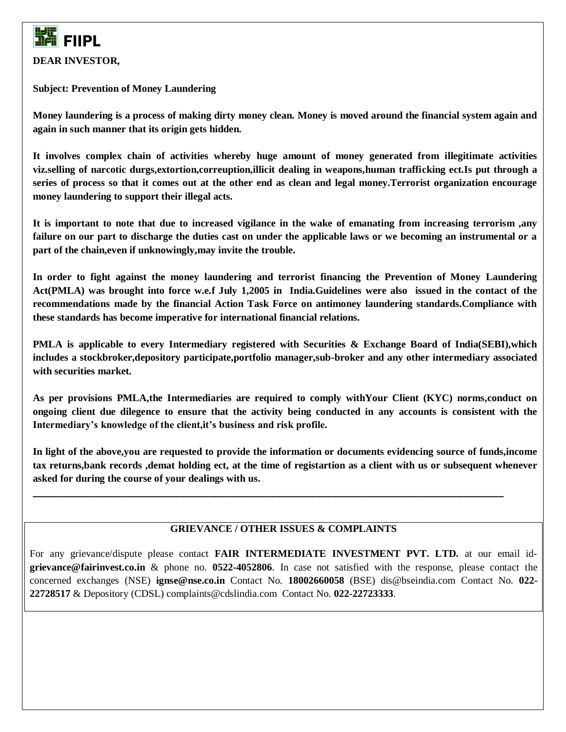

**DEAR INVESTOR,**

**Subject: Prevention of Money Laundering**

**Money laundering is a process of making dirty money clean. Money is moved around the financial system again and again in such manner that its origin gets hidden.**

**It involves complex chain of activities whereby huge amount of money generated from illegitimate activities viz.selling of narcotic durgs,extortion,correuption,illicit dealing in weapons,human trafficking ect.Is put through a series of process so that it comes out at the other end as clean and legal money.Terrorist organization encourage money laundering to support their illegal acts.**

**It is important to note that due to increased vigilance in the wake of emanating from increasing terrorism ,any failure on our part to discharge the duties cast on under the applicable laws or we becoming an instrumental or a part of the chain,even if unknowingly,may invite the trouble.**

**In order to fight against the money laundering and terrorist financing the Prevention of Money Laundering Act(PMLA) was brought into force w.e.f July 1,2005 in India.Guidelines were also issued in the contact of the recommendations made by the financial Action Task Force on antimoney laundering standards.Compliance with these standards has become imperative for international financial relations.**

**PMLA is applicable to every Intermediary registered with Securities & Exchange Board of India(SEBI),which includes a stockbroker,depository participate,portfolio manager,sub-broker and any other intermediary associated with securities market.**

**As per provisions PMLA,the Intermediaries are required to comply withYour Client (KYC) norms,conduct on ongoing client due dilegence to ensure that the activity being conducted in any accounts is consistent with the Intermediary's knowledge of the client,it's business and risk profile.**

**In light of the above,you are requested to provide the information or documents evidencing source of funds,income tax returns,bank records ,demat holding ect, at the time of registartion as a client with us or subsequent whenever asked for during the course of your dealings with us.**

**\_\_\_\_\_\_\_\_\_\_\_\_\_\_\_\_\_\_\_\_\_\_\_\_\_\_\_\_\_\_\_\_\_\_\_\_\_\_\_\_\_\_\_\_\_\_\_\_\_\_\_\_\_\_\_\_\_\_\_\_\_\_\_\_\_\_\_\_\_\_\_\_\_\_\_\_\_\_\_\_\_\_\_\_\_\_\_\_\_\_\_\_\_**

### **GRIEVANCE / OTHER ISSUES & COMPLAINTS**

For any grievance/dispute please contact **FAIR INTERMEDIATE INVESTMENT PVT. LTD.** at our email id**[grievance@fairinvest.co.in](mailto:grievance@fairinvest.co.in)** & phone no. **0522-4052806**. In case not satisfied with the response, please contact the concerned exchanges (NSE) **[ignse@nse.co.in](mailto:ignse@nse.co.in)** Contact No. **18002660058** (BSE) [dis@bseindia.com](mailto:is@bseindia.com) Contact No. **022- 22728517** & Depository (CDSL) complaints@cdslindia.com Contact No. **022-22723333**.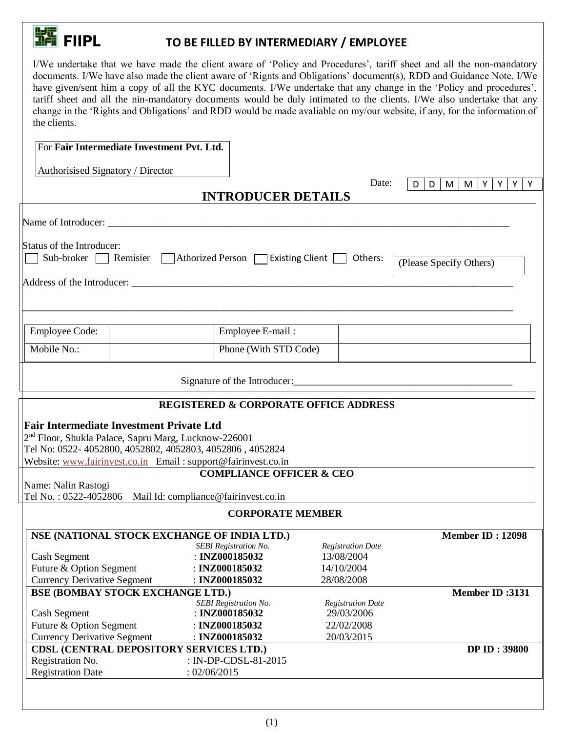## **FILLED BY INTERMEDIARY / EMPLOYEE**

I/We undertake that we have made the client aware of 'Policy and Procedures', tariff sheet and all the non-mandatory documents. I/We have also made the client aware of 'Rignts and Obligations' document(s), RDD and Guidance Note. I/We have given/sent him a copy of all the KYC documents. I/We undertake that any change in the 'Policy and procedures', tariff sheet and all the nin-mandatory documents would be duly intimated to the clients. I/We also undertake that any change in the 'Rights and Obligations' and RDD would be made avaliable on my/our website, if any, for the information of the clients.

|                                    | For Fair Intermediate Investment Pvt. Ltd.                                                                                    |                                                             |                                   |
|------------------------------------|-------------------------------------------------------------------------------------------------------------------------------|-------------------------------------------------------------|-----------------------------------|
|                                    |                                                                                                                               |                                                             |                                   |
| Authorisised Signatory / Director  |                                                                                                                               |                                                             | Date:                             |
|                                    |                                                                                                                               | <b>INTRODUCER DETAILS</b>                                   | M Y<br>Y<br>Y<br>D<br>D<br>M<br>Y |
|                                    |                                                                                                                               |                                                             |                                   |
|                                    |                                                                                                                               |                                                             |                                   |
|                                    |                                                                                                                               |                                                             |                                   |
| Status of the Introducer:          |                                                                                                                               | Sub-broker Remisier Athorized Person Risiting Client Chers: |                                   |
|                                    |                                                                                                                               |                                                             | (Please Specify Others)           |
|                                    |                                                                                                                               |                                                             |                                   |
|                                    |                                                                                                                               |                                                             |                                   |
|                                    |                                                                                                                               |                                                             |                                   |
| <b>Employee Code:</b>              |                                                                                                                               | Employee E-mail:                                            |                                   |
|                                    |                                                                                                                               |                                                             |                                   |
| Mobile No.:                        |                                                                                                                               | Phone (With STD Code)                                       |                                   |
|                                    |                                                                                                                               |                                                             |                                   |
|                                    |                                                                                                                               |                                                             |                                   |
|                                    |                                                                                                                               | <b>REGISTERED &amp; CORPORATE OFFICE ADDRESS</b>            |                                   |
|                                    |                                                                                                                               |                                                             |                                   |
|                                    | <b>Fair Intermediate Investment Private Ltd</b>                                                                               |                                                             |                                   |
|                                    | 2 <sup>nd</sup> Floor, Shukla Palace, Sapru Marg, Lucknow-226001<br>Tel No: 0522- 4052800, 4052802, 4052803, 4052806, 4052824 |                                                             |                                   |
|                                    | Website: www.fairinvest.co.in Email: support@fairinvest.co.in                                                                 |                                                             |                                   |
|                                    |                                                                                                                               | <b>COMPLIANCE OFFICER &amp; CEO</b>                         |                                   |
| Name: Nalin Rastogi                |                                                                                                                               |                                                             |                                   |
|                                    | Tel No.: 0522-4052806 Mail Id: compliance@fairinvest.co.in                                                                    |                                                             |                                   |
|                                    |                                                                                                                               | <b>CORPORATE MEMBER</b>                                     |                                   |
|                                    | NSE (NATIONAL STOCK EXCHANGE OF INDIA LTD.)                                                                                   |                                                             | <b>Member ID: 12098</b>           |
|                                    |                                                                                                                               | <b>SEBI</b> Registration No.                                | <b>Registration Date</b>          |
| <b>Cash Segment</b>                |                                                                                                                               | : INZ000185032                                              | 13/08/2004                        |
| Future & Option Segment            |                                                                                                                               | : INZ000185032                                              | 14/10/2004                        |
| <b>Currency Derivative Segment</b> |                                                                                                                               | : INZ000185032                                              | 28/08/2008                        |
|                                    | <b>BSE (BOMBAY STOCK EXCHANGE LTD.)</b>                                                                                       |                                                             | <b>Member ID:3131</b>             |
|                                    |                                                                                                                               | <b>SEBI</b> Registration No.                                | <b>Registration Date</b>          |
| <b>Cash Segment</b>                |                                                                                                                               | : INZ000185032                                              | 29/03/2006                        |
| Future & Option Segment            |                                                                                                                               | : INZ000185032                                              | 22/02/2008                        |
| <b>Currency Derivative Segment</b> | <b>CDSL (CENTRAL DEPOSITORY SERVICES LTD.)</b>                                                                                | : INZ000185032                                              | 20/03/2015<br><b>DP ID: 39800</b> |
| Registration No.                   |                                                                                                                               | : IN-DP-CDSL-81-2015                                        |                                   |
| <b>Registration Date</b>           | : 02/06/2015                                                                                                                  |                                                             |                                   |
|                                    |                                                                                                                               |                                                             |                                   |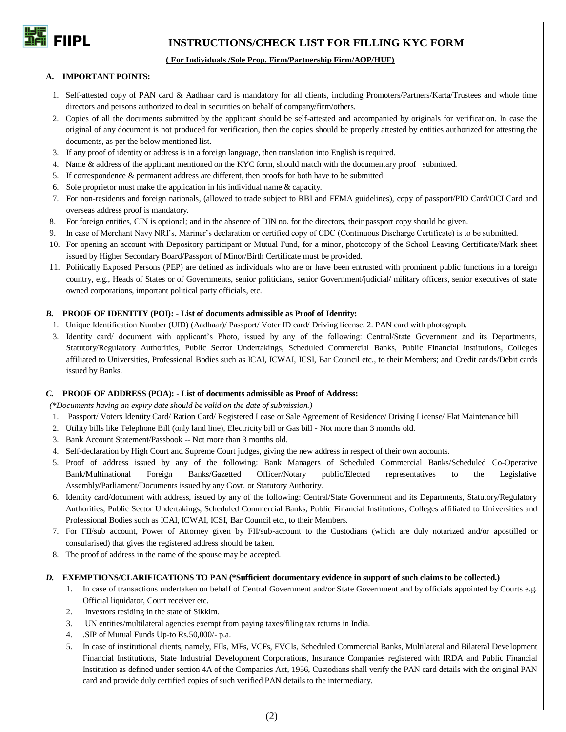

## **FIFICALLY EVALUATE:** INSTRUCTIONS/CHECK LIST FOR FILLING KYC FORM

### **( For Individuals /Sole Prop. Firm/Partnership Firm/AOP/HUF)**

### **A. IMPORTANT POINTS:**

- 1. Self-attested copy of PAN card & Aadhaar card is mandatory for all clients, including Promoters/Partners/Karta/Trustees and whole time directors and persons authorized to deal in securities on behalf of company/firm/others.
- 2. Copies of all the documents submitted by the applicant should be self-attested and accompanied by originals for verification. In case the original of any document is not produced for verification, then the copies should be properly attested by entities authorized for attesting the documents, as per the below mentioned list.
- 3. If any proof of identity or address is in a foreign language, then translation into English is required.
- 4. Name & address of the applicant mentioned on the KYC form, should match with the documentary proof submitted.
- 5. If correspondence & permanent address are different, then proofs for both have to be submitted.
- 6. Sole proprietor must make the application in his individual name & capacity.
- 7. For non-residents and foreign nationals, (allowed to trade subject to RBI and FEMA guidelines), copy of passport/PIO Card/OCI Card and overseas address proof is mandatory.
- 8. For foreign entities, CIN is optional; and in the absence of DIN no. for the directors, their passport copy should be given.
- 9. In case of Merchant Navy NRI's, Mariner's declaration or certified copy of CDC (Continuous Discharge Certificate) is to be submitted.
- 10. For opening an account with Depository participant or Mutual Fund, for a minor, photocopy of the School Leaving Certificate/Mark sheet issued by Higher Secondary Board/Passport of Minor/Birth Certificate must be provided.
- 11. Politically Exposed Persons (PEP) are defined as individuals who are or have been entrusted with prominent public functions in a foreign country, e.g., Heads of States or of Governments, senior politicians, senior Government/judicial/ military officers, senior executives of state owned corporations, important political party officials, etc.

### *B.* **PROOF OF IDENTITY (POI): - List of documents admissible as Proof of Identity:**

- 1. Unique Identification Number (UID) (Aadhaar)/ Passport/ Voter ID card/ Driving license. 2. PAN card with photograph.
- 3. Identity card/ document with applicant's Photo, issued by any of the following: Central/State Government and its Departments, Statutory/Regulatory Authorities, Public Sector Undertakings, Scheduled Commercial Banks, Public Financial Institutions, Colleges affiliated to Universities, Professional Bodies such as ICAI, ICWAI, ICSI, Bar Council etc., to their Members; and Credit cards/Debit cards issued by Banks.

### *C.* **PROOF OF ADDRESS (POA): - List of documents admissible as Proof of Address:**

*(\*Documents having an expiry date should be valid on the date of submission.)* 

- 1. Passport/ Voters Identity Card/ Ration Card/ Registered Lease or Sale Agreement of Residence/ Driving License/ Flat Maintenance bill
- 2. Utility bills like Telephone Bill (only land line), Electricity bill or Gas bill **-** Not more than 3 months old.
- 3. Bank Account Statement/Passbook -- Not more than 3 months old.
- 4. Self-declaration by High Court and Supreme Court judges, giving the new address in respect of their own accounts.
- 5. Proof of address issued by any of the following: Bank Managers of Scheduled Commercial Banks/Scheduled Co-Operative Bank/Multinational Foreign Banks/Gazetted Officer/Notary public/Elected representatives to the Legislative Assembly/Parliament/Documents issued by any Govt. or Statutory Authority.
- 6. Identity card/document with address, issued by any of the following: Central/State Government and its Departments, Statutory/Regulatory Authorities, Public Sector Undertakings, Scheduled Commercial Banks, Public Financial Institutions, Colleges affiliated to Universities and Professional Bodies such as ICAI, ICWAI, ICSI, Bar Council etc., to their Members.
- 7. For FII/sub account, Power of Attorney given by FII/sub-account to the Custodians (which are duly notarized and/or apostilled or consularised) that gives the registered address should be taken.
- 8. The proof of address in the name of the spouse may be accepted.

### *D.* **EXEMPTIONS/CLARIFICATIONS TO PAN (\*Sufficient documentary evidence in support of such claims to be collected.)**

- 1. In case of transactions undertaken on behalf of Central Government and/or State Government and by officials appointed by Courts e.g. Official liquidator, Court receiver etc.
- 2. Investors residing in the state of Sikkim.
- 3. UN entities/multilateral agencies exempt from paying taxes/filing tax returns in India.
- 4. .SIP of Mutual Funds Up-to Rs.50,000/- p.a.
- 5. In case of institutional clients, namely, FIIs, MFs, VCFs, FVCIs, Scheduled Commercial Banks, Multilateral and Bilateral Development Financial Institutions, State Industrial Development Corporations, Insurance Companies registered with IRDA and Public Financial Institution as defined under section 4A of the Companies Act, 1956, Custodians shall verify the PAN card details with the original PAN card and provide duly certified copies of such verified PAN details to the intermediary.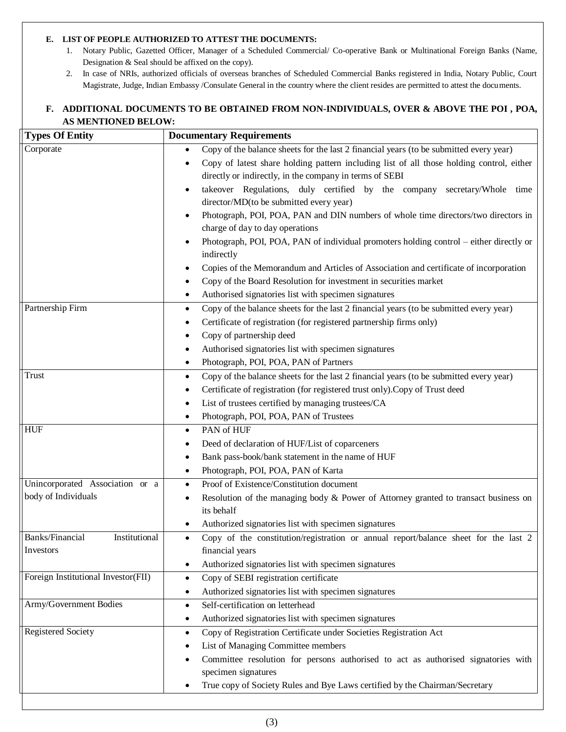### **E. LIST OF PEOPLE AUTHORIZED TO ATTEST THE DOCUMENTS:**

- 1. Notary Public, Gazetted Officer, Manager of a Scheduled Commercial/ Co-operative Bank or Multinational Foreign Banks (Name, Designation & Seal should be affixed on the copy).
- 2. In case of NRIs, authorized officials of overseas branches of Scheduled Commercial Banks registered in India, Notary Public, Court Magistrate, Judge, Indian Embassy /Consulate General in the country where the client resides are permitted to attest the documents.

### **F. ADDITIONAL DOCUMENTS TO BE OBTAINED FROM NON-INDIVIDUALS, OVER & ABOVE THE POI , POA, AS MENTIONED BELOW:**

| <b>Types Of Entity</b>              | <b>Documentary Requirements</b>                                                                                     |
|-------------------------------------|---------------------------------------------------------------------------------------------------------------------|
| Corporate                           | Copy of the balance sheets for the last 2 financial years (to be submitted every year)                              |
|                                     | Copy of latest share holding pattern including list of all those holding control, either                            |
|                                     | directly or indirectly, in the company in terms of SEBI                                                             |
|                                     | takeover Regulations, duly certified by the company secretary/Whole time                                            |
|                                     | director/MD(to be submitted every year)                                                                             |
|                                     | Photograph, POI, POA, PAN and DIN numbers of whole time directors/two directors in                                  |
|                                     | charge of day to day operations                                                                                     |
|                                     | Photograph, POI, POA, PAN of individual promoters holding control – either directly or                              |
|                                     | indirectly                                                                                                          |
|                                     | Copies of the Memorandum and Articles of Association and certificate of incorporation                               |
|                                     | Copy of the Board Resolution for investment in securities market                                                    |
|                                     | Authorised signatories list with specimen signatures<br>٠                                                           |
| Partnership Firm                    | Copy of the balance sheets for the last 2 financial years (to be submitted every year)<br>$\bullet$                 |
|                                     | Certificate of registration (for registered partnership firms only)                                                 |
|                                     | Copy of partnership deed                                                                                            |
|                                     | Authorised signatories list with specimen signatures<br>٠                                                           |
|                                     | Photograph, POI, POA, PAN of Partners<br>٠                                                                          |
| Trust                               | Copy of the balance sheets for the last 2 financial years (to be submitted every year)<br>٠                         |
|                                     | Certificate of registration (for registered trust only). Copy of Trust deed                                         |
|                                     | List of trustees certified by managing trustees/CA                                                                  |
|                                     | Photograph, POI, POA, PAN of Trustees<br>٠                                                                          |
| <b>HUF</b>                          | PAN of HUF<br>$\bullet$                                                                                             |
|                                     | Deed of declaration of HUF/List of coparceners                                                                      |
|                                     | Bank pass-book/bank statement in the name of HUF<br>٠                                                               |
|                                     | Photograph, POI, POA, PAN of Karta<br>٠                                                                             |
| Unincorporated Association or a     | Proof of Existence/Constitution document<br>$\bullet$                                                               |
| body of Individuals                 | Resolution of the managing body & Power of Attorney granted to transact business on                                 |
|                                     | its behalf                                                                                                          |
| Banks/Financial                     | Authorized signatories list with specimen signatures                                                                |
| Institutional<br>Investors          | Copy of the constitution/registration or annual report/balance sheet for the last 2<br>$\bullet$<br>financial years |
|                                     | Authorized signatories list with specimen signatures                                                                |
| Foreign Institutional Investor(FII) | Copy of SEBI registration certificate<br>٠                                                                          |
|                                     | Authorized signatories list with specimen signatures                                                                |
| Army/Government Bodies              | Self-certification on letterhead<br>$\bullet$                                                                       |
|                                     | Authorized signatories list with specimen signatures<br>٠                                                           |
| Registered Society                  | Copy of Registration Certificate under Societies Registration Act<br>٠                                              |
|                                     | List of Managing Committee members                                                                                  |
|                                     | Committee resolution for persons authorised to act as authorised signatories with                                   |
|                                     | specimen signatures                                                                                                 |
|                                     | True copy of Society Rules and Bye Laws certified by the Chairman/Secretary                                         |
|                                     |                                                                                                                     |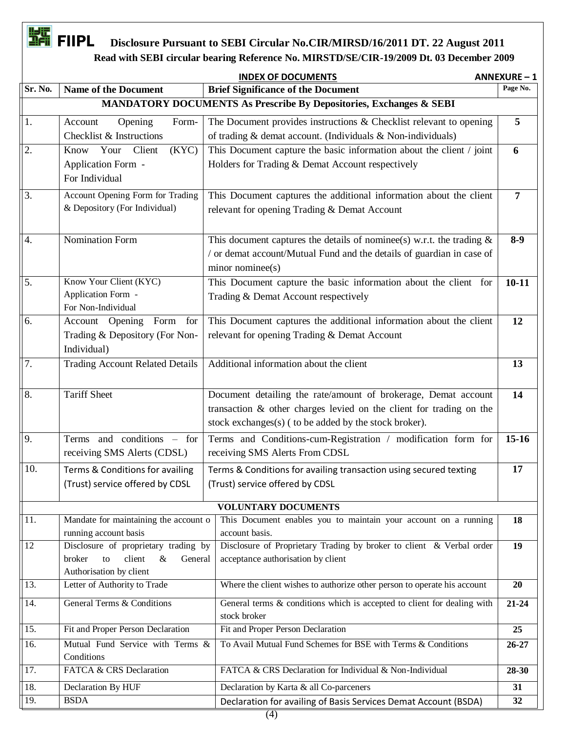## **FIFIC FIIPL** Disclosure Pursuant to SEBI Circular No.CIR/MIRSD/16/2011 DT. 22 August 2011  **Read with SEBI circular bearing Reference No. MIRSTD/SE/CIR-19/2009 Dt. 03 December 2009**

|                  | <b>INDEX OF DOCUMENTS</b>                                                         | <b>ANNEXURE-1</b>                                                                                                  |                |
|------------------|-----------------------------------------------------------------------------------|--------------------------------------------------------------------------------------------------------------------|----------------|
| Sr. No.          | <b>Name of the Document</b>                                                       | <b>Brief Significance of the Document</b>                                                                          | Page No.       |
|                  |                                                                                   | MANDATORY DOCUMENTS As Prescribe By Depositories, Exchanges & SEBI                                                 |                |
| 1.               | Account<br>Opening<br>Form-                                                       | The Document provides instructions & Checklist relevant to opening                                                 | 5              |
|                  | Checklist & Instructions                                                          | of trading & demat account. (Individuals & Non-individuals)                                                        |                |
| 2.               | Your<br>Client<br>Know<br>(KYC)                                                   | This Document capture the basic information about the client / joint                                               | 6              |
|                  | Application Form -                                                                | Holders for Trading & Demat Account respectively                                                                   |                |
|                  | For Individual                                                                    |                                                                                                                    |                |
| 3.               | Account Opening Form for Trading                                                  | This Document captures the additional information about the client                                                 | $\overline{7}$ |
|                  | & Depository (For Individual)                                                     | relevant for opening Trading & Demat Account                                                                       |                |
|                  |                                                                                   |                                                                                                                    |                |
| 4.               | Nomination Form                                                                   | This document captures the details of nominee(s) w.r.t. the trading $\&$                                           | $8-9$          |
|                  |                                                                                   | / or demat account/Mutual Fund and the details of guardian in case of                                              |                |
|                  |                                                                                   | minor nominee(s)                                                                                                   |                |
| 5.               | Know Your Client (KYC)                                                            | This Document capture the basic information about the client for                                                   | $10 - 11$      |
|                  | Application Form -                                                                | Trading & Demat Account respectively                                                                               |                |
|                  | For Non-Individual                                                                |                                                                                                                    |                |
| 6.               | Account Opening<br>Form<br>for                                                    | This Document captures the additional information about the client<br>relevant for opening Trading & Demat Account | 12             |
|                  | Trading & Depository (For Non-<br>Individual)                                     |                                                                                                                    |                |
| $\overline{7}$ . | <b>Trading Account Related Details</b>                                            | Additional information about the client                                                                            | 13             |
|                  |                                                                                   |                                                                                                                    |                |
| 8.               | <b>Tariff Sheet</b>                                                               | Document detailing the rate/amount of brokerage, Demat account                                                     | 14             |
|                  |                                                                                   | transaction & other charges levied on the client for trading on the                                                |                |
|                  |                                                                                   | stock exchanges(s) ( to be added by the stock broker).                                                             |                |
| 9.               | and conditions – for<br>Terms                                                     | Terms and Conditions-cum-Registration / modification form for                                                      | $15 - 16$      |
|                  | receiving SMS Alerts (CDSL)                                                       | receiving SMS Alerts From CDSL                                                                                     |                |
| 10.              |                                                                                   |                                                                                                                    | 17             |
|                  | Terms & Conditions for availing                                                   | Terms & Conditions for availing transaction using secured texting                                                  |                |
|                  | (Trust) service offered by CDSL                                                   | (Trust) service offered by CDSL                                                                                    |                |
|                  |                                                                                   | <b>VOLUNTARY DOCUMENTS</b>                                                                                         |                |
| $ 11$ .          | Mandate for maintaining the account o                                             | This Document enables you to maintain your account on a running                                                    | 18             |
|                  | running account basis                                                             | account basis.                                                                                                     |                |
| 12               | Disclosure of proprietary trading by<br>client<br>broker<br>$\&$<br>General<br>to | Disclosure of Proprietary Trading by broker to client & Verbal order<br>acceptance authorisation by client         | 19             |
|                  | Authorisation by client                                                           |                                                                                                                    |                |
| 13.              | Letter of Authority to Trade                                                      | Where the client wishes to authorize other person to operate his account                                           | 20             |
| 14.              | <b>General Terms &amp; Conditions</b>                                             | General terms & conditions which is accepted to client for dealing with                                            | $21 - 24$      |
|                  |                                                                                   | stock broker                                                                                                       |                |
| 15.              | Fit and Proper Person Declaration                                                 | Fit and Proper Person Declaration                                                                                  | 25             |
| 16.              | Mutual Fund Service with Terms &                                                  | To Avail Mutual Fund Schemes for BSE with Terms & Conditions                                                       | $26 - 27$      |
|                  | Conditions                                                                        |                                                                                                                    |                |
| 17.              | FATCA & CRS Declaration                                                           | FATCA & CRS Declaration for Individual & Non-Individual                                                            | 28-30          |
| 18.              | Declaration By HUF                                                                | Declaration by Karta & all Co-parceners                                                                            | 31             |
| 19.              | <b>BSDA</b>                                                                       | Declaration for availing of Basis Services Demat Account (BSDA)                                                    | 32             |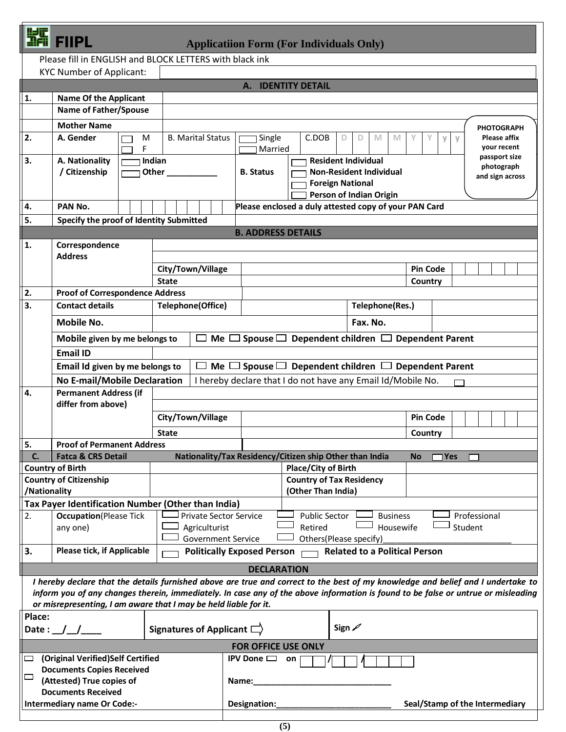| ı |  |
|---|--|
|   |  |

**PL** Applicatiion Form (For Individuals Only)

|              | Please fill in ENGLISH and BLOCK LETTERS with black ink                                                                                                                                                                                                               |                                  |                               |                                                                           |                                                         |                         |                                                                           |                 |                 |                                    |  |
|--------------|-----------------------------------------------------------------------------------------------------------------------------------------------------------------------------------------------------------------------------------------------------------------------|----------------------------------|-------------------------------|---------------------------------------------------------------------------|---------------------------------------------------------|-------------------------|---------------------------------------------------------------------------|-----------------|-----------------|------------------------------------|--|
|              | <b>KYC Number of Applicant:</b>                                                                                                                                                                                                                                       |                                  |                               |                                                                           |                                                         |                         |                                                                           |                 |                 |                                    |  |
|              |                                                                                                                                                                                                                                                                       |                                  |                               |                                                                           | A. IDENTITY DETAIL                                      |                         |                                                                           |                 |                 |                                    |  |
| 1.           | <b>Name Of the Applicant</b>                                                                                                                                                                                                                                          |                                  |                               |                                                                           |                                                         |                         |                                                                           |                 |                 |                                    |  |
|              | <b>Name of Father/Spouse</b>                                                                                                                                                                                                                                          |                                  |                               |                                                                           |                                                         |                         |                                                                           |                 |                 |                                    |  |
|              | <b>Mother Name</b>                                                                                                                                                                                                                                                    |                                  |                               |                                                                           |                                                         |                         |                                                                           |                 |                 | <b>PHOTOGRAPH</b>                  |  |
| 2.           | A. Gender<br>F                                                                                                                                                                                                                                                        | <b>B. Marital Status</b><br>M    |                               | Single<br>Married                                                         | C.DOB                                                   | D                       | M<br>M<br>D                                                               |                 | V<br>$\vee$     | <b>Please affix</b><br>your recent |  |
| 3.           | A. Nationality                                                                                                                                                                                                                                                        | Indian                           |                               |                                                                           |                                                         |                         | <b>Resident Individual</b>                                                |                 |                 | passport size<br>photograph        |  |
|              | / Citizenship                                                                                                                                                                                                                                                         | Other                            |                               | <b>Non-Resident Individual</b><br><b>B.</b> Status                        |                                                         |                         |                                                                           |                 |                 | and sign across                    |  |
|              |                                                                                                                                                                                                                                                                       |                                  |                               |                                                                           |                                                         | <b>Foreign National</b> | Person of Indian Origin                                                   |                 |                 |                                    |  |
| 4.           | PAN No.                                                                                                                                                                                                                                                               |                                  |                               |                                                                           |                                                         |                         | Please enclosed a duly attested copy of your PAN Card                     |                 |                 |                                    |  |
| 5.           | Specify the proof of Identity Submitted                                                                                                                                                                                                                               |                                  |                               |                                                                           |                                                         |                         |                                                                           |                 |                 |                                    |  |
|              |                                                                                                                                                                                                                                                                       |                                  |                               | <b>B. ADDRESS DETAILS</b>                                                 |                                                         |                         |                                                                           |                 |                 |                                    |  |
| 1.           | Correspondence                                                                                                                                                                                                                                                        |                                  |                               |                                                                           |                                                         |                         |                                                                           |                 |                 |                                    |  |
|              | <b>Address</b>                                                                                                                                                                                                                                                        |                                  |                               |                                                                           |                                                         |                         |                                                                           |                 |                 |                                    |  |
|              |                                                                                                                                                                                                                                                                       | City/Town/Village                |                               |                                                                           |                                                         |                         |                                                                           | <b>Pin Code</b> |                 |                                    |  |
|              |                                                                                                                                                                                                                                                                       | <b>State</b>                     |                               |                                                                           |                                                         |                         |                                                                           | Country         |                 |                                    |  |
| 2.<br>3.     | <b>Proof of Correspondence Address</b><br><b>Contact details</b>                                                                                                                                                                                                      | <b>Telephone(Office)</b>         |                               |                                                                           |                                                         |                         | Telephone(Res.)                                                           |                 |                 |                                    |  |
|              | <b>Mobile No.</b>                                                                                                                                                                                                                                                     |                                  |                               |                                                                           |                                                         |                         | Fax. No.                                                                  |                 |                 |                                    |  |
|              | Mobile given by me belongs to                                                                                                                                                                                                                                         |                                  |                               |                                                                           |                                                         |                         | $\Box$ Me $\Box$ Spouse $\Box$ Dependent children $\Box$ Dependent Parent |                 |                 |                                    |  |
|              | <b>Email ID</b>                                                                                                                                                                                                                                                       |                                  |                               |                                                                           |                                                         |                         |                                                                           |                 |                 |                                    |  |
|              | Email Id given by me belongs to                                                                                                                                                                                                                                       |                                  |                               | $\Box$ Me $\Box$ Spouse $\Box$ Dependent children $\Box$ Dependent Parent |                                                         |                         |                                                                           |                 |                 |                                    |  |
|              |                                                                                                                                                                                                                                                                       |                                  |                               | I hereby declare that I do not have any Email Id/Mobile No.               |                                                         |                         |                                                                           |                 |                 |                                    |  |
| 4.           | No E-mail/Mobile Declaration<br><b>Permanent Address (if</b>                                                                                                                                                                                                          |                                  |                               |                                                                           |                                                         |                         |                                                                           |                 |                 |                                    |  |
|              | differ from above)                                                                                                                                                                                                                                                    |                                  |                               |                                                                           |                                                         |                         |                                                                           |                 |                 |                                    |  |
|              |                                                                                                                                                                                                                                                                       | City/Town/Village                |                               |                                                                           |                                                         |                         |                                                                           |                 | <b>Pin Code</b> |                                    |  |
|              |                                                                                                                                                                                                                                                                       | <b>State</b>                     |                               | Country                                                                   |                                                         |                         |                                                                           |                 |                 |                                    |  |
| 5.           | <b>Proof of Permanent Address</b>                                                                                                                                                                                                                                     |                                  |                               |                                                                           |                                                         |                         |                                                                           |                 |                 |                                    |  |
| C.           | <b>Fatca &amp; CRS Detail</b>                                                                                                                                                                                                                                         |                                  |                               |                                                                           | Nationality/Tax Residency/Citizen ship Other than India |                         |                                                                           | <b>No</b>       | 1Yes            |                                    |  |
|              | <b>Country of Birth</b>                                                                                                                                                                                                                                               |                                  |                               |                                                                           | <b>Place/City of Birth</b>                              |                         |                                                                           |                 |                 |                                    |  |
|              | <b>Country of Citizenship</b>                                                                                                                                                                                                                                         |                                  |                               |                                                                           | <b>Country of Tax Residency</b>                         |                         |                                                                           |                 |                 |                                    |  |
| /Nationality | Tax Payer Identification Number (Other than India)                                                                                                                                                                                                                    |                                  |                               |                                                                           | (Other Than India)                                      |                         |                                                                           |                 |                 |                                    |  |
| 2.           | <b>Occupation</b> (Please Tick                                                                                                                                                                                                                                        |                                  | <b>Private Sector Service</b> |                                                                           | <b>Public Sector</b>                                    |                         | <b>Business</b>                                                           |                 |                 | Professional                       |  |
|              | any one)                                                                                                                                                                                                                                                              |                                  | Agriculturist                 |                                                                           | Retired                                                 |                         | Housewife                                                                 |                 |                 | Student                            |  |
|              |                                                                                                                                                                                                                                                                       |                                  | <b>Government Service</b>     |                                                                           |                                                         |                         | Others(Please specify)                                                    |                 |                 |                                    |  |
| 3.           | <b>Please tick, if Applicable</b>                                                                                                                                                                                                                                     |                                  |                               | <b>Politically Exposed Person</b>                                         |                                                         |                         | <b>Related to a Political Person</b>                                      |                 |                 |                                    |  |
|              |                                                                                                                                                                                                                                                                       |                                  |                               | <b>DECLARATION</b>                                                        |                                                         |                         |                                                                           |                 |                 |                                    |  |
|              | I hereby declare that the details furnished above are true and correct to the best of my knowledge and belief and I undertake to<br>inform you of any changes therein, immediately. In case any of the above information is found to be false or untrue or misleading |                                  |                               |                                                                           |                                                         |                         |                                                                           |                 |                 |                                    |  |
|              | or misrepresenting, I am aware that I may be held liable for it.                                                                                                                                                                                                      |                                  |                               |                                                                           |                                                         |                         |                                                                           |                 |                 |                                    |  |
| Place:       |                                                                                                                                                                                                                                                                       |                                  |                               |                                                                           |                                                         |                         |                                                                           |                 |                 |                                    |  |
|              | Date : $\angle$ $\angle$                                                                                                                                                                                                                                              | <b>Signatures of Applicant [</b> |                               |                                                                           |                                                         | Sign $\mathscr{D}$      |                                                                           |                 |                 |                                    |  |
|              |                                                                                                                                                                                                                                                                       |                                  |                               | <b>FOR OFFICE USE ONLY</b>                                                |                                                         |                         |                                                                           |                 |                 |                                    |  |
|              | (Original Verified)Self Certified                                                                                                                                                                                                                                     |                                  |                               | IPV Done $\Box$ on                                                        |                                                         |                         |                                                                           |                 |                 |                                    |  |
|              | <b>Documents Copies Received</b>                                                                                                                                                                                                                                      |                                  |                               |                                                                           |                                                         |                         |                                                                           |                 |                 |                                    |  |
|              | (Attested) True copies of                                                                                                                                                                                                                                             |                                  |                               | Name:                                                                     |                                                         |                         |                                                                           |                 |                 |                                    |  |
|              |                                                                                                                                                                                                                                                                       |                                  |                               |                                                                           |                                                         |                         |                                                                           |                 |                 |                                    |  |
|              |                                                                                                                                                                                                                                                                       |                                  |                               |                                                                           |                                                         |                         |                                                                           |                 |                 |                                    |  |
|              | <b>Documents Received</b>                                                                                                                                                                                                                                             |                                  |                               |                                                                           |                                                         |                         |                                                                           |                 |                 |                                    |  |
|              | Intermediary name Or Code:-                                                                                                                                                                                                                                           |                                  |                               | Designation:                                                              |                                                         |                         |                                                                           |                 |                 | Seal/Stamp of the Intermediary     |  |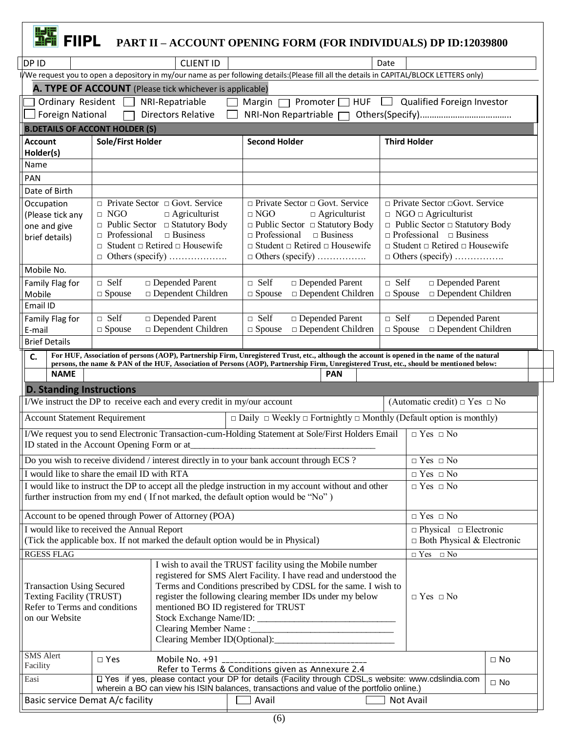| <b>과행 FIIPL</b>                                                                                                                                                                                                   |                     |                                                                                           | PART II - ACCOUNT OPENING FORM (FOR INDIVIDUALS) DP ID:12039800                                                                                                                                                                                                                          |                                                                           |                                                                                                                                                                       |  |  |  |  |  |  |  |  |  |  |
|-------------------------------------------------------------------------------------------------------------------------------------------------------------------------------------------------------------------|---------------------|-------------------------------------------------------------------------------------------|------------------------------------------------------------------------------------------------------------------------------------------------------------------------------------------------------------------------------------------------------------------------------------------|---------------------------------------------------------------------------|-----------------------------------------------------------------------------------------------------------------------------------------------------------------------|--|--|--|--|--|--|--|--|--|--|
| DP ID                                                                                                                                                                                                             |                     | <b>CLIENT ID</b>                                                                          |                                                                                                                                                                                                                                                                                          | Date                                                                      |                                                                                                                                                                       |  |  |  |  |  |  |  |  |  |  |
|                                                                                                                                                                                                                   |                     |                                                                                           | I/We request you to open a depository in my/our name as per following details:(Please fill all the details in CAPITAL/BLOCK LETTERS only)                                                                                                                                                |                                                                           |                                                                                                                                                                       |  |  |  |  |  |  |  |  |  |  |
|                                                                                                                                                                                                                   |                     | A. TYPE OF ACCOUNT (Please tick whichever is applicable)                                  |                                                                                                                                                                                                                                                                                          |                                                                           |                                                                                                                                                                       |  |  |  |  |  |  |  |  |  |  |
| Ordinary Resident                                                                                                                                                                                                 |                     | NRI-Repatriable<br>$\mathbf{I}$                                                           | Margin $\Box$ Promoter $\Box$ HUF $\Box$ Qualified Foreign Investor                                                                                                                                                                                                                      |                                                                           |                                                                                                                                                                       |  |  |  |  |  |  |  |  |  |  |
| <b>Foreign National</b>                                                                                                                                                                                           |                     | <b>Directors Relative</b>                                                                 | NRI-Non Repartriable $\Box$                                                                                                                                                                                                                                                              |                                                                           |                                                                                                                                                                       |  |  |  |  |  |  |  |  |  |  |
| <b>B.DETAILS OF ACCONT HOLDER (S)</b>                                                                                                                                                                             |                     |                                                                                           |                                                                                                                                                                                                                                                                                          |                                                                           |                                                                                                                                                                       |  |  |  |  |  |  |  |  |  |  |
| <b>Account</b>                                                                                                                                                                                                    | Sole/First Holder   |                                                                                           | <b>Second Holder</b>                                                                                                                                                                                                                                                                     | <b>Third Holder</b>                                                       |                                                                                                                                                                       |  |  |  |  |  |  |  |  |  |  |
| Holder(s)<br>Name                                                                                                                                                                                                 |                     |                                                                                           |                                                                                                                                                                                                                                                                                          |                                                                           |                                                                                                                                                                       |  |  |  |  |  |  |  |  |  |  |
| <b>PAN</b>                                                                                                                                                                                                        |                     |                                                                                           |                                                                                                                                                                                                                                                                                          |                                                                           |                                                                                                                                                                       |  |  |  |  |  |  |  |  |  |  |
| Date of Birth                                                                                                                                                                                                     |                     |                                                                                           |                                                                                                                                                                                                                                                                                          |                                                                           |                                                                                                                                                                       |  |  |  |  |  |  |  |  |  |  |
| Occupation                                                                                                                                                                                                        |                     | $\Box$ Private Sector $\Box$ Govt. Service                                                | $\Box$ Private Sector $\Box$ Govt. Service                                                                                                                                                                                                                                               | □ Private Sector □ Govt. Service                                          |                                                                                                                                                                       |  |  |  |  |  |  |  |  |  |  |
| (Please tick any                                                                                                                                                                                                  | $\Box$ NGO          | $\Box$ Agriculturist                                                                      | $\Box$ NGO<br>$\Box$ Agriculturist                                                                                                                                                                                                                                                       | $\Box$ NGO $\Box$ Agriculturist                                           |                                                                                                                                                                       |  |  |  |  |  |  |  |  |  |  |
| one and give                                                                                                                                                                                                      |                     | $\Box$ Public Sector $\Box$ Statutory Body                                                | $\Box$ Public Sector $\Box$ Statutory Body                                                                                                                                                                                                                                               | $\Box$ Public Sector $\Box$ Statutory Body                                |                                                                                                                                                                       |  |  |  |  |  |  |  |  |  |  |
| brief details)                                                                                                                                                                                                    | $\Box$ Professional | $\Box$ Business                                                                           | $\Box$ Business<br>$\Box$ Professional                                                                                                                                                                                                                                                   | $\Box$ Professional $\Box$ Business                                       |                                                                                                                                                                       |  |  |  |  |  |  |  |  |  |  |
|                                                                                                                                                                                                                   |                     | $\Box$ Student $\Box$ Retired $\Box$ Housewife<br>$\Box$ Others (specify)                 | $\Box$ Student $\Box$ Retired $\Box$ Housewife<br>$\Box$ Others (specify)                                                                                                                                                                                                                | $\Box$ Student $\Box$ Retired $\Box$ Housewife<br>$\Box$ Others (specify) |                                                                                                                                                                       |  |  |  |  |  |  |  |  |  |  |
| Mobile No.                                                                                                                                                                                                        |                     |                                                                                           |                                                                                                                                                                                                                                                                                          |                                                                           |                                                                                                                                                                       |  |  |  |  |  |  |  |  |  |  |
| Family Flag for                                                                                                                                                                                                   | $\Box$ Self         | □ Depended Parent                                                                         | $\Box$ Self<br>□ Depended Parent                                                                                                                                                                                                                                                         | $\Box$ Self<br>□ Depended Parent                                          |                                                                                                                                                                       |  |  |  |  |  |  |  |  |  |  |
| Mobile                                                                                                                                                                                                            | $\Box$ Spouse       | $\square$ Dependent Children                                                              | $\Box$ Spouse<br>$\square$ Dependent Children                                                                                                                                                                                                                                            | $\square$ Dependent Children<br>$\Box$ Spouse                             |                                                                                                                                                                       |  |  |  |  |  |  |  |  |  |  |
| Email ID                                                                                                                                                                                                          |                     |                                                                                           |                                                                                                                                                                                                                                                                                          |                                                                           |                                                                                                                                                                       |  |  |  |  |  |  |  |  |  |  |
| Family Flag for                                                                                                                                                                                                   | $\Box$ Self         | □ Depended Parent                                                                         | $\Box$ Self<br>□ Depended Parent                                                                                                                                                                                                                                                         | $\Box$ Self<br>□ Depended Parent                                          |                                                                                                                                                                       |  |  |  |  |  |  |  |  |  |  |
| E-mail                                                                                                                                                                                                            | $\Box$ Spouse       | $\square$ Dependent Children                                                              | $\Box$ Spouse<br>$\hfill \Box$ Dependent Children                                                                                                                                                                                                                                        | $\square$ Dependent Children<br>$\Box$ Spouse                             |                                                                                                                                                                       |  |  |  |  |  |  |  |  |  |  |
| <b>Brief Details</b>                                                                                                                                                                                              |                     |                                                                                           |                                                                                                                                                                                                                                                                                          |                                                                           |                                                                                                                                                                       |  |  |  |  |  |  |  |  |  |  |
| C.                                                                                                                                                                                                                |                     |                                                                                           | For HUF, Association of persons (AOP), Partnership Firm, Unregistered Trust, etc., although the account is opened in the name of the natural<br>persons, the name & PAN of the HUF, Association of Persons (AOP), Partnership Firm, Unregistered Trust, etc., should be mentioned below: |                                                                           |                                                                                                                                                                       |  |  |  |  |  |  |  |  |  |  |
| <b>NAME</b>                                                                                                                                                                                                       |                     |                                                                                           | <b>PAN</b>                                                                                                                                                                                                                                                                               |                                                                           |                                                                                                                                                                       |  |  |  |  |  |  |  |  |  |  |
| <b>D. Standing Instructions</b>                                                                                                                                                                                   |                     |                                                                                           |                                                                                                                                                                                                                                                                                          |                                                                           |                                                                                                                                                                       |  |  |  |  |  |  |  |  |  |  |
|                                                                                                                                                                                                                   |                     | I/We instruct the DP to receive each and every credit in my/our account                   |                                                                                                                                                                                                                                                                                          | (Automatic credit) $\Box$ Yes $\Box$ No                                   |                                                                                                                                                                       |  |  |  |  |  |  |  |  |  |  |
| <b>Account Statement Requirement</b>                                                                                                                                                                              |                     |                                                                                           | $\Box$ Daily $\Box$ Weekly $\Box$ Fortnightly $\Box$ Monthly (Default option is monthly)                                                                                                                                                                                                 |                                                                           |                                                                                                                                                                       |  |  |  |  |  |  |  |  |  |  |
|                                                                                                                                                                                                                   |                     |                                                                                           |                                                                                                                                                                                                                                                                                          |                                                                           |                                                                                                                                                                       |  |  |  |  |  |  |  |  |  |  |
|                                                                                                                                                                                                                   |                     |                                                                                           |                                                                                                                                                                                                                                                                                          |                                                                           | I/We request you to send Electronic Transaction-cum-Holding Statement at Sole/First Holders Email $\Box$ Yes $\Box$ No<br>ID stated in the Account Opening Form or at |  |  |  |  |  |  |  |  |  |  |
|                                                                                                                                                                                                                   |                     | Do you wish to receive dividend / interest directly in to your bank account through ECS ? |                                                                                                                                                                                                                                                                                          | $\Box$ Yes $\Box$ No                                                      |                                                                                                                                                                       |  |  |  |  |  |  |  |  |  |  |
|                                                                                                                                                                                                                   |                     | I would like to share the email ID with RTA                                               |                                                                                                                                                                                                                                                                                          |                                                                           |                                                                                                                                                                       |  |  |  |  |  |  |  |  |  |  |
| I would like to instruct the DP to accept all the pledge instruction in my account without and other<br>$\Box$ Yes $\Box$ No<br>further instruction from my end (If not marked, the default option would be "No") |                     |                                                                                           |                                                                                                                                                                                                                                                                                          |                                                                           |                                                                                                                                                                       |  |  |  |  |  |  |  |  |  |  |
|                                                                                                                                                                                                                   |                     |                                                                                           |                                                                                                                                                                                                                                                                                          | $\Box$ Yes $\Box$ No                                                      |                                                                                                                                                                       |  |  |  |  |  |  |  |  |  |  |
|                                                                                                                                                                                                                   |                     | Account to be opened through Power of Attorney (POA)                                      |                                                                                                                                                                                                                                                                                          | $\Box$ Yes $\Box$ No                                                      |                                                                                                                                                                       |  |  |  |  |  |  |  |  |  |  |
| I would like to received the Annual Report                                                                                                                                                                        |                     |                                                                                           |                                                                                                                                                                                                                                                                                          | $\Box$ Physical $\Box$ Electronic                                         |                                                                                                                                                                       |  |  |  |  |  |  |  |  |  |  |
|                                                                                                                                                                                                                   |                     | (Tick the applicable box. If not marked the default option would be in Physical)          |                                                                                                                                                                                                                                                                                          | $\Box$ Both Physical & Electronic                                         |                                                                                                                                                                       |  |  |  |  |  |  |  |  |  |  |
| <b>RGESS FLAG</b>                                                                                                                                                                                                 |                     |                                                                                           |                                                                                                                                                                                                                                                                                          | $\hfill \Box$<br>Yes $\hfill \Box$<br>No                                  |                                                                                                                                                                       |  |  |  |  |  |  |  |  |  |  |
|                                                                                                                                                                                                                   |                     |                                                                                           | I wish to avail the TRUST facility using the Mobile number                                                                                                                                                                                                                               |                                                                           |                                                                                                                                                                       |  |  |  |  |  |  |  |  |  |  |
|                                                                                                                                                                                                                   |                     |                                                                                           | registered for SMS Alert Facility. I have read and understood the                                                                                                                                                                                                                        |                                                                           |                                                                                                                                                                       |  |  |  |  |  |  |  |  |  |  |
| <b>Transaction Using Secured</b><br><b>Texting Facility (TRUST)</b>                                                                                                                                               |                     |                                                                                           | Terms and Conditions prescribed by CDSL for the same. I wish to<br>register the following clearing member IDs under my below                                                                                                                                                             | $\Box$ Yes $\Box$ No                                                      |                                                                                                                                                                       |  |  |  |  |  |  |  |  |  |  |
| Refer to Terms and conditions                                                                                                                                                                                     |                     | mentioned BO ID registered for TRUST                                                      |                                                                                                                                                                                                                                                                                          |                                                                           |                                                                                                                                                                       |  |  |  |  |  |  |  |  |  |  |
| on our Website                                                                                                                                                                                                    |                     |                                                                                           |                                                                                                                                                                                                                                                                                          |                                                                           |                                                                                                                                                                       |  |  |  |  |  |  |  |  |  |  |
|                                                                                                                                                                                                                   |                     |                                                                                           |                                                                                                                                                                                                                                                                                          |                                                                           |                                                                                                                                                                       |  |  |  |  |  |  |  |  |  |  |
|                                                                                                                                                                                                                   |                     |                                                                                           |                                                                                                                                                                                                                                                                                          |                                                                           |                                                                                                                                                                       |  |  |  |  |  |  |  |  |  |  |
| <b>SMS</b> Alert                                                                                                                                                                                                  | $\Box$ Yes          |                                                                                           |                                                                                                                                                                                                                                                                                          |                                                                           | $\Box$ No                                                                                                                                                             |  |  |  |  |  |  |  |  |  |  |
| Facility                                                                                                                                                                                                          |                     |                                                                                           | Refer to Terms & Conditions given as Annexure 2.4                                                                                                                                                                                                                                        |                                                                           |                                                                                                                                                                       |  |  |  |  |  |  |  |  |  |  |
| Easi                                                                                                                                                                                                              |                     |                                                                                           | D Yes if yes, please contact your DP for details (Facility through CDSL, s website: www.cdslindia.com<br>wherein a BO can view his ISIN balances, transactions and value of the portfolio online.)                                                                                       |                                                                           | $\Box$ No                                                                                                                                                             |  |  |  |  |  |  |  |  |  |  |

 $\overline{\phantom{a}}$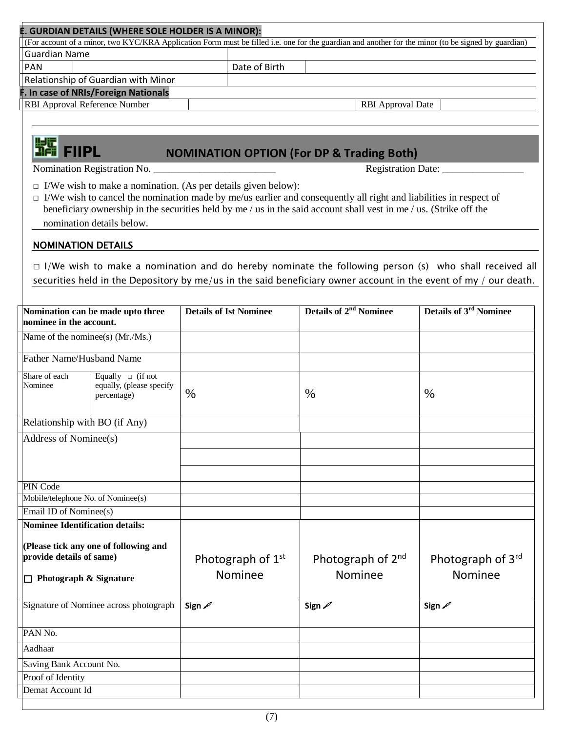|                                                                                                                                       | . GURDIAN DETAILS (WHERE SOLE HOLDER IS A MINOR): |                                                                      | (For account of a minor, two KYC/KRA Application Form must be filled i.e. one for the guardian and another for the minor (to be signed by guardian)                                                                                            |                               |  |  |
|---------------------------------------------------------------------------------------------------------------------------------------|---------------------------------------------------|----------------------------------------------------------------------|------------------------------------------------------------------------------------------------------------------------------------------------------------------------------------------------------------------------------------------------|-------------------------------|--|--|
| <b>Guardian Name</b>                                                                                                                  |                                                   |                                                                      |                                                                                                                                                                                                                                                |                               |  |  |
| PAN                                                                                                                                   |                                                   | Date of Birth                                                        |                                                                                                                                                                                                                                                |                               |  |  |
|                                                                                                                                       | Relationship of Guardian with Minor               |                                                                      |                                                                                                                                                                                                                                                |                               |  |  |
|                                                                                                                                       | In case of NRIs/Foreign Nationals                 |                                                                      |                                                                                                                                                                                                                                                |                               |  |  |
| RBI Approval Reference Number                                                                                                         |                                                   |                                                                      | <b>RBI</b> Approval Date                                                                                                                                                                                                                       |                               |  |  |
|                                                                                                                                       |                                                   |                                                                      |                                                                                                                                                                                                                                                |                               |  |  |
| <b>THE FIIPL</b>                                                                                                                      |                                                   |                                                                      | <b>NOMINATION OPTION (For DP &amp; Trading Both)</b>                                                                                                                                                                                           |                               |  |  |
|                                                                                                                                       |                                                   |                                                                      |                                                                                                                                                                                                                                                | Registration Date:            |  |  |
|                                                                                                                                       | nomination details below.                         | $\Box$ I/We wish to make a nomination. (As per details given below): | $\Box$ I/We wish to cancel the nomination made by me/us earlier and consequently all right and liabilities in respect of<br>beneficiary ownership in the securities held by me / us in the said account shall vest in me / us. (Strike off the |                               |  |  |
| <b>NOMINATION DETAILS</b>                                                                                                             |                                                   |                                                                      |                                                                                                                                                                                                                                                |                               |  |  |
|                                                                                                                                       |                                                   |                                                                      | $\Box$ I/We wish to make a nomination and do hereby nominate the following person (s) who shall received all<br>securities held in the Depository by me/us in the said beneficiary owner account in the event of my / our death.               |                               |  |  |
|                                                                                                                                       | Nomination can be made upto three                 | <b>Details of Ist Nominee</b>                                        | <b>Details of 2<sup>nd</sup> Nominee</b>                                                                                                                                                                                                       | <b>Details of 3rd Nominee</b> |  |  |
| nominee in the account.                                                                                                               |                                                   |                                                                      |                                                                                                                                                                                                                                                |                               |  |  |
| Name of the nominee(s) (Mr./Ms.)                                                                                                      |                                                   |                                                                      |                                                                                                                                                                                                                                                |                               |  |  |
| <b>Father Name/Husband Name</b>                                                                                                       |                                                   |                                                                      |                                                                                                                                                                                                                                                |                               |  |  |
| Share of each<br>Equally $\Box$ (if not<br>Nominee<br>equally, (please specify<br>percentage)                                         |                                                   | $\%$                                                                 | $\%$                                                                                                                                                                                                                                           | $\%$                          |  |  |
| Relationship with BO (if Any)                                                                                                         |                                                   |                                                                      |                                                                                                                                                                                                                                                |                               |  |  |
| Address of Nominee(s)                                                                                                                 |                                                   |                                                                      |                                                                                                                                                                                                                                                |                               |  |  |
|                                                                                                                                       |                                                   |                                                                      |                                                                                                                                                                                                                                                |                               |  |  |
|                                                                                                                                       |                                                   |                                                                      |                                                                                                                                                                                                                                                |                               |  |  |
|                                                                                                                                       |                                                   |                                                                      |                                                                                                                                                                                                                                                |                               |  |  |
| PIN Code<br>Mobile/telephone No. of Nominee(s)                                                                                        |                                                   |                                                                      |                                                                                                                                                                                                                                                |                               |  |  |
| Email ID of Nominee(s)                                                                                                                |                                                   |                                                                      |                                                                                                                                                                                                                                                |                               |  |  |
|                                                                                                                                       |                                                   |                                                                      |                                                                                                                                                                                                                                                |                               |  |  |
| <b>Nominee Identification details:</b><br>(Please tick any one of following and<br>provide details of same)<br>Photograph & Signature |                                                   | Photograph of 1 <sup>st</sup><br>Nominee                             | Photograph of 2 <sup>nd</sup><br>Nominee                                                                                                                                                                                                       | Photograph of 3rd<br>Nominee  |  |  |
|                                                                                                                                       | Signature of Nominee across photograph            | Sign $\mathscr{D}$                                                   | Sign $\mathscr{D}$                                                                                                                                                                                                                             | Sign 2                        |  |  |
| PAN No.                                                                                                                               |                                                   |                                                                      |                                                                                                                                                                                                                                                |                               |  |  |
| Aadhaar                                                                                                                               |                                                   |                                                                      |                                                                                                                                                                                                                                                |                               |  |  |
| Saving Bank Account No.                                                                                                               |                                                   |                                                                      |                                                                                                                                                                                                                                                |                               |  |  |
| Proof of Identity                                                                                                                     |                                                   |                                                                      |                                                                                                                                                                                                                                                |                               |  |  |
| Demat Account Id                                                                                                                      |                                                   |                                                                      |                                                                                                                                                                                                                                                |                               |  |  |
|                                                                                                                                       |                                                   |                                                                      |                                                                                                                                                                                                                                                |                               |  |  |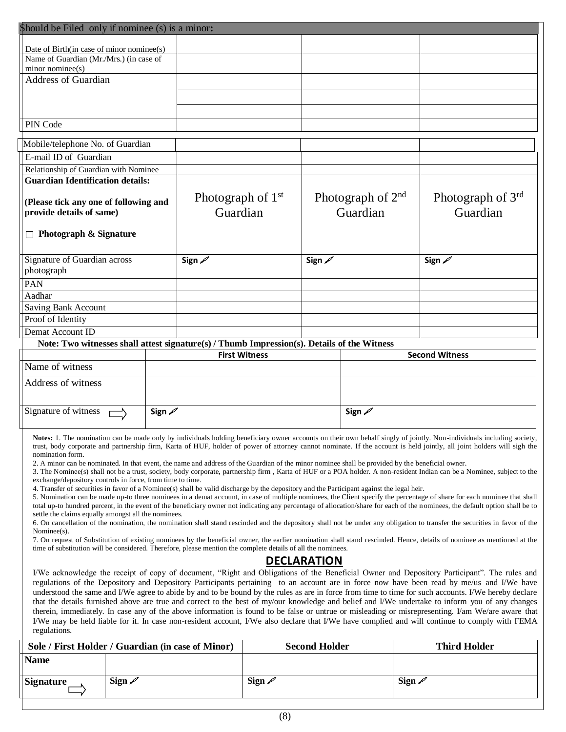| \$hould be Filed only if nominee (s) is a minor:                                                                                                                                                                                                                                                                                                                                                                                                                                                                                                                                                                                                                                                                                                                                                                                                                                                                                                                                                                                                                                                                                                                                                                                                                                                                                                                                                                                                                                                                                                                                                                                                                                                                                                                                                                                                                                                                                                                                                                                                                                                                                                                                                                                                                                                                                                                                                                                                                                                                                                                                                                                                                                                                                                                             |                    |                                 |                      |                      |                                 |                         |                               |  |  |
|------------------------------------------------------------------------------------------------------------------------------------------------------------------------------------------------------------------------------------------------------------------------------------------------------------------------------------------------------------------------------------------------------------------------------------------------------------------------------------------------------------------------------------------------------------------------------------------------------------------------------------------------------------------------------------------------------------------------------------------------------------------------------------------------------------------------------------------------------------------------------------------------------------------------------------------------------------------------------------------------------------------------------------------------------------------------------------------------------------------------------------------------------------------------------------------------------------------------------------------------------------------------------------------------------------------------------------------------------------------------------------------------------------------------------------------------------------------------------------------------------------------------------------------------------------------------------------------------------------------------------------------------------------------------------------------------------------------------------------------------------------------------------------------------------------------------------------------------------------------------------------------------------------------------------------------------------------------------------------------------------------------------------------------------------------------------------------------------------------------------------------------------------------------------------------------------------------------------------------------------------------------------------------------------------------------------------------------------------------------------------------------------------------------------------------------------------------------------------------------------------------------------------------------------------------------------------------------------------------------------------------------------------------------------------------------------------------------------------------------------------------------------------|--------------------|---------------------------------|----------------------|----------------------|---------------------------------|-------------------------|-------------------------------|--|--|
| Date of Birth(in case of minor nominee(s)                                                                                                                                                                                                                                                                                                                                                                                                                                                                                                                                                                                                                                                                                                                                                                                                                                                                                                                                                                                                                                                                                                                                                                                                                                                                                                                                                                                                                                                                                                                                                                                                                                                                                                                                                                                                                                                                                                                                                                                                                                                                                                                                                                                                                                                                                                                                                                                                                                                                                                                                                                                                                                                                                                                                    |                    |                                 |                      |                      |                                 |                         |                               |  |  |
| Name of Guardian (Mr./Mrs.) (in case of                                                                                                                                                                                                                                                                                                                                                                                                                                                                                                                                                                                                                                                                                                                                                                                                                                                                                                                                                                                                                                                                                                                                                                                                                                                                                                                                                                                                                                                                                                                                                                                                                                                                                                                                                                                                                                                                                                                                                                                                                                                                                                                                                                                                                                                                                                                                                                                                                                                                                                                                                                                                                                                                                                                                      |                    |                                 |                      |                      |                                 |                         |                               |  |  |
| minor nominee(s)                                                                                                                                                                                                                                                                                                                                                                                                                                                                                                                                                                                                                                                                                                                                                                                                                                                                                                                                                                                                                                                                                                                                                                                                                                                                                                                                                                                                                                                                                                                                                                                                                                                                                                                                                                                                                                                                                                                                                                                                                                                                                                                                                                                                                                                                                                                                                                                                                                                                                                                                                                                                                                                                                                                                                             |                    |                                 |                      |                      |                                 |                         |                               |  |  |
| Address of Guardian                                                                                                                                                                                                                                                                                                                                                                                                                                                                                                                                                                                                                                                                                                                                                                                                                                                                                                                                                                                                                                                                                                                                                                                                                                                                                                                                                                                                                                                                                                                                                                                                                                                                                                                                                                                                                                                                                                                                                                                                                                                                                                                                                                                                                                                                                                                                                                                                                                                                                                                                                                                                                                                                                                                                                          |                    |                                 |                      |                      |                                 |                         |                               |  |  |
|                                                                                                                                                                                                                                                                                                                                                                                                                                                                                                                                                                                                                                                                                                                                                                                                                                                                                                                                                                                                                                                                                                                                                                                                                                                                                                                                                                                                                                                                                                                                                                                                                                                                                                                                                                                                                                                                                                                                                                                                                                                                                                                                                                                                                                                                                                                                                                                                                                                                                                                                                                                                                                                                                                                                                                              |                    |                                 |                      |                      |                                 |                         |                               |  |  |
|                                                                                                                                                                                                                                                                                                                                                                                                                                                                                                                                                                                                                                                                                                                                                                                                                                                                                                                                                                                                                                                                                                                                                                                                                                                                                                                                                                                                                                                                                                                                                                                                                                                                                                                                                                                                                                                                                                                                                                                                                                                                                                                                                                                                                                                                                                                                                                                                                                                                                                                                                                                                                                                                                                                                                                              |                    |                                 |                      |                      |                                 |                         |                               |  |  |
| PIN Code                                                                                                                                                                                                                                                                                                                                                                                                                                                                                                                                                                                                                                                                                                                                                                                                                                                                                                                                                                                                                                                                                                                                                                                                                                                                                                                                                                                                                                                                                                                                                                                                                                                                                                                                                                                                                                                                                                                                                                                                                                                                                                                                                                                                                                                                                                                                                                                                                                                                                                                                                                                                                                                                                                                                                                     |                    |                                 |                      |                      |                                 |                         |                               |  |  |
| Mobile/telephone No. of Guardian                                                                                                                                                                                                                                                                                                                                                                                                                                                                                                                                                                                                                                                                                                                                                                                                                                                                                                                                                                                                                                                                                                                                                                                                                                                                                                                                                                                                                                                                                                                                                                                                                                                                                                                                                                                                                                                                                                                                                                                                                                                                                                                                                                                                                                                                                                                                                                                                                                                                                                                                                                                                                                                                                                                                             |                    |                                 |                      |                      |                                 |                         |                               |  |  |
| E-mail ID of Guardian                                                                                                                                                                                                                                                                                                                                                                                                                                                                                                                                                                                                                                                                                                                                                                                                                                                                                                                                                                                                                                                                                                                                                                                                                                                                                                                                                                                                                                                                                                                                                                                                                                                                                                                                                                                                                                                                                                                                                                                                                                                                                                                                                                                                                                                                                                                                                                                                                                                                                                                                                                                                                                                                                                                                                        |                    |                                 |                      |                      |                                 |                         |                               |  |  |
| Relationship of Guardian with Nominee                                                                                                                                                                                                                                                                                                                                                                                                                                                                                                                                                                                                                                                                                                                                                                                                                                                                                                                                                                                                                                                                                                                                                                                                                                                                                                                                                                                                                                                                                                                                                                                                                                                                                                                                                                                                                                                                                                                                                                                                                                                                                                                                                                                                                                                                                                                                                                                                                                                                                                                                                                                                                                                                                                                                        |                    |                                 |                      |                      |                                 |                         |                               |  |  |
| <b>Guardian Identification details:</b>                                                                                                                                                                                                                                                                                                                                                                                                                                                                                                                                                                                                                                                                                                                                                                                                                                                                                                                                                                                                                                                                                                                                                                                                                                                                                                                                                                                                                                                                                                                                                                                                                                                                                                                                                                                                                                                                                                                                                                                                                                                                                                                                                                                                                                                                                                                                                                                                                                                                                                                                                                                                                                                                                                                                      |                    |                                 |                      |                      |                                 |                         |                               |  |  |
| (Please tick any one of following and<br>provide details of same)                                                                                                                                                                                                                                                                                                                                                                                                                                                                                                                                                                                                                                                                                                                                                                                                                                                                                                                                                                                                                                                                                                                                                                                                                                                                                                                                                                                                                                                                                                                                                                                                                                                                                                                                                                                                                                                                                                                                                                                                                                                                                                                                                                                                                                                                                                                                                                                                                                                                                                                                                                                                                                                                                                            |                    | Photograph of $1st$<br>Guardian |                      |                      | Photograph of $2nd$<br>Guardian |                         | Photograph of 3rd<br>Guardian |  |  |
| $\Box$ Photograph & Signature                                                                                                                                                                                                                                                                                                                                                                                                                                                                                                                                                                                                                                                                                                                                                                                                                                                                                                                                                                                                                                                                                                                                                                                                                                                                                                                                                                                                                                                                                                                                                                                                                                                                                                                                                                                                                                                                                                                                                                                                                                                                                                                                                                                                                                                                                                                                                                                                                                                                                                                                                                                                                                                                                                                                                |                    |                                 |                      |                      |                                 |                         |                               |  |  |
| Signature of Guardian across<br>photograph                                                                                                                                                                                                                                                                                                                                                                                                                                                                                                                                                                                                                                                                                                                                                                                                                                                                                                                                                                                                                                                                                                                                                                                                                                                                                                                                                                                                                                                                                                                                                                                                                                                                                                                                                                                                                                                                                                                                                                                                                                                                                                                                                                                                                                                                                                                                                                                                                                                                                                                                                                                                                                                                                                                                   |                    | Sign $\mathscr{D}$              |                      | Sign $\mathscr{D}$   |                                 |                         | Sign 2                        |  |  |
| PAN                                                                                                                                                                                                                                                                                                                                                                                                                                                                                                                                                                                                                                                                                                                                                                                                                                                                                                                                                                                                                                                                                                                                                                                                                                                                                                                                                                                                                                                                                                                                                                                                                                                                                                                                                                                                                                                                                                                                                                                                                                                                                                                                                                                                                                                                                                                                                                                                                                                                                                                                                                                                                                                                                                                                                                          |                    |                                 |                      |                      |                                 |                         |                               |  |  |
| Aadhar                                                                                                                                                                                                                                                                                                                                                                                                                                                                                                                                                                                                                                                                                                                                                                                                                                                                                                                                                                                                                                                                                                                                                                                                                                                                                                                                                                                                                                                                                                                                                                                                                                                                                                                                                                                                                                                                                                                                                                                                                                                                                                                                                                                                                                                                                                                                                                                                                                                                                                                                                                                                                                                                                                                                                                       |                    |                                 |                      |                      |                                 |                         |                               |  |  |
| <b>Saving Bank Account</b>                                                                                                                                                                                                                                                                                                                                                                                                                                                                                                                                                                                                                                                                                                                                                                                                                                                                                                                                                                                                                                                                                                                                                                                                                                                                                                                                                                                                                                                                                                                                                                                                                                                                                                                                                                                                                                                                                                                                                                                                                                                                                                                                                                                                                                                                                                                                                                                                                                                                                                                                                                                                                                                                                                                                                   |                    |                                 |                      |                      |                                 |                         |                               |  |  |
| Proof of Identity<br>Demat Account ID                                                                                                                                                                                                                                                                                                                                                                                                                                                                                                                                                                                                                                                                                                                                                                                                                                                                                                                                                                                                                                                                                                                                                                                                                                                                                                                                                                                                                                                                                                                                                                                                                                                                                                                                                                                                                                                                                                                                                                                                                                                                                                                                                                                                                                                                                                                                                                                                                                                                                                                                                                                                                                                                                                                                        |                    |                                 |                      |                      |                                 |                         |                               |  |  |
| Note: Two witnesses shall attest signature(s) / Thumb Impression(s). Details of the Witness                                                                                                                                                                                                                                                                                                                                                                                                                                                                                                                                                                                                                                                                                                                                                                                                                                                                                                                                                                                                                                                                                                                                                                                                                                                                                                                                                                                                                                                                                                                                                                                                                                                                                                                                                                                                                                                                                                                                                                                                                                                                                                                                                                                                                                                                                                                                                                                                                                                                                                                                                                                                                                                                                  |                    |                                 |                      |                      |                                 |                         |                               |  |  |
|                                                                                                                                                                                                                                                                                                                                                                                                                                                                                                                                                                                                                                                                                                                                                                                                                                                                                                                                                                                                                                                                                                                                                                                                                                                                                                                                                                                                                                                                                                                                                                                                                                                                                                                                                                                                                                                                                                                                                                                                                                                                                                                                                                                                                                                                                                                                                                                                                                                                                                                                                                                                                                                                                                                                                                              |                    |                                 | <b>First Witness</b> |                      |                                 |                         | <b>Second Witness</b>         |  |  |
| Name of witness                                                                                                                                                                                                                                                                                                                                                                                                                                                                                                                                                                                                                                                                                                                                                                                                                                                                                                                                                                                                                                                                                                                                                                                                                                                                                                                                                                                                                                                                                                                                                                                                                                                                                                                                                                                                                                                                                                                                                                                                                                                                                                                                                                                                                                                                                                                                                                                                                                                                                                                                                                                                                                                                                                                                                              |                    |                                 |                      |                      |                                 |                         |                               |  |  |
| Address of witness                                                                                                                                                                                                                                                                                                                                                                                                                                                                                                                                                                                                                                                                                                                                                                                                                                                                                                                                                                                                                                                                                                                                                                                                                                                                                                                                                                                                                                                                                                                                                                                                                                                                                                                                                                                                                                                                                                                                                                                                                                                                                                                                                                                                                                                                                                                                                                                                                                                                                                                                                                                                                                                                                                                                                           |                    |                                 |                      |                      |                                 |                         |                               |  |  |
| Signature of witness                                                                                                                                                                                                                                                                                                                                                                                                                                                                                                                                                                                                                                                                                                                                                                                                                                                                                                                                                                                                                                                                                                                                                                                                                                                                                                                                                                                                                                                                                                                                                                                                                                                                                                                                                                                                                                                                                                                                                                                                                                                                                                                                                                                                                                                                                                                                                                                                                                                                                                                                                                                                                                                                                                                                                         | Sign 2             |                                 |                      |                      | م Sign                          |                         |                               |  |  |
|                                                                                                                                                                                                                                                                                                                                                                                                                                                                                                                                                                                                                                                                                                                                                                                                                                                                                                                                                                                                                                                                                                                                                                                                                                                                                                                                                                                                                                                                                                                                                                                                                                                                                                                                                                                                                                                                                                                                                                                                                                                                                                                                                                                                                                                                                                                                                                                                                                                                                                                                                                                                                                                                                                                                                                              |                    |                                 |                      |                      |                                 |                         |                               |  |  |
| Notes: 1. The nomination can be made only by individuals holding beneficiary owner accounts on their own behalf singly of jointly. Non-individuals including society,<br>trust, body corporate and partnership firm, Karta of HUF, holder of power of attorney cannot nominate. If the account is held jointly, all joint holders will sigh the<br>nomination form.<br>2. A minor can be nominated. In that event, the name and address of the Guardian of the minor nominee shall be provided by the beneficial owner.<br>3. The Nominee(s) shall not be a trust, society, body corporate, partnership firm, Karta of HUF or a POA holder. A non-resident Indian can be a Nominee, subject to the<br>exchange/depository controls in force, from time to time.<br>4. Transfer of securities in favor of a Nominee(s) shall be valid discharge by the depository and the Participant against the legal heir.<br>5. Nomination can be made up-to three nominees in a demat account, in case of multiple nominees, the Client specify the percentage of share for each nominee that shall<br>total up-to hundred percent, in the event of the beneficiary owner not indicating any percentage of allocation/share for each of the nominees, the default option shall be to<br>settle the claims equally amongst all the nominees.<br>6. On cancellation of the nomination, the nomination shall stand rescinded and the depository shall not be under any obligation to transfer the securities in favor of the<br>Nominee(s).<br>7. On request of Substitution of existing nominees by the beneficial owner, the earlier nomination shall stand rescinded. Hence, details of nominee as mentioned at the<br>time of substitution will be considered. Therefore, please mention the complete details of all the nominees.<br><b>DECLARATION</b><br>I/We acknowledge the receipt of copy of document, "Right and Obligations of the Beneficial Owner and Depository Participant". The rules and<br>regulations of the Depository and Depository Participants pertaining to an account are in force now have been read by me/us and I/We have<br>understood the same and I/We agree to abide by and to be bound by the rules as are in force from time to time for such accounts. I/We hereby declare<br>that the details furnished above are true and correct to the best of my/our knowledge and belief and I/We undertake to inform you of any changes<br>therein, immediately. In case any of the above information is found to be false or untrue or misleading or misrepresenting. I/am We/are aware that<br>I/We may be held liable for it. In case non-resident account, I/We also declare that I/We have complied and will continue to comply with FEMA<br>regulations. |                    |                                 |                      |                      |                                 |                         |                               |  |  |
| Sole / First Holder / Guardian (in case of Minor)<br><b>Name</b>                                                                                                                                                                                                                                                                                                                                                                                                                                                                                                                                                                                                                                                                                                                                                                                                                                                                                                                                                                                                                                                                                                                                                                                                                                                                                                                                                                                                                                                                                                                                                                                                                                                                                                                                                                                                                                                                                                                                                                                                                                                                                                                                                                                                                                                                                                                                                                                                                                                                                                                                                                                                                                                                                                             |                    |                                 |                      | <b>Second Holder</b> |                                 |                         | <b>Third Holder</b>           |  |  |
|                                                                                                                                                                                                                                                                                                                                                                                                                                                                                                                                                                                                                                                                                                                                                                                                                                                                                                                                                                                                                                                                                                                                                                                                                                                                                                                                                                                                                                                                                                                                                                                                                                                                                                                                                                                                                                                                                                                                                                                                                                                                                                                                                                                                                                                                                                                                                                                                                                                                                                                                                                                                                                                                                                                                                                              |                    |                                 |                      |                      |                                 |                         |                               |  |  |
| <b>Signature</b>                                                                                                                                                                                                                                                                                                                                                                                                                                                                                                                                                                                                                                                                                                                                                                                                                                                                                                                                                                                                                                                                                                                                                                                                                                                                                                                                                                                                                                                                                                                                                                                                                                                                                                                                                                                                                                                                                                                                                                                                                                                                                                                                                                                                                                                                                                                                                                                                                                                                                                                                                                                                                                                                                                                                                             | Sign $\mathscr{D}$ |                                 | Sign $\mathscr{D}$   |                      |                                 | Sign $\mathscrtriangle$ |                               |  |  |

| ٦<br>v.<br>۰, |  |
|---------------|--|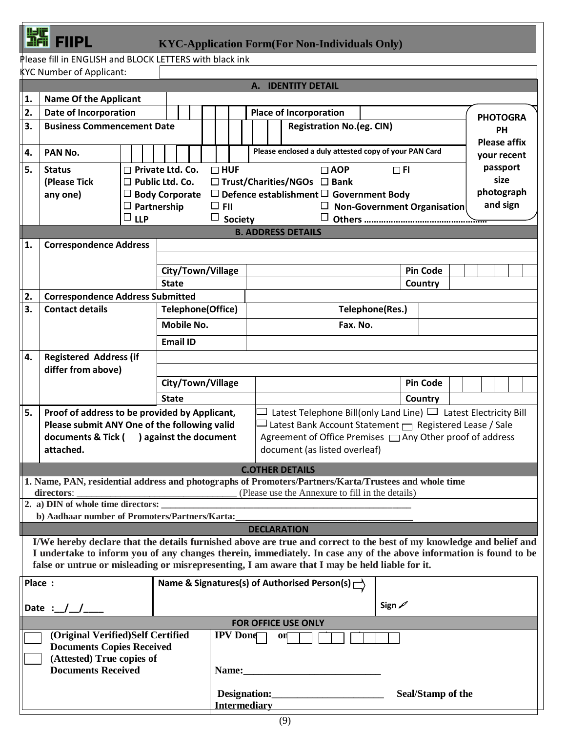|--|--|--|--|

### FIIPL **KYC-Application Form(For Non-Individuals Only)**

Please fill in ENGLISH and BLOCK LETTERS with black ink

|                                     | <b>KYC Number of Applicant:</b>                                                                                      |                                  |                   |                                                                                |  |  |                 |                                                                                                                                 |  |                                                                |            |                    |                   |  |  |                                  |
|-------------------------------------|----------------------------------------------------------------------------------------------------------------------|----------------------------------|-------------------|--------------------------------------------------------------------------------|--|--|-----------------|---------------------------------------------------------------------------------------------------------------------------------|--|----------------------------------------------------------------|------------|--------------------|-------------------|--|--|----------------------------------|
| A. IDENTITY DETAIL                  |                                                                                                                      |                                  |                   |                                                                                |  |  |                 |                                                                                                                                 |  |                                                                |            |                    |                   |  |  |                                  |
| 1.                                  | <b>Name Of the Applicant</b>                                                                                         |                                  |                   |                                                                                |  |  |                 |                                                                                                                                 |  |                                                                |            |                    |                   |  |  |                                  |
| 2.                                  | Date of Incorporation                                                                                                |                                  |                   |                                                                                |  |  |                 |                                                                                                                                 |  | <b>Place of Incorporation</b>                                  |            |                    |                   |  |  | <b>PHOTOGRA</b>                  |
| 3.                                  | <b>Business Commencement Date</b>                                                                                    |                                  |                   |                                                                                |  |  |                 |                                                                                                                                 |  | <b>Registration No.(eg. CIN)</b>                               |            |                    |                   |  |  | <b>PH</b><br><b>Please affix</b> |
| 4.                                  | PAN No.                                                                                                              |                                  |                   |                                                                                |  |  |                 |                                                                                                                                 |  | Please enclosed a duly attested copy of your PAN Card          |            |                    |                   |  |  | your recent                      |
| 5.                                  | <b>Status</b>                                                                                                        | $\Box$ Private Ltd. Co.          |                   |                                                                                |  |  | $\Box$ HUF      |                                                                                                                                 |  |                                                                | $\Box$ AOP | $\Box$ FI          |                   |  |  | passport                         |
|                                     | (Please Tick                                                                                                         | $\square$ Public Ltd. Co.        |                   |                                                                                |  |  |                 |                                                                                                                                 |  | $\Box$ Trust/Charities/NGOs $\Box$ Bank                        |            |                    |                   |  |  | size                             |
|                                     | any one)                                                                                                             | $\Box$ Body Corporate            |                   |                                                                                |  |  |                 |                                                                                                                                 |  | $\Box$ Defence establishment $\Box$ Government Body            |            |                    |                   |  |  | photograph                       |
|                                     |                                                                                                                      | $\Box$ Partnership<br>$\Box$ LLP |                   | and sign<br>$\Box$ FII<br>$\Box$ Non-Government Organisation<br>$\Box$ Society |  |  |                 |                                                                                                                                 |  |                                                                |            |                    |                   |  |  |                                  |
|                                     | <b>B. ADDRESS DETAILS</b>                                                                                            |                                  |                   |                                                                                |  |  |                 |                                                                                                                                 |  |                                                                |            |                    |                   |  |  |                                  |
| 1.<br><b>Correspondence Address</b> |                                                                                                                      |                                  |                   |                                                                                |  |  |                 |                                                                                                                                 |  |                                                                |            |                    |                   |  |  |                                  |
|                                     |                                                                                                                      |                                  |                   |                                                                                |  |  |                 |                                                                                                                                 |  |                                                                |            |                    |                   |  |  |                                  |
|                                     |                                                                                                                      |                                  |                   | City/Town/Village                                                              |  |  |                 |                                                                                                                                 |  |                                                                |            |                    | <b>Pin Code</b>   |  |  |                                  |
|                                     |                                                                                                                      |                                  | <b>State</b>      |                                                                                |  |  |                 |                                                                                                                                 |  |                                                                |            |                    | Country           |  |  |                                  |
| 2.                                  | <b>Correspondence Address Submitted</b>                                                                              |                                  |                   |                                                                                |  |  |                 |                                                                                                                                 |  |                                                                |            |                    |                   |  |  |                                  |
| 3.                                  | <b>Contact details</b>                                                                                               |                                  |                   | <b>Telephone(Office)</b>                                                       |  |  |                 |                                                                                                                                 |  |                                                                |            | Telephone(Res.)    |                   |  |  |                                  |
|                                     |                                                                                                                      |                                  |                   | <b>Mobile No.</b>                                                              |  |  |                 |                                                                                                                                 |  |                                                                | Fax. No.   |                    |                   |  |  |                                  |
|                                     |                                                                                                                      |                                  |                   |                                                                                |  |  |                 |                                                                                                                                 |  |                                                                |            |                    |                   |  |  |                                  |
|                                     |                                                                                                                      |                                  |                   | <b>Email ID</b>                                                                |  |  |                 |                                                                                                                                 |  |                                                                |            |                    |                   |  |  |                                  |
| 4.                                  | <b>Registered Address (if</b>                                                                                        |                                  |                   |                                                                                |  |  |                 |                                                                                                                                 |  |                                                                |            |                    |                   |  |  |                                  |
|                                     | differ from above)                                                                                                   |                                  |                   |                                                                                |  |  |                 |                                                                                                                                 |  |                                                                |            |                    |                   |  |  |                                  |
|                                     |                                                                                                                      |                                  | City/Town/Village |                                                                                |  |  |                 | <b>Pin Code</b>                                                                                                                 |  |                                                                |            |                    |                   |  |  |                                  |
|                                     |                                                                                                                      |                                  | <b>State</b>      |                                                                                |  |  |                 | Country                                                                                                                         |  |                                                                |            |                    |                   |  |  |                                  |
| 5.                                  | Proof of address to be provided by Applicant,                                                                        |                                  |                   |                                                                                |  |  |                 | Latest Telephone Bill(only Land Line) $\Box$ Latest Electricity Bill<br>Latest Bank Account Statement   Registered Lease / Sale |  |                                                                |            |                    |                   |  |  |                                  |
|                                     | Please submit ANY One of the following valid<br>documents & Tick () against the document                             |                                  |                   |                                                                                |  |  |                 |                                                                                                                                 |  | Agreement of Office Premises [Caralding Other proof of address |            |                    |                   |  |  |                                  |
|                                     | attached.                                                                                                            |                                  |                   |                                                                                |  |  |                 |                                                                                                                                 |  | document (as listed overleaf)                                  |            |                    |                   |  |  |                                  |
|                                     |                                                                                                                      |                                  |                   |                                                                                |  |  |                 |                                                                                                                                 |  |                                                                |            |                    |                   |  |  |                                  |
|                                     |                                                                                                                      |                                  |                   |                                                                                |  |  |                 |                                                                                                                                 |  | <b>C.OTHER DETAILS</b>                                         |            |                    |                   |  |  |                                  |
|                                     | 1. Name, PAN, residential address and photographs of Promoters/Partners/Karta/Trustees and whole time<br>directors:  |                                  |                   |                                                                                |  |  |                 |                                                                                                                                 |  | (Please use the Annexure to fill in the details)               |            |                    |                   |  |  |                                  |
|                                     | 2. a) DIN of whole time directors:                                                                                   |                                  |                   |                                                                                |  |  |                 |                                                                                                                                 |  |                                                                |            |                    |                   |  |  |                                  |
|                                     | b) Aadhaar number of Promoters/Partners/Karta:                                                                       |                                  |                   |                                                                                |  |  |                 |                                                                                                                                 |  |                                                                |            |                    |                   |  |  |                                  |
|                                     |                                                                                                                      |                                  |                   |                                                                                |  |  |                 |                                                                                                                                 |  | <b>DECLARATION</b>                                             |            |                    |                   |  |  |                                  |
|                                     | I/We hereby declare that the details furnished above are true and correct to the best of my knowledge and belief and |                                  |                   |                                                                                |  |  |                 |                                                                                                                                 |  |                                                                |            |                    |                   |  |  |                                  |
|                                     | I undertake to inform you of any changes therein, immediately. In case any of the above information is found to be   |                                  |                   |                                                                                |  |  |                 |                                                                                                                                 |  |                                                                |            |                    |                   |  |  |                                  |
|                                     | false or untrue or misleading or misrepresenting, I am aware that I may be held liable for it.                       |                                  |                   |                                                                                |  |  |                 |                                                                                                                                 |  |                                                                |            |                    |                   |  |  |                                  |
| Place:                              |                                                                                                                      |                                  |                   |                                                                                |  |  |                 |                                                                                                                                 |  | Name & Signatures(s) of Authorised Person(s) $\Gamma$          |            |                    |                   |  |  |                                  |
|                                     |                                                                                                                      |                                  |                   |                                                                                |  |  |                 |                                                                                                                                 |  |                                                                |            |                    |                   |  |  |                                  |
|                                     | Date : $/$                                                                                                           |                                  |                   |                                                                                |  |  |                 |                                                                                                                                 |  |                                                                |            | Sign $\mathscr{D}$ |                   |  |  |                                  |
|                                     |                                                                                                                      |                                  |                   |                                                                                |  |  |                 |                                                                                                                                 |  | FOR OFFICE USE ONLY                                            |            |                    |                   |  |  |                                  |
|                                     | (Original Verified)Self Certified                                                                                    |                                  |                   |                                                                                |  |  | <b>IPV</b> Done |                                                                                                                                 |  | $\mathbf{0}$                                                   |            |                    |                   |  |  |                                  |
|                                     | <b>Documents Copies Received</b><br>(Attested) True copies of                                                        |                                  |                   |                                                                                |  |  |                 |                                                                                                                                 |  |                                                                |            |                    |                   |  |  |                                  |
|                                     | <b>Documents Received</b>                                                                                            |                                  |                   |                                                                                |  |  | Name:           |                                                                                                                                 |  |                                                                |            |                    |                   |  |  |                                  |
|                                     |                                                                                                                      |                                  |                   |                                                                                |  |  |                 |                                                                                                                                 |  |                                                                |            |                    |                   |  |  |                                  |
|                                     |                                                                                                                      |                                  |                   |                                                                                |  |  |                 |                                                                                                                                 |  | Designation:                                                   |            |                    | Seal/Stamp of the |  |  |                                  |
| <b>Intermediary</b>                 |                                                                                                                      |                                  |                   |                                                                                |  |  |                 |                                                                                                                                 |  |                                                                |            |                    |                   |  |  |                                  |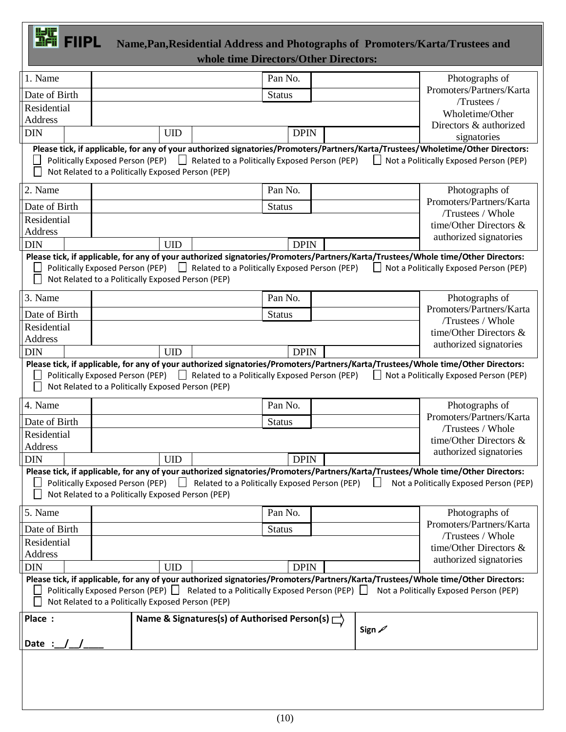### FIIPL **Name,Pan,Residential Address and Photographs of Promoters/Karta/Trustees and**  *<u><b> whole time Directors/Other Directors:</u>*

| 1. Name       |                                                   | Pan No.                                                                               |             |         | Photographs of                                                                                                                                                                                                                                                |
|---------------|---------------------------------------------------|---------------------------------------------------------------------------------------|-------------|---------|---------------------------------------------------------------------------------------------------------------------------------------------------------------------------------------------------------------------------------------------------------------|
| Date of Birth |                                                   | <b>Status</b>                                                                         |             |         | Promoters/Partners/Karta                                                                                                                                                                                                                                      |
| Residential   |                                                   |                                                                                       |             |         | /Trustees /                                                                                                                                                                                                                                                   |
| Address       |                                                   |                                                                                       |             |         | Wholetime/Other<br>Directors & authorized                                                                                                                                                                                                                     |
| <b>DIN</b>    | <b>UID</b>                                        |                                                                                       | <b>DPIN</b> |         | signatories                                                                                                                                                                                                                                                   |
|               |                                                   |                                                                                       |             |         | Please tick, if applicable, for any of your authorized signatories/Promoters/Partners/Karta/Trustees/Wholetime/Other Directors:                                                                                                                               |
|               |                                                   | Politically Exposed Person (PEP) $\Box$ Related to a Politically Exposed Person (PEP) |             | $\perp$ | Not a Politically Exposed Person (PEP)                                                                                                                                                                                                                        |
|               | Not Related to a Politically Exposed Person (PEP) |                                                                                       |             |         |                                                                                                                                                                                                                                                               |
| 2. Name       |                                                   | Pan No.                                                                               |             |         | Photographs of                                                                                                                                                                                                                                                |
| Date of Birth |                                                   | <b>Status</b>                                                                         |             |         | Promoters/Partners/Karta                                                                                                                                                                                                                                      |
| Residential   |                                                   |                                                                                       |             |         | /Trustees / Whole                                                                                                                                                                                                                                             |
| Address       |                                                   |                                                                                       |             |         | time/Other Directors &<br>authorized signatories                                                                                                                                                                                                              |
| <b>DIN</b>    | <b>UID</b>                                        |                                                                                       | <b>DPIN</b> |         |                                                                                                                                                                                                                                                               |
|               |                                                   |                                                                                       |             |         | Please tick, if applicable, for any of your authorized signatories/Promoters/Partners/Karta/Trustees/Whole time/Other Directors:                                                                                                                              |
| $\mathbf{L}$  |                                                   | Politically Exposed Person (PEP)<br>Related to a Politically Exposed Person (PEP)     |             | $\perp$ | Not a Politically Exposed Person (PEP)                                                                                                                                                                                                                        |
|               | Not Related to a Politically Exposed Person (PEP) |                                                                                       |             |         |                                                                                                                                                                                                                                                               |
| 3. Name       |                                                   | Pan No.                                                                               |             |         | Photographs of                                                                                                                                                                                                                                                |
| Date of Birth |                                                   | <b>Status</b>                                                                         |             |         | Promoters/Partners/Karta                                                                                                                                                                                                                                      |
| Residential   |                                                   |                                                                                       |             |         | /Trustees / Whole<br>time/Other Directors &                                                                                                                                                                                                                   |
| Address       |                                                   |                                                                                       |             |         | authorized signatories                                                                                                                                                                                                                                        |
| <b>DIN</b>    | <b>UID</b>                                        |                                                                                       | <b>DPIN</b> |         |                                                                                                                                                                                                                                                               |
|               | Not Related to a Politically Exposed Person (PEP) | Politically Exposed Person (PEP) $\Box$ Related to a Politically Exposed Person (PEP) |             |         | Please tick, if applicable, for any of your authorized signatories/Promoters/Partners/Karta/Trustees/Whole time/Other Directors:<br>Not a Politically Exposed Person (PEP)                                                                                    |
| 4. Name       |                                                   | Pan No.                                                                               |             |         | Photographs of                                                                                                                                                                                                                                                |
| Date of Birth |                                                   | <b>Status</b>                                                                         |             |         | Promoters/Partners/Karta                                                                                                                                                                                                                                      |
| Residential   |                                                   |                                                                                       |             |         | /Trustees / Whole                                                                                                                                                                                                                                             |
| Address       |                                                   |                                                                                       |             |         | time/Other Directors $\&$                                                                                                                                                                                                                                     |
| <b>DIN</b>    | <b>UID</b>                                        |                                                                                       | <b>DPIN</b> |         | authorized signatories                                                                                                                                                                                                                                        |
|               |                                                   |                                                                                       |             |         | Please tick, if applicable, for any of your authorized signatories/Promoters/Partners/Karta/Trustees/Whole time/Other Directors:                                                                                                                              |
|               |                                                   | Politically Exposed Person (PEP) $\Box$ Related to a Politically Exposed Person (PEP) |             |         | Not a Politically Exposed Person (PEP)                                                                                                                                                                                                                        |
|               | Not Related to a Politically Exposed Person (PEP) |                                                                                       |             |         |                                                                                                                                                                                                                                                               |
| 5. Name       |                                                   | Pan No.                                                                               |             |         | Photographs of                                                                                                                                                                                                                                                |
| Date of Birth |                                                   | <b>Status</b>                                                                         |             |         | Promoters/Partners/Karta                                                                                                                                                                                                                                      |
| Residential   |                                                   |                                                                                       |             |         | /Trustees / Whole<br>time/Other Directors $\&$                                                                                                                                                                                                                |
| Address       |                                                   |                                                                                       |             |         | authorized signatories                                                                                                                                                                                                                                        |
| <b>DIN</b>    | <b>UID</b>                                        |                                                                                       | <b>DPIN</b> |         |                                                                                                                                                                                                                                                               |
|               | Not Related to a Politically Exposed Person (PEP) |                                                                                       |             |         | Please tick, if applicable, for any of your authorized signatories/Promoters/Partners/Karta/Trustees/Whole time/Other Directors:<br>Politically Exposed Person (PEP)   Related to a Politically Exposed Person (PEP)   Not a Politically Exposed Person (PEP) |
| Place :       |                                                   | Name & Signatures(s) of Authorised Person(s) $\Box$                                   |             |         |                                                                                                                                                                                                                                                               |
|               |                                                   |                                                                                       |             | Sign 2  |                                                                                                                                                                                                                                                               |
| Date :        |                                                   |                                                                                       |             |         |                                                                                                                                                                                                                                                               |
|               |                                                   |                                                                                       |             |         |                                                                                                                                                                                                                                                               |
|               |                                                   |                                                                                       |             |         |                                                                                                                                                                                                                                                               |
|               |                                                   |                                                                                       |             |         |                                                                                                                                                                                                                                                               |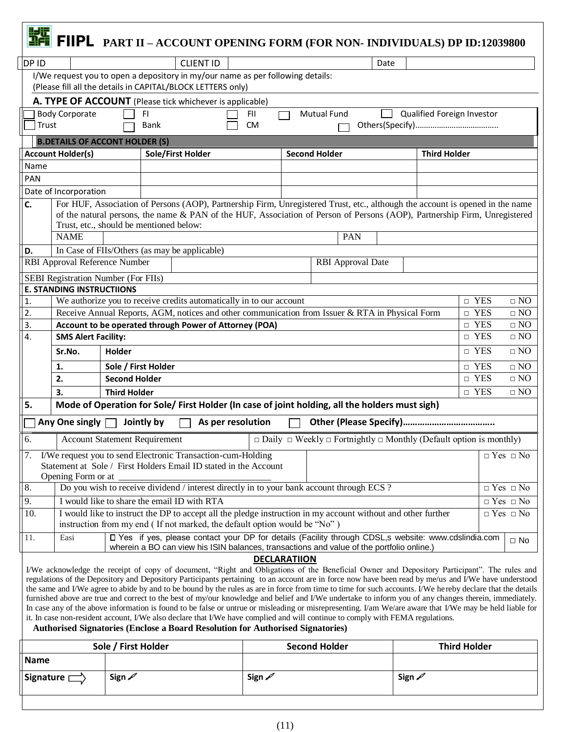|                  |                                                                                                                                                                                                                       |                                             |            |                                                                                |                     |  | FIIPL PART II - ACCOUNT OPENING FORM (FOR NON- INDIVIDUALS) DP ID:12039800                                                                                                                                                                                                                                         |                            |                             |                                          |
|------------------|-----------------------------------------------------------------------------------------------------------------------------------------------------------------------------------------------------------------------|---------------------------------------------|------------|--------------------------------------------------------------------------------|---------------------|--|--------------------------------------------------------------------------------------------------------------------------------------------------------------------------------------------------------------------------------------------------------------------------------------------------------------------|----------------------------|-----------------------------|------------------------------------------|
| DP ID            |                                                                                                                                                                                                                       |                                             |            | <b>CLIENT ID</b>                                                               |                     |  | Date                                                                                                                                                                                                                                                                                                               |                            |                             |                                          |
|                  |                                                                                                                                                                                                                       |                                             |            | I/We request you to open a depository in my/our name as per following details: |                     |  |                                                                                                                                                                                                                                                                                                                    |                            |                             |                                          |
|                  |                                                                                                                                                                                                                       |                                             |            | (Please fill all the details in CAPITAL/BLOCK LETTERS only)                    |                     |  |                                                                                                                                                                                                                                                                                                                    |                            |                             |                                          |
|                  |                                                                                                                                                                                                                       |                                             |            | A. TYPE OF ACCOUNT (Please tick whichever is applicable)                       |                     |  |                                                                                                                                                                                                                                                                                                                    |                            |                             |                                          |
|                  | <b>Body Corporate</b>                                                                                                                                                                                                 |                                             | FI.        |                                                                                | FII.                |  | <b>Mutual Fund</b>                                                                                                                                                                                                                                                                                                 | Qualified Foreign Investor |                             |                                          |
| Trust            |                                                                                                                                                                                                                       |                                             | Bank       |                                                                                | <b>CM</b>           |  |                                                                                                                                                                                                                                                                                                                    |                            |                             |                                          |
|                  | <b>B.DETAILS OF ACCONT HOLDER (S)</b>                                                                                                                                                                                 |                                             |            |                                                                                |                     |  |                                                                                                                                                                                                                                                                                                                    |                            |                             |                                          |
|                  | <b>Account Holder(s)</b>                                                                                                                                                                                              |                                             |            | Sole/First Holder                                                              |                     |  | <b>Second Holder</b>                                                                                                                                                                                                                                                                                               | <b>Third Holder</b>        |                             |                                          |
| Name             |                                                                                                                                                                                                                       |                                             |            |                                                                                |                     |  |                                                                                                                                                                                                                                                                                                                    |                            |                             |                                          |
| <b>PAN</b>       |                                                                                                                                                                                                                       |                                             |            |                                                                                |                     |  |                                                                                                                                                                                                                                                                                                                    |                            |                             |                                          |
|                  | Date of Incorporation                                                                                                                                                                                                 |                                             |            |                                                                                |                     |  |                                                                                                                                                                                                                                                                                                                    |                            |                             |                                          |
| C.               |                                                                                                                                                                                                                       |                                             |            |                                                                                |                     |  | For HUF, Association of Persons (AOP), Partnership Firm, Unregistered Trust, etc., although the account is opened in the name                                                                                                                                                                                      |                            |                             |                                          |
|                  |                                                                                                                                                                                                                       |                                             |            |                                                                                |                     |  | of the natural persons, the name & PAN of the HUF, Association of Person of Persons (AOP), Partnership Firm, Unregistered                                                                                                                                                                                          |                            |                             |                                          |
|                  | Trust, etc., should be mentioned below:                                                                                                                                                                               |                                             |            |                                                                                |                     |  |                                                                                                                                                                                                                                                                                                                    |                            |                             |                                          |
|                  | <b>NAME</b>                                                                                                                                                                                                           |                                             |            |                                                                                |                     |  | PAN                                                                                                                                                                                                                                                                                                                |                            |                             |                                          |
| D.               |                                                                                                                                                                                                                       |                                             |            | In Case of FIIs/Others (as may be applicable)                                  |                     |  |                                                                                                                                                                                                                                                                                                                    |                            |                             |                                          |
|                  | RBI Approval Reference Number                                                                                                                                                                                         |                                             |            |                                                                                |                     |  | <b>RBI</b> Approval Date                                                                                                                                                                                                                                                                                           |                            |                             |                                          |
|                  | <b>SEBI Registration Number (For FIIs)</b>                                                                                                                                                                            |                                             |            |                                                                                |                     |  |                                                                                                                                                                                                                                                                                                                    |                            |                             |                                          |
|                  | <b>E. STANDING INSTRUCTIIONS</b>                                                                                                                                                                                      |                                             |            |                                                                                |                     |  |                                                                                                                                                                                                                                                                                                                    |                            |                             |                                          |
| $\overline{2}$ . | We authorize you to receive credits automatically in to our account<br>$\Box$ YES<br>1.<br>$\Box$ NO<br>Receive Annual Reports, AGM, notices and other communication from Issuer & RTA in Physical Form<br>$\Box$ YES |                                             |            |                                                                                |                     |  |                                                                                                                                                                                                                                                                                                                    |                            |                             | $\square$ NO                             |
| 3.               | $\Box$ YES<br>Account to be operated through Power of Attorney (POA)                                                                                                                                                  |                                             |            |                                                                                |                     |  |                                                                                                                                                                                                                                                                                                                    |                            |                             | $\square$ NO                             |
|                  | 4.<br>$\Box$ YES<br>$\Box$ NO<br><b>SMS Alert Facility:</b>                                                                                                                                                           |                                             |            |                                                                                |                     |  |                                                                                                                                                                                                                                                                                                                    |                            |                             |                                          |
|                  | $\Box$ YES<br>$\Box$ NO<br>Sr.No.<br>Holder                                                                                                                                                                           |                                             |            |                                                                                |                     |  |                                                                                                                                                                                                                                                                                                                    |                            |                             |                                          |
|                  |                                                                                                                                                                                                                       |                                             |            |                                                                                |                     |  |                                                                                                                                                                                                                                                                                                                    |                            |                             |                                          |
|                  | 1.<br>2.                                                                                                                                                                                                              | Sole / First Holder<br><b>Second Holder</b> |            |                                                                                |                     |  |                                                                                                                                                                                                                                                                                                                    |                            | $\square$ YES<br>$\Box$ YES | $\Box$ NO<br>$\Box$ NO                   |
|                  |                                                                                                                                                                                                                       |                                             |            |                                                                                |                     |  |                                                                                                                                                                                                                                                                                                                    |                            |                             |                                          |
| 5.               | 3.                                                                                                                                                                                                                    | <b>Third Holder</b>                         |            |                                                                                |                     |  | Mode of Operation for Sole/ First Holder (In case of joint holding, all the holders must sigh)                                                                                                                                                                                                                     |                            | $\Box$ YES                  | $\Box$ NO                                |
|                  |                                                                                                                                                                                                                       |                                             |            |                                                                                |                     |  |                                                                                                                                                                                                                                                                                                                    |                            |                             |                                          |
|                  | Any One singly                                                                                                                                                                                                        |                                             | Jointly by | As per resolution                                                              |                     |  |                                                                                                                                                                                                                                                                                                                    |                            |                             |                                          |
| O.               | <b>Account Statement Requirement</b>                                                                                                                                                                                  |                                             |            |                                                                                |                     |  | $\Box$ Daily $\Box$ Weekly $\Box$ Fortnightly $\Box$ Monthly (Default option is monthly)                                                                                                                                                                                                                           |                            |                             |                                          |
| $\overline{7}$ . |                                                                                                                                                                                                                       |                                             |            | I/We request you to send Electronic Transaction-cum-Holding                    |                     |  |                                                                                                                                                                                                                                                                                                                    |                            |                             | $\hfill \Box$<br>Yes $\hfill \Box$<br>No |
|                  |                                                                                                                                                                                                                       |                                             |            | Statement at Sole / First Holders Email ID stated in the Account               |                     |  |                                                                                                                                                                                                                                                                                                                    |                            |                             |                                          |
|                  | Opening Form or at                                                                                                                                                                                                    |                                             |            |                                                                                |                     |  |                                                                                                                                                                                                                                                                                                                    |                            |                             |                                          |
| 8.               |                                                                                                                                                                                                                       |                                             |            |                                                                                |                     |  | Do you wish to receive dividend / interest directly in to your bank account through ECS ?                                                                                                                                                                                                                          |                            |                             | $\hfill \Box$<br>Yes $\hfill \Box$<br>No |
| 9.               |                                                                                                                                                                                                                       |                                             |            | I would like to share the email ID with RTA                                    |                     |  |                                                                                                                                                                                                                                                                                                                    |                            |                             | $\Box$ Yes $\Box$ No                     |
| 10.              |                                                                                                                                                                                                                       |                                             |            | instruction from my end (If not marked, the default option would be "No")      |                     |  | I would like to instruct the DP to accept all the pledge instruction in my account without and other further                                                                                                                                                                                                       |                            |                             | $\Box$ Yes $\Box$ No                     |
| 11.              | Easi                                                                                                                                                                                                                  |                                             |            |                                                                                |                     |  | D Yes if yes, please contact your DP for details (Facility through CDSL,s website: www.cdslindia.com<br>wherein a BO can view his ISIN balances, transactions and value of the portfolio online.)                                                                                                                  |                            |                             | $\Box$ No                                |
|                  |                                                                                                                                                                                                                       |                                             |            |                                                                                | <b>DECLARATIION</b> |  |                                                                                                                                                                                                                                                                                                                    |                            |                             |                                          |
|                  |                                                                                                                                                                                                                       |                                             |            |                                                                                |                     |  | I/We acknowledge the receipt of copy of document, "Right and Obligations of the Beneficial Owner and Depository Participant". The rules and                                                                                                                                                                        |                            |                             |                                          |
|                  |                                                                                                                                                                                                                       |                                             |            |                                                                                |                     |  | regulations of the Depository and Depository Participants pertaining to an account are in force now have been read by me/us and I/We have understood<br>the same and I/We agree to abide by and to be bound by the rules as are in force from time to time for such accounts. I/We hereby declare that the details |                            |                             |                                          |
|                  |                                                                                                                                                                                                                       |                                             |            |                                                                                |                     |  | furnished above are true and correct to the best of my/our knowledge and belief and I/We undertake to inform you of any changes therein, immediately.                                                                                                                                                              |                            |                             |                                          |
|                  |                                                                                                                                                                                                                       |                                             |            |                                                                                |                     |  | In case any of the above information is found to be false or untrue or misleading or misrepresenting. I/am We/are aware that I/We may be held liable for                                                                                                                                                           |                            |                             |                                          |
|                  |                                                                                                                                                                                                                       |                                             |            | Authorised Signatories (Enclose a Board Resolution for Authorised Signatories) |                     |  | it. In case non-resident account, I/We also declare that I/We have complied and will continue to comply with FEMA regulations.                                                                                                                                                                                     |                            |                             |                                          |
|                  |                                                                                                                                                                                                                       |                                             |            |                                                                                |                     |  |                                                                                                                                                                                                                                                                                                                    |                            |                             |                                          |
|                  |                                                                                                                                                                                                                       | Sole / First Holder                         |            |                                                                                |                     |  | <b>Second Holder</b>                                                                                                                                                                                                                                                                                               |                            | <b>Third Holder</b>         |                                          |
| <b>Name</b>      |                                                                                                                                                                                                                       |                                             |            |                                                                                |                     |  |                                                                                                                                                                                                                                                                                                                    |                            |                             |                                          |

|                  | <b>SUIC</b> / <b>I</b> IISL IIUIUCI | <b>PECATIO LIGICI</b> | <b>THILA LIQUACL</b> |  |  |  |
|------------------|-------------------------------------|-----------------------|----------------------|--|--|--|
| <b>Name</b>      |                                     |                       |                      |  |  |  |
| Signature $\Box$ | م Sign                              | م Sign                | حم Sign              |  |  |  |
|                  |                                     |                       |                      |  |  |  |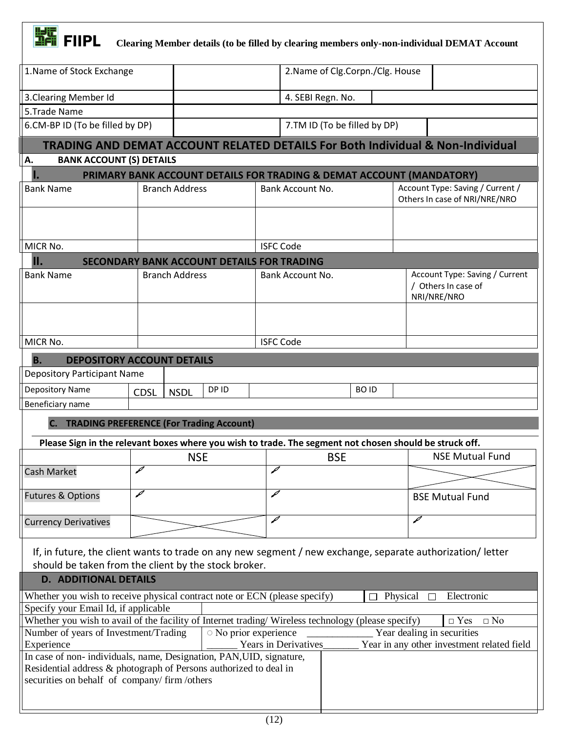

**FIFIC Clearing Member details (to be filled by clearing members only-non-individual DEMAT Account** 

| 1. Name of Stock Exchange                                                                                                                  |                                                                      |                     |                      |                              | 2. Name of Clg. Corpn. / Clg. House |                                                                                           |  |  |  |
|--------------------------------------------------------------------------------------------------------------------------------------------|----------------------------------------------------------------------|---------------------|----------------------|------------------------------|-------------------------------------|-------------------------------------------------------------------------------------------|--|--|--|
| 3. Clearing Member Id                                                                                                                      |                                                                      |                     | 4. SEBI Regn. No.    |                              |                                     |                                                                                           |  |  |  |
| 5.Trade Name                                                                                                                               |                                                                      |                     |                      |                              |                                     |                                                                                           |  |  |  |
| 6.CM-BP ID (To be filled by DP)                                                                                                            |                                                                      |                     |                      | 7.TM ID (To be filled by DP) |                                     |                                                                                           |  |  |  |
|                                                                                                                                            |                                                                      |                     |                      |                              |                                     | <b>TRADING AND DEMAT ACCOUNT RELATED DETAILS For Both Individual &amp; Non-Individual</b> |  |  |  |
| <b>BANK ACCOUNT (S) DETAILS</b><br>А.                                                                                                      |                                                                      |                     |                      |                              |                                     |                                                                                           |  |  |  |
|                                                                                                                                            | PRIMARY BANK ACCOUNT DETAILS FOR TRADING & DEMAT ACCOUNT (MANDATORY) |                     |                      |                              |                                     |                                                                                           |  |  |  |
| <b>Bank Name</b>                                                                                                                           | <b>Branch Address</b>                                                |                     | Bank Account No.     |                              |                                     | Account Type: Saving / Current /<br>Others In case of NRI/NRE/NRO                         |  |  |  |
|                                                                                                                                            |                                                                      |                     |                      |                              |                                     |                                                                                           |  |  |  |
|                                                                                                                                            |                                                                      |                     |                      |                              |                                     |                                                                                           |  |  |  |
| MICR No.                                                                                                                                   |                                                                      |                     | <b>ISFC Code</b>     |                              |                                     |                                                                                           |  |  |  |
| II.                                                                                                                                        | <b>SECONDARY BANK ACCOUNT DETAILS FOR TRADING</b>                    |                     |                      |                              |                                     |                                                                                           |  |  |  |
| <b>Bank Name</b>                                                                                                                           | <b>Branch Address</b>                                                |                     | Bank Account No.     |                              |                                     | Account Type: Saving / Current                                                            |  |  |  |
|                                                                                                                                            |                                                                      |                     |                      |                              |                                     | / Others In case of<br>NRI/NRE/NRO                                                        |  |  |  |
|                                                                                                                                            |                                                                      |                     |                      |                              |                                     |                                                                                           |  |  |  |
|                                                                                                                                            |                                                                      |                     |                      |                              |                                     |                                                                                           |  |  |  |
| MICR No.                                                                                                                                   |                                                                      |                     | <b>ISFC Code</b>     |                              |                                     |                                                                                           |  |  |  |
| <b>B.</b><br><b>DEPOSITORY ACCOUNT DETAILS</b>                                                                                             |                                                                      |                     |                      |                              |                                     |                                                                                           |  |  |  |
| <b>Depository Participant Name</b>                                                                                                         |                                                                      |                     |                      |                              |                                     |                                                                                           |  |  |  |
| Depository Name                                                                                                                            | <b>NSDL</b><br><b>CDSL</b>                                           | DP ID               |                      | <b>BOID</b>                  |                                     |                                                                                           |  |  |  |
| Beneficiary name                                                                                                                           |                                                                      |                     |                      |                              |                                     |                                                                                           |  |  |  |
| <b>C. TRADING PREFERENCE (For Trading Account)</b>                                                                                         |                                                                      |                     |                      |                              |                                     |                                                                                           |  |  |  |
| Please Sign in the relevant boxes where you wish to trade. The segment not chosen should be struck off.                                    |                                                                      |                     |                      |                              |                                     |                                                                                           |  |  |  |
|                                                                                                                                            | <b>NSE</b>                                                           |                     |                      | <b>BSE</b>                   |                                     | <b>NSE Mutual Fund</b>                                                                    |  |  |  |
| <b>Cash Market</b>                                                                                                                         | ℐ                                                                    |                     | ℐ                    |                              |                                     |                                                                                           |  |  |  |
| <b>Futures &amp; Options</b>                                                                                                               | ℐ                                                                    |                     | ₽                    |                              |                                     | <b>BSE Mutual Fund</b>                                                                    |  |  |  |
| <b>Currency Derivatives</b>                                                                                                                |                                                                      |                     | Í                    |                              |                                     | ₽                                                                                         |  |  |  |
|                                                                                                                                            |                                                                      |                     |                      |                              |                                     |                                                                                           |  |  |  |
| If, in future, the client wants to trade on any new segment / new exchange, separate authorization/ letter                                 |                                                                      |                     |                      |                              |                                     |                                                                                           |  |  |  |
| should be taken from the client by the stock broker.                                                                                       |                                                                      |                     |                      |                              |                                     |                                                                                           |  |  |  |
| <b>D. ADDITIONAL DETAILS</b>                                                                                                               |                                                                      |                     |                      |                              |                                     |                                                                                           |  |  |  |
| Whether you wish to receive physical contract note or ECN (please specify)                                                                 |                                                                      |                     |                      |                              | Physical                            | Electronic                                                                                |  |  |  |
| Specify your Email Id, if applicable<br>Whether you wish to avail of the facility of Internet trading/Wireless technology (please specify) |                                                                      |                     |                      |                              |                                     | $\Box$ Yes<br>$\Box$ No                                                                   |  |  |  |
| Number of years of Investment/Trading                                                                                                      |                                                                      | No prior experience |                      |                              |                                     | Year dealing in securities                                                                |  |  |  |
| Experience                                                                                                                                 |                                                                      |                     | Years in Derivatives |                              |                                     | Year in any other investment related field                                                |  |  |  |
| In case of non-individuals, name, Designation, PAN, UID, signature,                                                                        |                                                                      |                     |                      |                              |                                     |                                                                                           |  |  |  |
| Residential address & photograph of Persons authorized to deal in<br>securities on behalf of company/firm/others                           |                                                                      |                     |                      |                              |                                     |                                                                                           |  |  |  |
|                                                                                                                                            |                                                                      |                     |                      |                              |                                     |                                                                                           |  |  |  |
|                                                                                                                                            |                                                                      |                     |                      |                              |                                     |                                                                                           |  |  |  |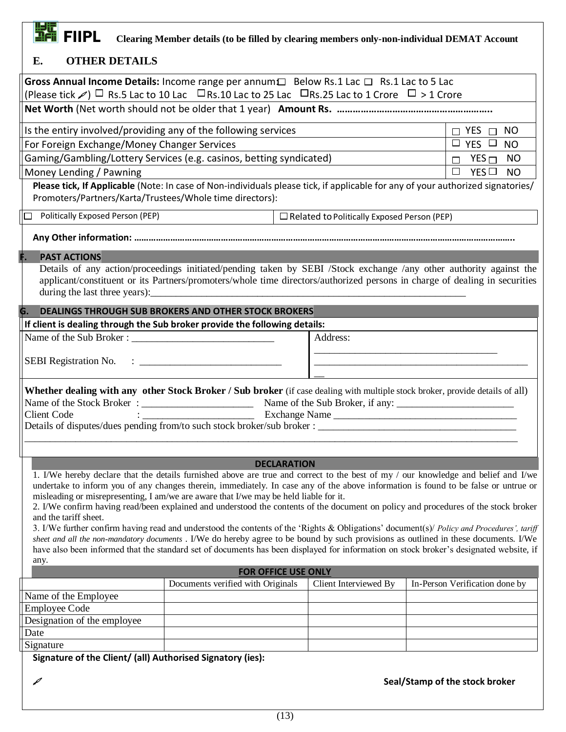## **FIFIC**<br>THE FIIPL Clearing Member details (to be filled by clearing members only-non-individual DEMAT Account

| Е.<br><b>OTHER DETAILS</b>                                                                                                                                                                                                                                                |                                                                                                                                                                                             |                    |                       |  |                                |           |  |  |  |  |  |
|---------------------------------------------------------------------------------------------------------------------------------------------------------------------------------------------------------------------------------------------------------------------------|---------------------------------------------------------------------------------------------------------------------------------------------------------------------------------------------|--------------------|-----------------------|--|--------------------------------|-----------|--|--|--|--|--|
| Gross Annual Income Details: Income range per annum□ Below Rs.1 Lac □ Rs.1 Lac to 5 Lac                                                                                                                                                                                   |                                                                                                                                                                                             |                    |                       |  |                                |           |  |  |  |  |  |
| (Please tick $\mathcal{P})$ $\Box$ Rs.5 Lac to 10 Lac $\Box$ Rs.10 Lac to 25 Lac $\Box$ Rs.25 Lac to 1 Crore $\Box$ > 1 Crore                                                                                                                                             |                                                                                                                                                                                             |                    |                       |  |                                |           |  |  |  |  |  |
|                                                                                                                                                                                                                                                                           |                                                                                                                                                                                             |                    |                       |  |                                |           |  |  |  |  |  |
| Is the entiry involved/providing any of the following services                                                                                                                                                                                                            |                                                                                                                                                                                             |                    |                       |  | $\Box$ YES $\Box$ NO           |           |  |  |  |  |  |
| For Foreign Exchange/Money Changer Services                                                                                                                                                                                                                               |                                                                                                                                                                                             |                    |                       |  | $\Box$ YES $\Box$ NO           |           |  |  |  |  |  |
| Gaming/Gambling/Lottery Services (e.g. casinos, betting syndicated)                                                                                                                                                                                                       |                                                                                                                                                                                             |                    |                       |  | $\Box$ YES $\Box$              | <b>NO</b> |  |  |  |  |  |
| Money Lending / Pawning                                                                                                                                                                                                                                                   |                                                                                                                                                                                             |                    |                       |  | $\Box$<br>YES $\Box$           | <b>NO</b> |  |  |  |  |  |
|                                                                                                                                                                                                                                                                           | Please tick, If Applicable (Note: In case of Non-individuals please tick, if applicable for any of your authorized signatories/<br>Promoters/Partners/Karta/Trustees/Whole time directors): |                    |                       |  |                                |           |  |  |  |  |  |
| $\Box$ Related to Politically Exposed Person (PEP)                                                                                                                                                                                                                        |                                                                                                                                                                                             |                    |                       |  |                                |           |  |  |  |  |  |
| Politically Exposed Person (PEP)                                                                                                                                                                                                                                          |                                                                                                                                                                                             |                    |                       |  |                                |           |  |  |  |  |  |
|                                                                                                                                                                                                                                                                           |                                                                                                                                                                                             |                    |                       |  |                                |           |  |  |  |  |  |
| <b>PAST ACTIONS</b>                                                                                                                                                                                                                                                       |                                                                                                                                                                                             |                    |                       |  |                                |           |  |  |  |  |  |
| Details of any action/proceedings initiated/pending taken by SEBI /Stock exchange /any other authority against the                                                                                                                                                        |                                                                                                                                                                                             |                    |                       |  |                                |           |  |  |  |  |  |
| applicant/constituent or its Partners/promoters/whole time directors/authorized persons in charge of dealing in securities                                                                                                                                                |                                                                                                                                                                                             |                    |                       |  |                                |           |  |  |  |  |  |
|                                                                                                                                                                                                                                                                           |                                                                                                                                                                                             |                    |                       |  |                                |           |  |  |  |  |  |
| <b>DEALINGS THROUGH SUB BROKERS AND OTHER STOCK BROKERS</b><br>G.                                                                                                                                                                                                         |                                                                                                                                                                                             |                    |                       |  |                                |           |  |  |  |  |  |
| If client is dealing through the Sub broker provide the following details:                                                                                                                                                                                                |                                                                                                                                                                                             |                    |                       |  |                                |           |  |  |  |  |  |
|                                                                                                                                                                                                                                                                           |                                                                                                                                                                                             |                    | Address:              |  |                                |           |  |  |  |  |  |
|                                                                                                                                                                                                                                                                           |                                                                                                                                                                                             |                    |                       |  |                                |           |  |  |  |  |  |
|                                                                                                                                                                                                                                                                           |                                                                                                                                                                                             |                    |                       |  |                                |           |  |  |  |  |  |
| Whether dealing with any other Stock Broker / Sub broker (if case dealing with multiple stock broker, provide details of all)                                                                                                                                             |                                                                                                                                                                                             |                    |                       |  |                                |           |  |  |  |  |  |
|                                                                                                                                                                                                                                                                           |                                                                                                                                                                                             |                    |                       |  |                                |           |  |  |  |  |  |
| <b>Client Code</b><br>Details of disputes/dues pending from/to such stock broker/sub broker :                                                                                                                                                                             |                                                                                                                                                                                             |                    | Exchange Name         |  |                                |           |  |  |  |  |  |
|                                                                                                                                                                                                                                                                           |                                                                                                                                                                                             |                    |                       |  |                                |           |  |  |  |  |  |
|                                                                                                                                                                                                                                                                           |                                                                                                                                                                                             |                    |                       |  |                                |           |  |  |  |  |  |
|                                                                                                                                                                                                                                                                           |                                                                                                                                                                                             | <b>DECLARATION</b> |                       |  |                                |           |  |  |  |  |  |
| 1. I/We hereby declare that the details furnished above are true and correct to the best of my / our knowledge and belief and I/we<br>undertake to inform you of any changes therein, immediately. In case any of the above information is found to be false or untrue or |                                                                                                                                                                                             |                    |                       |  |                                |           |  |  |  |  |  |
| misleading or misrepresenting, I am/we are aware that I/we may be held liable for it.                                                                                                                                                                                     |                                                                                                                                                                                             |                    |                       |  |                                |           |  |  |  |  |  |
| 2. I/We confirm having read/been explained and understood the contents of the document on policy and procedures of the stock broker                                                                                                                                       |                                                                                                                                                                                             |                    |                       |  |                                |           |  |  |  |  |  |
| and the tariff sheet.<br>3. I/We further confirm having read and understood the contents of the 'Rights & Obligations' document(s)/ Policy and Procedures', tariff                                                                                                        |                                                                                                                                                                                             |                    |                       |  |                                |           |  |  |  |  |  |
| sheet and all the non-mandatory documents . I/We do hereby agree to be bound by such provisions as outlined in these documents. I/We                                                                                                                                      |                                                                                                                                                                                             |                    |                       |  |                                |           |  |  |  |  |  |
| have also been informed that the standard set of documents has been displayed for information on stock broker's designated website, if                                                                                                                                    |                                                                                                                                                                                             |                    |                       |  |                                |           |  |  |  |  |  |
| any.                                                                                                                                                                                                                                                                      | <b>FOR OFFICE USE ONLY</b>                                                                                                                                                                  |                    |                       |  |                                |           |  |  |  |  |  |
|                                                                                                                                                                                                                                                                           | Documents verified with Originals                                                                                                                                                           |                    | Client Interviewed By |  | In-Person Verification done by |           |  |  |  |  |  |
| Name of the Employee                                                                                                                                                                                                                                                      |                                                                                                                                                                                             |                    |                       |  |                                |           |  |  |  |  |  |
| <b>Employee Code</b>                                                                                                                                                                                                                                                      |                                                                                                                                                                                             |                    |                       |  |                                |           |  |  |  |  |  |
| Designation of the employee<br>Date                                                                                                                                                                                                                                       |                                                                                                                                                                                             |                    |                       |  |                                |           |  |  |  |  |  |
| Signature                                                                                                                                                                                                                                                                 |                                                                                                                                                                                             |                    |                       |  |                                |           |  |  |  |  |  |
| Signature of the Client/ (all) Authorised Signatory (ies):                                                                                                                                                                                                                |                                                                                                                                                                                             |                    |                       |  |                                |           |  |  |  |  |  |
|                                                                                                                                                                                                                                                                           |                                                                                                                                                                                             |                    |                       |  |                                |           |  |  |  |  |  |
| $\mathscr{O}$                                                                                                                                                                                                                                                             |                                                                                                                                                                                             |                    |                       |  | Seal/Stamp of the stock broker |           |  |  |  |  |  |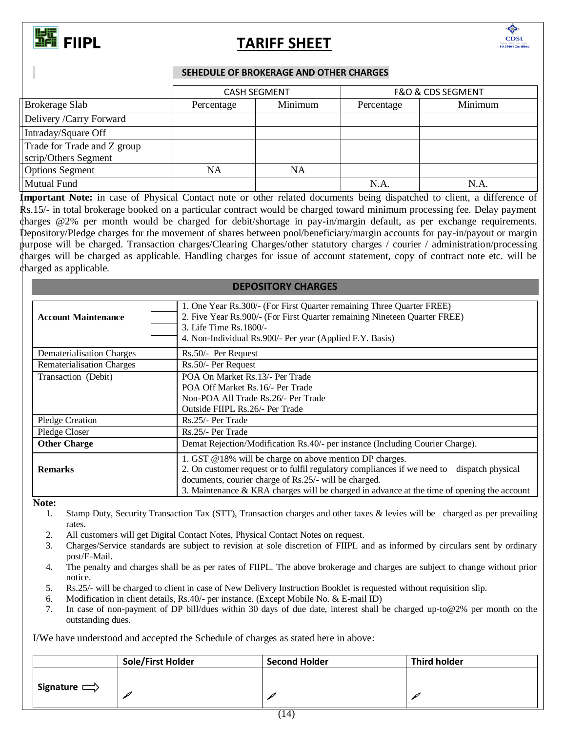

## **FIIPL** TARIFF SHEET



### **SEHEDULE OF BROKERAGE AND OTHER CHARGES**

|                             |            | <b>CASH SEGMENT</b> | <b>F&amp;O &amp; CDS SEGMENT</b> |         |  |  |
|-----------------------------|------------|---------------------|----------------------------------|---------|--|--|
| Brokerage Slab              | Percentage | Minimum             | Percentage                       | Minimum |  |  |
| Delivery /Carry Forward     |            |                     |                                  |         |  |  |
| Intraday/Square Off         |            |                     |                                  |         |  |  |
| Trade for Trade and Z group |            |                     |                                  |         |  |  |
| Segment                     |            |                     |                                  |         |  |  |
| <b>Options</b> Segment      | NA         | NA                  |                                  |         |  |  |
| Mutual Fund                 |            |                     | N.A.                             | N.A     |  |  |

**Important Note:** in case of Physical Contact note or other related documents being dispatched to client, a difference of Rs.15/- in total brokerage booked on a particular contract would be charged toward minimum processing fee. Delay payment charges @2% per month would be charged for debit/shortage in pay-in/margin default, as per exchange requirements. Depository/Pledge charges for the movement of shares between pool/beneficiary/margin accounts for pay-in/payout or margin purpose will be charged. Transaction charges/Clearing Charges/other statutory charges / courier / administration/processing charges will be charged as applicable. Handling charges for issue of account statement, copy of contract note etc. will be charged as applicable.

### **DEPOSITORY CHARGES**

| <b>Account Maintenance</b>       | 1. One Year Rs.300/- (For First Quarter remaining Three Quarter FREE)<br>2. Five Year Rs.900/- (For First Quarter remaining Nineteen Quarter FREE)<br>3. Life Time Rs. 1800/-<br>4. Non-Individual Rs.900/- Per year (Applied F.Y. Basis)                                                                    |
|----------------------------------|--------------------------------------------------------------------------------------------------------------------------------------------------------------------------------------------------------------------------------------------------------------------------------------------------------------|
| Dematerialisation Charges        | Rs.50/- Per Request                                                                                                                                                                                                                                                                                          |
| <b>Rematerialisation Charges</b> | Rs.50/- Per Request                                                                                                                                                                                                                                                                                          |
| Transaction (Debit)              | POA On Market Rs. 13/- Per Trade<br>POA Off Market Rs.16/- Per Trade<br>Non-POA All Trade Rs.26/- Per Trade<br>Outside FIIPL Rs. 26/- Per Trade                                                                                                                                                              |
| <b>Pledge Creation</b>           | Rs.25/- Per Trade                                                                                                                                                                                                                                                                                            |
| Pledge Closer                    | Rs.25/- Per Trade                                                                                                                                                                                                                                                                                            |
| <b>Other Charge</b>              | Demat Rejection/Modification Rs.40/- per instance (Including Courier Charge).                                                                                                                                                                                                                                |
| <b>Remarks</b>                   | 1. GST @18% will be charge on above mention DP charges.<br>2. On customer request or to fulfil regulatory compliances if we need to dispatch physical<br>documents, courier charge of Rs.25/- will be charged.<br>3. Maintenance & KRA charges will be charged in advance at the time of opening the account |

**Note:** 

- 1. Stamp Duty, Security Transaction Tax (STT), Transaction charges and other taxes & levies will be charged as per prevailing rates.
- 2. All customers will get Digital Contact Notes, Physical Contact Notes on request.
- 3. Charges/Service standards are subject to revision at sole discretion of FIIPL and as informed by circulars sent by ordinary post/E-Mail.
- 4. The penalty and charges shall be as per rates of FIIPL. The above brokerage and charges are subject to change without prior notice.
- 5. Rs.25/- will be charged to client in case of New Delivery Instruction Booklet is requested without requisition slip.
- 6. Modification in client details, Rs.40/- per instance. (Except Mobile No. & E-mail ID)
- 7. In case of non-payment of DP bill/dues within 30 days of due date, interest shall be charged up-to@2% per month on the outstanding dues.

I/We have understood and accepted the Schedule of charges as stated here in above:

|                    | <b>Sole/First Holder</b> | <b>Second Holder</b> | <b>Third holder</b> |
|--------------------|--------------------------|----------------------|---------------------|
| Signature $\equiv$ |                          |                      |                     |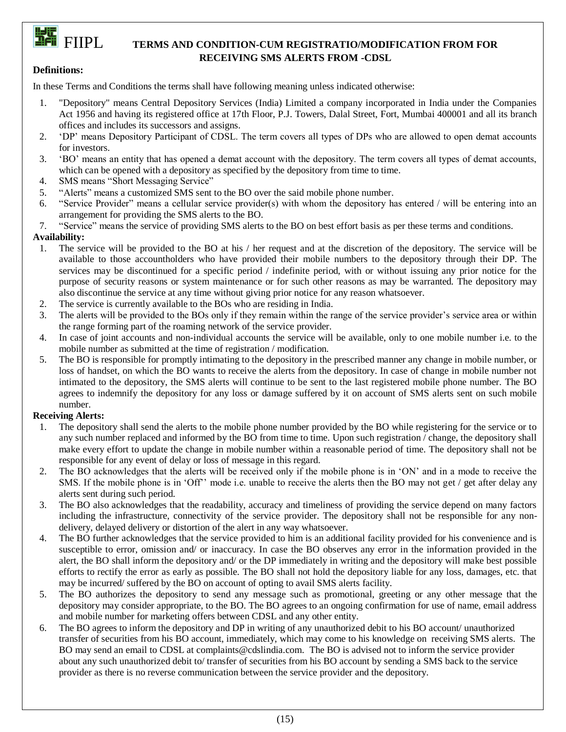## **FULL**<br>THE FIIPL TERMS AND CONDITION-CUM REGISTRATIO/MODIFICATION FROM FOR **RECEIVING SMS ALERTS FROM -CDSL**

### **Definitions:**

In these Terms and Conditions the terms shall have following meaning unless indicated otherwise:

- 1. "Depository" means Central Depository Services (India) Limited a company incorporated in India under the Companies Act 1956 and having its registered office at 17th Floor, P.J. Towers, Dalal Street, Fort, Mumbai 400001 and all its branch offices and includes its successors and assigns.
- 2. 'DP' means Depository Participant of CDSL. The term covers all types of DPs who are allowed to open demat accounts for investors.
- 3. 'BO' means an entity that has opened a demat account with the depository. The term covers all types of demat accounts, which can be opened with a depository as specified by the depository from time to time.
- 4. SMS means "Short Messaging Service"
- 5. "Alerts" means a customized SMS sent to the BO over the said mobile phone number.
- 6. "Service Provider" means a cellular service provider(s) with whom the depository has entered / will be entering into an arrangement for providing the SMS alerts to the BO.
- 7. "Service" means the service of providing SMS alerts to the BO on best effort basis as per these terms and conditions.

### **Availability:**

- 1. The service will be provided to the BO at his / her request and at the discretion of the depository. The service will be available to those accountholders who have provided their mobile numbers to the depository through their DP. The services may be discontinued for a specific period / indefinite period, with or without issuing any prior notice for the purpose of security reasons or system maintenance or for such other reasons as may be warranted. The depository may also discontinue the service at any time without giving prior notice for any reason whatsoever.
- 2. The service is currently available to the BOs who are residing in India.
- 3. The alerts will be provided to the BOs only if they remain within the range of the service provider's service area or within the range forming part of the roaming network of the service provider.
- 4. In case of joint accounts and non-individual accounts the service will be available, only to one mobile number i.e. to the mobile number as submitted at the time of registration / modification.
- 5. The BO is responsible for promptly intimating to the depository in the prescribed manner any change in mobile number, or loss of handset, on which the BO wants to receive the alerts from the depository. In case of change in mobile number not intimated to the depository, the SMS alerts will continue to be sent to the last registered mobile phone number. The BO agrees to indemnify the depository for any loss or damage suffered by it on account of SMS alerts sent on such mobile number.

### **Receiving Alerts:**

- 1. The depository shall send the alerts to the mobile phone number provided by the BO while registering for the service or to any such number replaced and informed by the BO from time to time. Upon such registration / change, the depository shall make every effort to update the change in mobile number within a reasonable period of time. The depository shall not be responsible for any event of delay or loss of message in this regard.
- 2. The BO acknowledges that the alerts will be received only if the mobile phone is in 'ON' and in a mode to receive the SMS. If the mobile phone is in 'Off'' mode i.e. unable to receive the alerts then the BO may not get / get after delay any alerts sent during such period.
- 3. The BO also acknowledges that the readability, accuracy and timeliness of providing the service depend on many factors including the infrastructure, connectivity of the service provider. The depository shall not be responsible for any nondelivery, delayed delivery or distortion of the alert in any way whatsoever.
- 4. The BO further acknowledges that the service provided to him is an additional facility provided for his convenience and is susceptible to error, omission and/ or inaccuracy. In case the BO observes any error in the information provided in the alert, the BO shall inform the depository and/ or the DP immediately in writing and the depository will make best possible efforts to rectify the error as early as possible. The BO shall not hold the depository liable for any loss, damages, etc. that may be incurred/ suffered by the BO on account of opting to avail SMS alerts facility.
- 5. The BO authorizes the depository to send any message such as promotional, greeting or any other message that the depository may consider appropriate, to the BO. The BO agrees to an ongoing confirmation for use of name, email address and mobile number for marketing offers between CDSL and any other entity.
- 6. The BO agrees to inform the depository and DP in writing of any unauthorized debit to his BO account/ unauthorized transfer of securities from his BO account, immediately, which may come to his knowledge on receiving SMS alerts. The BO may send an email to CDSL at [complaints@cdslindia.com.](mailto:complaints@cdslindia.com) The BO is advised not to inform the service provider about any such unauthorized debit to/ transfer of securities from his BO account by sending a SMS back to the service provider as there is no reverse communication between the service provider and the depository.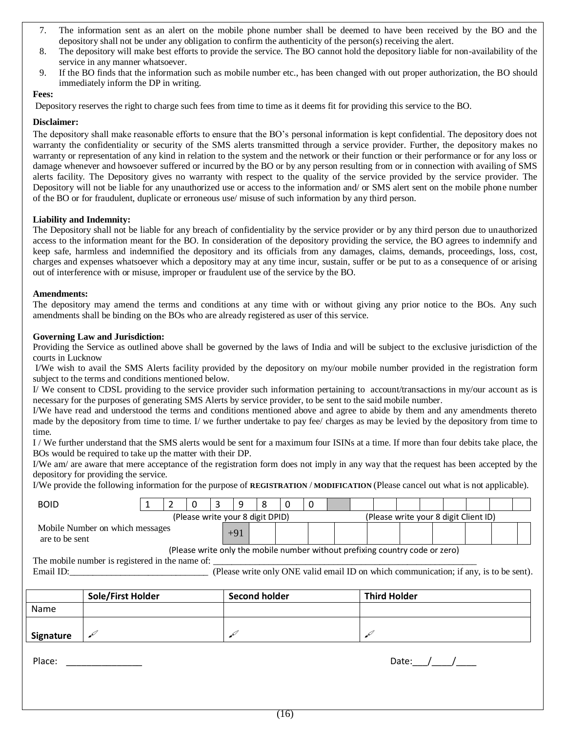- 7. The information sent as an alert on the mobile phone number shall be deemed to have been received by the BO and the depository shall not be under any obligation to confirm the authenticity of the person(s) receiving the alert.
- 8. The depository will make best efforts to provide the service. The BO cannot hold the depository liable for non-availability of the service in any manner whatsoever.
- 9. If the BO finds that the information such as mobile number etc., has been changed with out proper authorization, the BO should immediately inform the DP in writing.

### **Fees:**

Depository reserves the right to charge such fees from time to time as it deems fit for providing this service to the BO.

### **Disclaimer:**

The depository shall make reasonable efforts to ensure that the BO's personal information is kept confidential. The depository does not warranty the confidentiality or security of the SMS alerts transmitted through a service provider. Further, the depository makes no warranty or representation of any kind in relation to the system and the network or their function or their performance or for any loss or damage whenever and howsoever suffered or incurred by the BO or by any person resulting from or in connection with availing of SMS alerts facility. The Depository gives no warranty with respect to the quality of the service provided by the service provider. The Depository will not be liable for any unauthorized use or access to the information and/ or SMS alert sent on the mobile phone number of the BO or for fraudulent, duplicate or erroneous use/ misuse of such information by any third person.

### **Liability and Indemnity:**

The Depository shall not be liable for any breach of confidentiality by the service provider or by any third person due to unauthorized access to the information meant for the BO. In consideration of the depository providing the service, the BO agrees to indemnify and keep safe, harmless and indemnified the depository and its officials from any damages, claims, demands, proceedings, loss, cost, charges and expenses whatsoever which a depository may at any time incur, sustain, suffer or be put to as a consequence of or arising out of interference with or misuse, improper or fraudulent use of the service by the BO.

### **Amendments:**

The depository may amend the terms and conditions at any time with or without giving any prior notice to the BOs. Any such amendments shall be binding on the BOs who are already registered as user of this service.

### **Governing Law and Jurisdiction:**

Providing the Service as outlined above shall be governed by the laws of India and will be subject to the exclusive jurisdiction of the courts in Lucknow

I/We wish to avail the SMS Alerts facility provided by the depository on my/our mobile number provided in the registration form subject to the terms and conditions mentioned below.

I/ We consent to CDSL providing to the service provider such information pertaining to account/transactions in my/our account as is necessary for the purposes of generating SMS Alerts by service provider, to be sent to the said mobile number.

I/We have read and understood the terms and conditions mentioned above and agree to abide by them and any amendments thereto made by the depository from time to time. I/ we further undertake to pay fee/ charges as may be levied by the depository from time to time.

I / We further understand that the SMS alerts would be sent for a maximum four ISINs at a time. If more than four debits take place, the BOs would be required to take up the matter with their DP.

I/We am/ are aware that mere acceptance of the registration form does not imply in any way that the request has been accepted by the depository for providing the service.

I/We provide the following information for the purpose of **REGISTRATION** / **MODIFICATION** (Please cancel out what is not applicable).

| <b>BOID</b>                                                                  |                                                                           |  |  | 0 | 3 | 9                    | 8 | 0 | 0 |  |  |                                                                                       |  |  |  |  |
|------------------------------------------------------------------------------|---------------------------------------------------------------------------|--|--|---|---|----------------------|---|---|---|--|--|---------------------------------------------------------------------------------------|--|--|--|--|
|                                                                              | (Please write your 8 digit DPID)<br>(Please write your 8 digit Client ID) |  |  |   |   |                      |   |   |   |  |  |                                                                                       |  |  |  |  |
| Mobile Number on which messages<br>$+91$<br>are to be sent                   |                                                                           |  |  |   |   |                      |   |   |   |  |  |                                                                                       |  |  |  |  |
| (Please write only the mobile number without prefixing country code or zero) |                                                                           |  |  |   |   |                      |   |   |   |  |  |                                                                                       |  |  |  |  |
| The mobile number is registered in the name of:                              |                                                                           |  |  |   |   |                      |   |   |   |  |  |                                                                                       |  |  |  |  |
| Email ID:                                                                    |                                                                           |  |  |   |   |                      |   |   |   |  |  | (Please write only ONE valid email ID on which communication; if any, is to be sent). |  |  |  |  |
|                                                                              |                                                                           |  |  |   |   |                      |   |   |   |  |  |                                                                                       |  |  |  |  |
|                                                                              | Sole/First Holder                                                         |  |  |   |   | <b>Second holder</b> |   |   |   |  |  | <b>Third Holder</b>                                                                   |  |  |  |  |
| Name                                                                         |                                                                           |  |  |   |   |                      |   |   |   |  |  |                                                                                       |  |  |  |  |
|                                                                              |                                                                           |  |  |   |   |                      |   |   |   |  |  |                                                                                       |  |  |  |  |
| <b>Signature</b>                                                             |                                                                           |  |  |   |   |                      |   |   |   |  |  |                                                                                       |  |  |  |  |

Place:  $\sqrt{2}$  Date:  $\sqrt{2}$  Date:  $\sqrt{2}$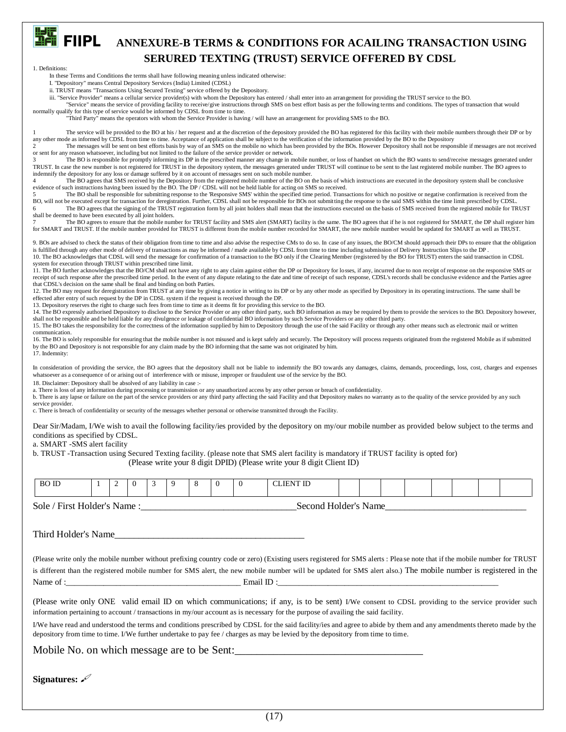

### **FIEL**<br>**EFILIPL** ANNEXURE-B TERMS & CONDITIONS FOR ACAILING TRANSACTION USING  **SERURED TEXTING (TRUST) SERVICE OFFERED BY CDSL**

1. Definitions:

In these Terms and Conditions the terms shall have following meaning unless indicated otherwise:

I. "Depository" means Central Depository Services (India) Limited (CDSL)

ii. TRUST means "Transactions Using Secured Texting" service offered by the Depository.

iii. "Service Provider" means a cellular service provider(s) with whom the Depository has entered / shall enter into an arrangement for providing the TRUST service to the BO.

"Service" means the service of providing facility to receive/give instructions through SMS on best effort basis as per the following terms and conditions. The types of transaction that would

normally qualify for this type of service would be informed by CDSL from time to time.

"Third Party" means the operators with whom the Service Provider is having / will have an arrangement for providing SMS to the BO.

The service will be provided to the BO at his / her request and at the discretion of the depository provided the BO has registered for this facility with their mobile numbers through their DP or by any other mode as informed by CDSL from time to time. Acceptance of application shall be subject to the verification of the information provided by the BO to the Depository<br>The messages will be sent on best efforts basis b

The messages will be sent on best efforts basis by way of an SMS on the mobile no which has been provided by the BOs. However Depository shall not be responsible if messages are not received or sent for any reason whatsoever, including but not limited to the failure of the service provider or network.

The BO is responsible for promptly informing its DP in the prescribed manner any change in mobile number, or loss of handset on which the BO wants to send/receive messages generated under TRUST. In case the new number is not registered for TRUST in the depository system, the messages generated under TRUST will continue to be sent to the last registered mobile number. The BO agrees to

indemnify the depository for any loss or damage suffered by it on account of messages sent on such mobile number.<br>4 The BO agrees that SMS received by the Depository from the registered mobile number of the BO on the basis evidence of such instructions having been issued by the BO. The DP / CDSL will not be held liable for acting on SMS so received.

The BO shall be responsible for submitting response to the 'Responsive SMS' within the specified time period. Transactions for which no positive or negative confirmation is received from the BO, will not be executed except for transaction for deregistration. Further, CDSL shall not be responsible for BOs not submitting the response to the said SMS within the time limit prescribed by CDSL.<br>6 The BO agrees that shall be deemed to have been executed by all joint holders.

The BO agrees to ensure that the mobile number for TRUST facility and SMS alert (SMART) facility is the same. The BO agrees that if he is not registered for SMART, the DP shall register him for SMART and TRUST. If the mobile number provided for TRUST is different from the mobile number recorded for SMART, the new mobile number would be updated for SMART as well as TRUST.

9. BOs are advised to check the status of their obligation from time to time and also advise the respective CMs to do so. In case of any issues, the BO/CM should approach their DPs to ensure that the obligation is fulfilled through any other mode of delivery of transactions as may be informed / made available by CDSL from time to time including submission of Delivery Instruction Slips to the DP . 10. The BO acknowledges that CDSL will send the message for confirmation of a transaction to the BO only if the Clearing Member (registered by the BO for TRUST) enters the said transaction in CDSL system for execution through TRUST within prescribed time limit.

11. The BO further acknowledges that the BO/CM shall not have any right to any claim against either the DP or Depository for losses, if any, incurred due to non receipt of response on the responsive SMS or receipt of such response after the prescribed time period. In the event of any dispute relating to the date and time of receipt of such response, CDSL's records shall be conclusive evidence and the Parties agree that CDSL's decision on the same shall be final and binding on both Parties.

12. The BO may request for deregistration from TRUST at any time by giving a notice in writing to its DP or by any other mode as specified by Depository in its operating instructions. The same shall be effected after entry of such request by the DP in CDSL system if the request is received through the DP.

13. Depository reserves the right to charge such fees from time to time as it deems fit for providing this service to the BO.

14. The BO expressly authorised Depository to disclose to the Service Provider or any other third party, such BO information as may be required by them to provide the services to the BO. Depository however, shall not be responsible and be held liable for any divulgence or leakage of confidential BO information by such Service Providers or any other third party.

15. The BO takes the responsibility for the correctness of the information supplied by him to Depository through the use of the said Facility or through any other means such as electronic mail or written communication.

16. The BO is solely responsible for ensuring that the mobile number is not misused and is kept safely and securely. The Depository will process requests originated from the registered Mobile as if submitted by the BO and Depository is not responsible for any claim made by the BO informing that the same was not originated by him. 17. Indemnity:

In consideration of providing the service, the BO agrees that the depository shall not be liable to indemnify the BO towards any damages, claims, demands, proceedings, loss, cost, charges and expenses whatsoever as a consequence of or arising out of interference with or misuse, improper or fraudulent use of the service by the BO.

18. Disclaimer: Depository shall be absolved of any liability in case :-

a. There is loss of any information during processing or transmission or any unauthorized access by any other person or breach of confidentiality.

b. There is any lapse or failure on the part of the service providers or any third party affecting the said Facility and that Depository makes no warranty as to the quality of the service provided by any such service provider.

c. There is breach of confidentiality or security of the messages whether personal or otherwise transmitted through the Facility.

Dear Sir/Madam, I/We wish to avail the following facility/ies provided by the depository on my/our mobile number as provided below subject to the terms and conditions as specified by CDSL.

a. SMART -SMS alert facility

b. TRUST -Transaction using Secured Texting facility. (please note that SMS alert facility is mandatory if TRUST facility is opted for)

(Please write your 8 digit DPID) (Please write your 8 digit Client ID)

| <b>BO ID</b>                                                                                                                                                                                                                                                                                             |  | 2 | $\left($ | 3 | 9 | 8 | 0 | $\Omega$ | <b>CLIENT ID</b>                                                                                                                                                                                                                                                                                                                            |  |  |  |  |  |
|----------------------------------------------------------------------------------------------------------------------------------------------------------------------------------------------------------------------------------------------------------------------------------------------------------|--|---|----------|---|---|---|---|----------|---------------------------------------------------------------------------------------------------------------------------------------------------------------------------------------------------------------------------------------------------------------------------------------------------------------------------------------------|--|--|--|--|--|
| Second Holder's Name                                                                                                                                                                                                                                                                                     |  |   |          |   |   |   |   |          |                                                                                                                                                                                                                                                                                                                                             |  |  |  |  |  |
| Third Holder's Name                                                                                                                                                                                                                                                                                      |  |   |          |   |   |   |   |          |                                                                                                                                                                                                                                                                                                                                             |  |  |  |  |  |
|                                                                                                                                                                                                                                                                                                          |  |   |          |   |   |   |   |          | (Please write only the mobile number without prefixing country code or zero) (Existing users registered for SMS alerts : Please note that if the mobile number for TRUST<br>is different than the registered mobile number for SMS alert, the new mobile number will be updated for SMS alert also.) The mobile number is registered in the |  |  |  |  |  |
|                                                                                                                                                                                                                                                                                                          |  |   |          |   |   |   |   |          |                                                                                                                                                                                                                                                                                                                                             |  |  |  |  |  |
|                                                                                                                                                                                                                                                                                                          |  |   |          |   |   |   |   |          | (Please write only ONE valid email ID on which communications; if any, is to be sent) I/We consent to CDSL providing to the service provider such<br>information pertaining to account / transactions in my/our account as is necessary for the purpose of availing the said facility.                                                      |  |  |  |  |  |
| I/We have read and understood the terms and conditions prescribed by CDSL for the said facility/ies and agree to abide by them and any amendments thereto made by the<br>depository from time to time. I/We further undertake to pay fee / charges as may be levied by the depository from time to time. |  |   |          |   |   |   |   |          |                                                                                                                                                                                                                                                                                                                                             |  |  |  |  |  |
|                                                                                                                                                                                                                                                                                                          |  |   |          |   |   |   |   |          | Mobile No. on which message are to be Sent:                                                                                                                                                                                                                                                                                                 |  |  |  |  |  |

**Signatures:**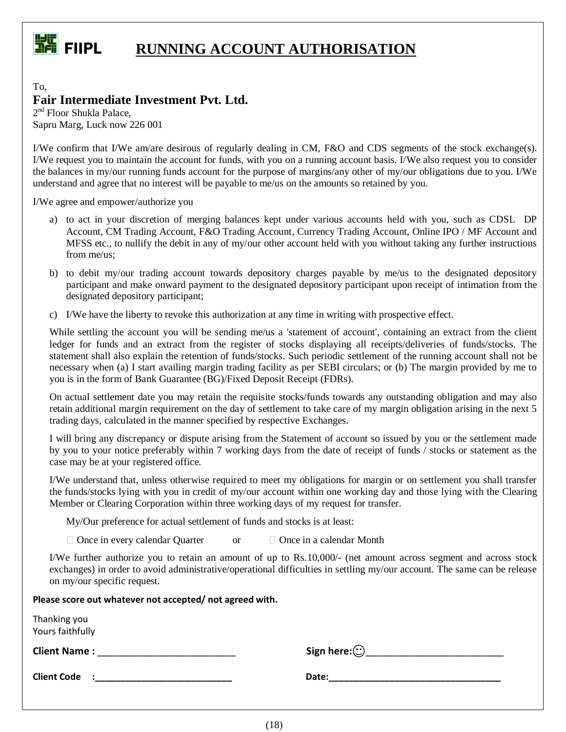

## **FIFICE** FIIPL **RUNNING ACCOUNT AUTHORISATION**

To, **Fair Intermediate Investment Pvt. Ltd.**

2<sup>nd</sup> Floor Shukla Palace, Sapru Marg, Luck now 226 001

I/We confirm that I/We am/are desirous of regularly dealing in CM, F&O and CDS segments of the stock exchange(s). I/We request you to maintain the account for funds, with you on a running account basis. I/We also request you to consider the balances in my/our running funds account for the purpose of margins/any other of my/our obligations due to you. I/We understand and agree that no interest will be payable to me/us on the amounts so retained by you.

I/We agree and empower/authorize you

- a) to act in your discretion of merging balances kept under various accounts held with you, such as CDSL DP Account, CM Trading Account, F&O Trading Account, Currency Trading Account, Online IPO / MF Account and MFSS etc., to nullify the debit in any of my/our other account held with you without taking any further instructions from me/us;
- b) to debit my/our trading account towards depository charges payable by me/us to the designated depository participant and make onward payment to the designated depository participant upon receipt of intimation from the designated depository participant;
- c) I/We have the liberty to revoke this authorization at any time in writing with prospective effect.

While settling the account you will be sending me/us a 'statement of account', containing an extract from the client ledger for funds and an extract from the register of stocks displaying all receipts/deliveries of funds/stocks. The statement shall also explain the retention of funds/stocks. Such periodic settlement of the running account shall not be necessary when (a) I start availing margin trading facility as per SEBI circulars; or (b) The margin provided by me to you is in the form of Bank Guarantee (BG)/Fixed Deposit Receipt (FDRs).

On actual settlement date you may retain the requisite stocks/funds towards any outstanding obligation and may also retain additional margin requirement on the day of settlement to take care of my margin obligation arising in the next 5 trading days, calculated in the manner specified by respective Exchanges.

I will bring any discrepancy or dispute arising from the Statement of account so issued by you or the settlement made by you to your notice preferably within 7 working days from the date of receipt of funds / stocks or statement as the case may be at your registered office.

I/We understand that, unless otherwise required to meet my obligations for margin or on settlement you shall transfer the funds/stocks lying with you in credit of my/our account within one working day and those lying with the Clearing Member or Clearing Corporation within three working days of my request for transfer.

My/Our preference for actual settlement of funds and stocks is at least:

 $\Box$  Once in every calendar Quarter or  $\Box$  Once in a calendar Month

I/We further authorize you to retain an amount of up to Rs.10,000/- (net amount across segment and across stock exchanges) in order to avoid administrative/operational difficulties in settling my/our account. The same can be release on my/our specific request.

**Please score out whatever not accepted/ not agreed with.**

| Thanking you<br>Yours faithfully |                    |
|----------------------------------|--------------------|
| <b>Client Name:</b>              | Sign here: $\odot$ |
| <b>Client Code</b>               | Date:              |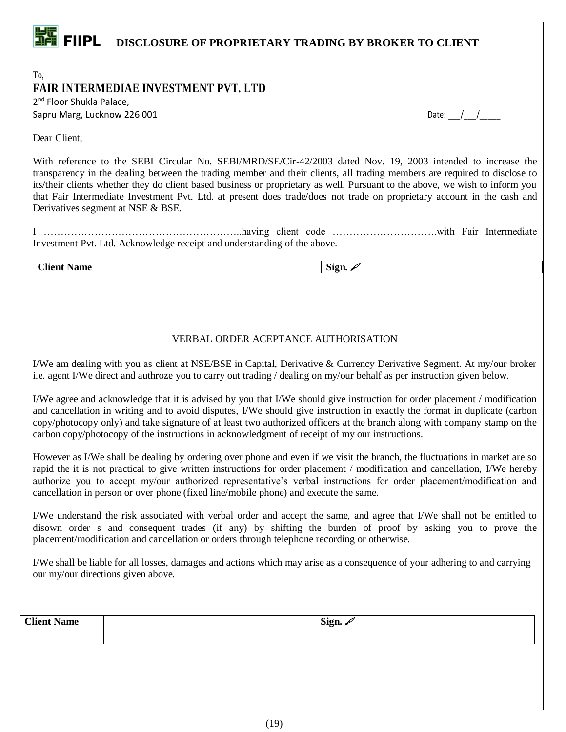# **FIEL**<br>**EFILIPL** DISCLOSURE OF PROPRIETARY TRADING BY BROKER TO CLIENT

To, **FAIR INTERMEDIAE INVESTMENT PVT. LTD**

2<sup>nd</sup> Floor Shukla Palace, Sapru Marg, Lucknow 226 001

| Date: |  |  |
|-------|--|--|
|-------|--|--|

Dear Client,

With reference to the SEBI Circular No. SEBI/MRD/SE/Cir-42/2003 dated Nov. 19, 2003 intended to increase the transparency in the dealing between the trading member and their clients, all trading members are required to disclose to its/their clients whether they do client based business or proprietary as well. Pursuant to the above, we wish to inform you that Fair Intermediate Investment Pvt. Ltd. at present does trade/does not trade on proprietary account in the cash and Derivatives segment at NSE & BSE.

I …………………………………………………..having client code ………………………….with Fair Intermediate Investment Pvt. Ltd. Acknowledge receipt and understanding of the above.

**Client Name Sign.**  $\mathscr{S}$ 

### VERBAL ORDER ACEPTANCE AUTHORISATION

I/We am dealing with you as client at NSE/BSE in Capital, Derivative & Currency Derivative Segment. At my/our broker i.e. agent I/We direct and authroze you to carry out trading / dealing on my/our behalf as per instruction given below.

I/We agree and acknowledge that it is advised by you that I/We should give instruction for order placement / modification and cancellation in writing and to avoid disputes, I/We should give instruction in exactly the format in duplicate (carbon copy/photocopy only) and take signature of at least two authorized officers at the branch along with company stamp on the carbon copy/photocopy of the instructions in acknowledgment of receipt of my our instructions.

However as I/We shall be dealing by ordering over phone and even if we visit the branch, the fluctuations in market are so rapid the it is not practical to give written instructions for order placement / modification and cancellation, I/We hereby authorize you to accept my/our authorized representative's verbal instructions for order placement/modification and cancellation in person or over phone (fixed line/mobile phone) and execute the same.

I/We understand the risk associated with verbal order and accept the same, and agree that I/We shall not be entitled to disown order s and consequent trades (if any) by shifting the burden of proof by asking you to prove the placement/modification and cancellation or orders through telephone recording or otherwise.

I/We shall be liable for all losses, damages and actions which may arise as a consequence of your adhering to and carrying our my/our directions given above.

| $\sim$ $\sim$ $\sim$ $\sim$<br>$C$ lient<br>Vame<br>______________ | Sign. $\overline{\phantom{a}}$ |  |
|--------------------------------------------------------------------|--------------------------------|--|
|                                                                    |                                |  |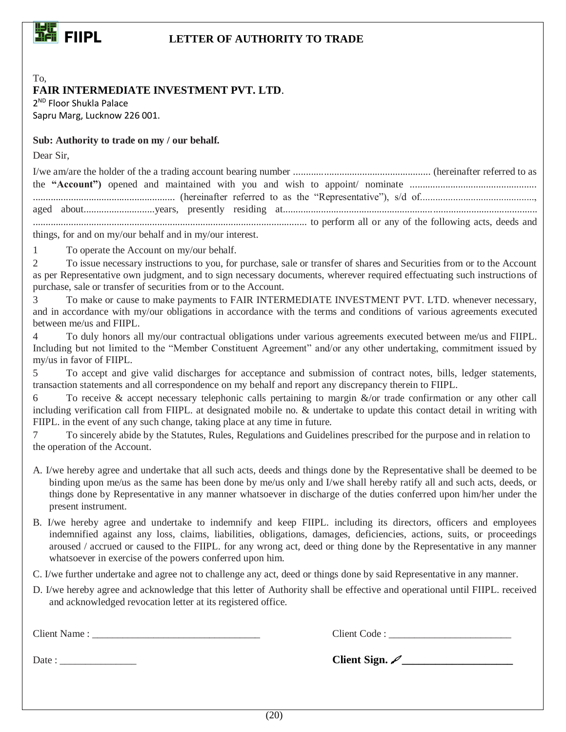

### **FIIPL LETTER OF AUTHORITY TO TRADE**

### **FAIR INTERMEDIATE INVESTMENT PVT. LTD**.

2 ND Floor Shukla Palace Sapru Marg, Lucknow 226 001.

### **Sub: Authority to trade on my / our behalf.**

Dear Sir,

To,

| things, for and on my/our behalf and in my/our interest. |  |
|----------------------------------------------------------|--|

1 To operate the Account on my/our behalf.

2 To issue necessary instructions to you, for purchase, sale or transfer of shares and Securities from or to the Account as per Representative own judgment, and to sign necessary documents, wherever required effectuating such instructions of purchase, sale or transfer of securities from or to the Account.

3 To make or cause to make payments to FAIR INTERMEDIATE INVESTMENT PVT. LTD. whenever necessary, and in accordance with my/our obligations in accordance with the terms and conditions of various agreements executed between me/us and FIIPL.

4 To duly honors all my/our contractual obligations under various agreements executed between me/us and FIIPL. Including but not limited to the "Member Constituent Agreement" and/or any other undertaking, commitment issued by my/us in favor of FIIPL.

5 To accept and give valid discharges for acceptance and submission of contract notes, bills, ledger statements, transaction statements and all correspondence on my behalf and report any discrepancy therein to FIIPL.

6 To receive  $\&$  accept necessary telephonic calls pertaining to margin  $\&$ /or trade confirmation or any other call including verification call from FIIPL. at designated mobile no. & undertake to update this contact detail in writing with FIIPL. in the event of any such change, taking place at any time in future.

7 To sincerely abide by the Statutes, Rules, Regulations and Guidelines prescribed for the purpose and in relation to the operation of the Account.

- A. I/we hereby agree and undertake that all such acts, deeds and things done by the Representative shall be deemed to be binding upon me/us as the same has been done by me/us only and I/we shall hereby ratify all and such acts, deeds, or things done by Representative in any manner whatsoever in discharge of the duties conferred upon him/her under the present instrument.
- B. I/we hereby agree and undertake to indemnify and keep FIIPL. including its directors, officers and employees indemnified against any loss, claims, liabilities, obligations, damages, deficiencies, actions, suits, or proceedings aroused / accrued or caused to the FIIPL. for any wrong act, deed or thing done by the Representative in any manner whatsoever in exercise of the powers conferred upon him.

C. I/we further undertake and agree not to challenge any act, deed or things done by said Representative in any manner.

D. I/we hereby agree and acknowledge that this letter of Authority shall be effective and operational until FIIPL. received and acknowledged revocation letter at its registered office.

| Client Name: |
|--------------|
|--------------|

Client Code :

Date : \_\_\_\_\_\_\_\_\_\_\_\_\_\_\_ **Client Sign. \_\_\_\_\_\_\_\_\_\_\_\_\_\_\_\_\_\_\_\_**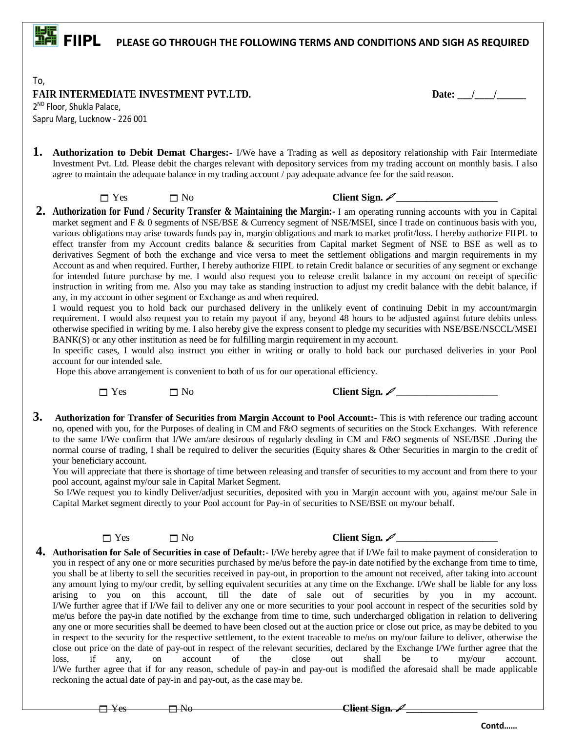## **FIFICAL PLEASE GO THROUGH THE FOLLOWING TERMS AND CONDITIONS AND SIGH AS REQUIRED**

To, **FAIR INTERMEDIATE INVESTMENT PVT.LTD.** Date:  $\frac{1}{2}$ 

2 ND Floor, Shukla Palace, Sapru Marg, Lucknow - 226 001

**1. Authorization to Debit Demat Charges:** I/We have a Trading as well as depository relationship with Fair Intermediate Investment Pvt. Ltd. Please debit the charges relevant with depository services from my trading account on monthly basis. I also agree to maintain the adequate balance in my trading account / pay adequate advance fee for the said reason.

 $\Box$  Yes  $\Box$  No Client Sign.  $\mathscr{L}$ 

**2. Authorization for Fund / Security Transfer & Maintaining the Margin:-** I am operating running accounts with you in Capital market segment and F & 0 segments of NSE/BSE & Currency segment of NSE/MSEI, since I trade on continuous basis with you, various obligations may arise towards funds pay in, margin obligations and mark to market profit/loss. I hereby authorize FIIPL to effect transfer from my Account credits balance & securities from Capital market Segment of NSE to BSE as well as to derivatives Segment of both the exchange and vice versa to meet the settlement obligations and margin requirements in my Account as and when required. Further, I hereby authorize FIIPL to retain Credit balance or securities of any segment or exchange for intended future purchase by me. I would also request you to release credit balance in my account on receipt of specific instruction in writing from me. Also you may take as standing instruction to adjust my credit balance with the debit balance, if any, in my account in other segment or Exchange as and when required.

I would request you to hold back our purchased delivery in the unlikely event of continuing Debit in my account/margin requirement. I would also request you to retain my payout if any, beyond 48 hours to be adjusted against future debits unless otherwise specified in writing by me. I also hereby give the express consent to pledge my securities with NSE/BSE/NSCCL/MSEI BANK(S) or any other institution as need be for fulfilling margin requirement in my account.

In specific cases, I would also instruct you either in writing or orally to hold back our purchased deliveries in your Pool account for our intended sale.

Hope this above arrangement is convenient to both of us for our operational efficiency.

 $\square$  Yes  $\square$  No Client Sign.  $\mathscr{L}$ 

**3. Authorization for Transfer of Securities from Margin Account to Pool Account:-** This is with reference our trading account no, opened with you, for the Purposes of dealing in CM and F&O segments of securities on the Stock Exchanges. With reference to the same I/We confirm that I/We am/are desirous of regularly dealing in CM and F&O segments of NSE/BSE .During the normal course of trading, I shall be required to deliver the securities (Equity shares & Other Securities in margin to the credit of your beneficiary account.

You will appreciate that there is shortage of time between releasing and transfer of securities to my account and from there to your pool account, against my/our sale in Capital Market Segment.

 So I/We request you to kindly Deliver/adjust securities, deposited with you in Margin account with you, against me/our Sale in Capital Market segment directly to your Pool account for Pay-in of securities to NSE/BSE on my/our behalf.



 $\square$  Yes  $\square$  No Client Sign.  $\swarrow$ 

**4. Authorisation for Sale of Securities in case of Default:-** I/We hereby agree that if I/We fail to make payment of consideration to you in respect of any one or more securities purchased by me/us before the pay-in date notified by the exchange from time to time, you shall be at liberty to sell the securities received in pay-out, in proportion to the amount not received, after taking into account any amount lying to my/our credit, by selling equivalent securities at any time on the Exchange. I/We shall be liable for any loss arising to you on this account, till the date of sale out of securities by you in my account. I/We further agree that if I/We fail to deliver any one or more securities to your pool account in respect of the securities sold by me/us before the pay-in date notified by the exchange from time to time, such undercharged obligation in relation to delivering any one or more securities shall be deemed to have been closed out at the auction price or close out price, as may be debited to you in respect to the security for the respective settlement, to the extent traceable to me/us on my/our failure to deliver, otherwise the close out price on the date of pay-out in respect of the relevant securities, declared by the Exchange I/We further agree that the loss, if any, on account of the close out shall be to my/our account. I/We further agree that if for any reason, schedule of pay-in and pay-out is modified the aforesaid shall be made applicable reckoning the actual date of pay-in and pay-out, as the case may be.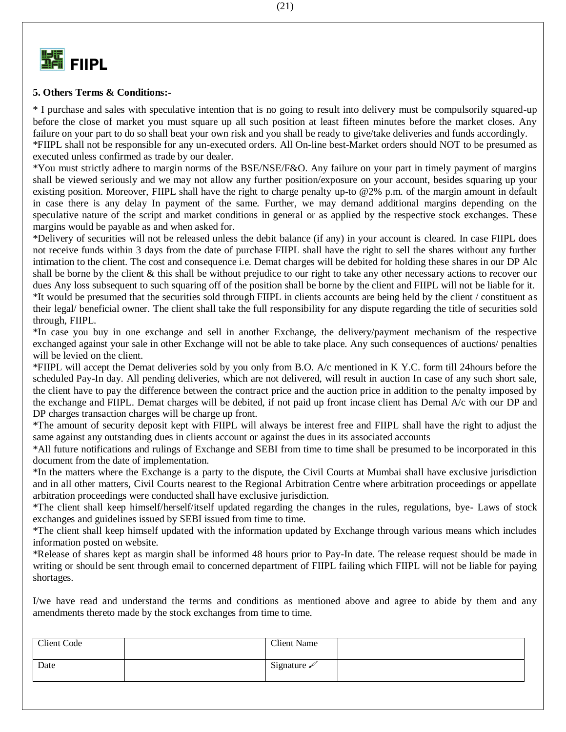

### **5. Others Terms & Conditions:-**

\* I purchase and sales with speculative intention that is no going to result into delivery must be compulsorily squared-up before the close of market you must square up all such position at least fifteen minutes before the market closes. Any failure on your part to do so shall beat your own risk and you shall be ready to give/take deliveries and funds accordingly. \*FIIPL shall not be responsible for any un-executed orders. All On-line best-Market orders should NOT to be presumed as executed unless confirmed as trade by our dealer.

\*You must strictly adhere to margin norms of the BSE/NSE/F&O. Any failure on your part in timely payment of margins shall be viewed seriously and we may not allow any further position/exposure on your account, besides squaring up your existing position. Moreover, FIIPL shall have the right to charge penalty up-to @2% p.m. of the margin amount in default in case there is any delay In payment of the same. Further, we may demand additional margins depending on the speculative nature of the script and market conditions in general or as applied by the respective stock exchanges. These margins would be payable as and when asked for.

\*Delivery of securities will not be released unless the debit balance (if any) in your account is cleared. In case FIIPL does not receive funds within 3 days from the date of purchase FIIPL shall have the right to sell the shares without any further intimation to the client. The cost and consequence i.e. Demat charges will be debited for holding these shares in our DP Alc shall be borne by the client & this shall be without prejudice to our right to take any other necessary actions to recover our dues Any loss subsequent to such squaring off of the position shall be borne by the client and FIIPL will not be liable for it. \*It would be presumed that the securities sold through FIIPL in clients accounts are being held by the client / constituent as their legal/ beneficial owner. The client shall take the full responsibility for any dispute regarding the title of securities sold through, FIIPL.

\*In case you buy in one exchange and sell in another Exchange, the delivery/payment mechanism of the respective exchanged against your sale in other Exchange will not be able to take place. Any such consequences of auctions/ penalties will be levied on the client.

\*FIIPL will accept the Demat deliveries sold by you only from B.O. A/c mentioned in K Y.C. form till 24hours before the scheduled Pay-In day. All pending deliveries, which are not delivered, will result in auction In case of any such short sale, the client have to pay the difference between the contract price and the auction price in addition to the penalty imposed by the exchange and FIIPL. Demat charges will be debited, if not paid up front incase client has Demal A/c with our DP and DP charges transaction charges will be charge up front.

\*The amount of security deposit kept with FIIPL will always be interest free and FIIPL shall have the right to adjust the same against any outstanding dues in clients account or against the dues in its associated accounts

\*All future notifications and rulings of Exchange and SEBI from time to time shall be presumed to be incorporated in this document from the date of implementation.

\*In the matters where the Exchange is a party to the dispute, the Civil Courts at Mumbai shall have exclusive jurisdiction and in all other matters, Civil Courts nearest to the Regional Arbitration Centre where arbitration proceedings or appellate arbitration proceedings were conducted shall have exclusive jurisdiction.

\*The client shall keep himself/herself/itself updated regarding the changes in the rules, regulations, bye- Laws of stock exchanges and guidelines issued by SEBI issued from time to time.

\*The client shall keep himself updated with the information updated by Exchange through various means which includes information posted on website.

\*Release of shares kept as margin shall be informed 48 hours prior to Pay-In date. The release request should be made in writing or should be sent through email to concerned department of FIIPL failing which FIIPL will not be liable for paying shortages.

I/we have read and understand the terms and conditions as mentioned above and agree to abide by them and any amendments thereto made by the stock exchanges from time to time.

| Client Code | <b>Client Name</b>         |  |
|-------------|----------------------------|--|
| Date        | Signature $\measuredangle$ |  |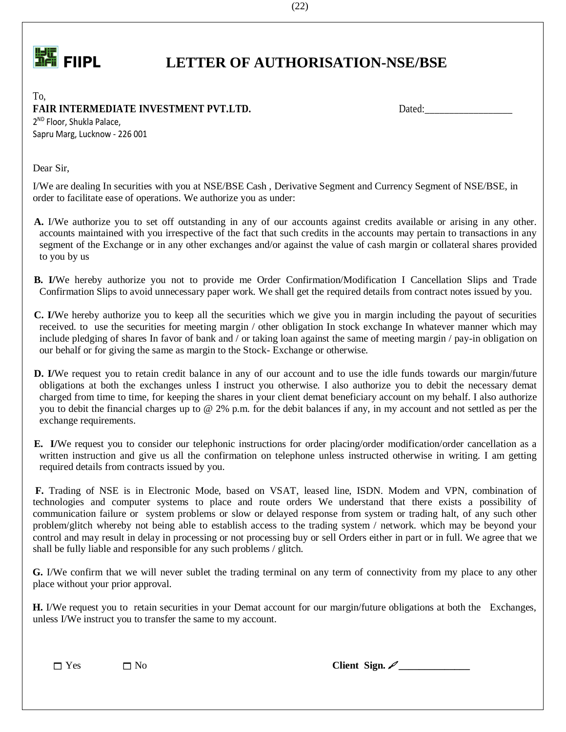

## **FIPL LETTER OF AUTHORISATION-NSE/BSE**

To, **FAIR INTERMEDIATE INVESTMENT PVT.LTD.** Dated: Dated:

2 ND Floor, Shukla Palace, Sapru Marg, Lucknow - 226 001

Dear Sir,

I/We are dealing In securities with you at NSE/BSE Cash , Derivative Segment and Currency Segment of NSE/BSE, in order to facilitate ease of operations. We authorize you as under:

- **A.** I/We authorize you to set off outstanding in any of our accounts against credits available or arising in any other. accounts maintained with you irrespective of the fact that such credits in the accounts may pertain to transactions in any segment of the Exchange or in any other exchanges and/or against the value of cash margin or collateral shares provided to you by us
- **B. I/**We hereby authorize you not to provide me Order Confirmation/Modification I Cancellation Slips and Trade Confirmation Slips to avoid unnecessary paper work. We shall get the required details from contract notes issued by you.
- **C. I/**We hereby authorize you to keep all the securities which we give you in margin including the payout of securities received. to use the securities for meeting margin / other obligation In stock exchange In whatever manner which may include pledging of shares In favor of bank and / or taking loan against the same of meeting margin / pay-in obligation on our behalf or for giving the same as margin to the Stock- Exchange or otherwise.
- **D.** I/We request you to retain credit balance in any of our account and to use the idle funds towards our margin/future obligations at both the exchanges unless I instruct you otherwise. I also authorize you to debit the necessary demat charged from time to time, for keeping the shares in your client demat beneficiary account on my behalf. I also authorize you to debit the financial charges up to @ 2% p.m. for the debit balances if any, in my account and not settled as per the exchange requirements.
- **E. I/**We request you to consider our telephonic instructions for order placing/order modification/order cancellation as a written instruction and give us all the confirmation on telephone unless instructed otherwise in writing. I am getting required details from contracts issued by you.

 **F.** Trading of NSE is in Electronic Mode, based on VSAT, leased line, ISDN. Modem and VPN, combination of technologies and computer systems to place and route orders We understand that there exists a possibility of communication failure or system problems or slow or delayed response from system or trading halt, of any such other problem/glitch whereby not being able to establish access to the trading system / network. which may be beyond your control and may result in delay in processing or not processing buy or sell Orders either in part or in full. We agree that we shall be fully liable and responsible for any such problems / glitch.

 **G.** I/We confirm that we will never sublet the trading terminal on any term of connectivity from my place to any other place without your prior approval.

 **H.** I/We request you to retain securities in your Demat account for our margin/future obligations at both the Exchanges, unless I/We instruct you to transfer the same to my account.

 $\Box$  Yes  $\Box$  No **Client Sign.**  $\mathscr{L}$ 

(22)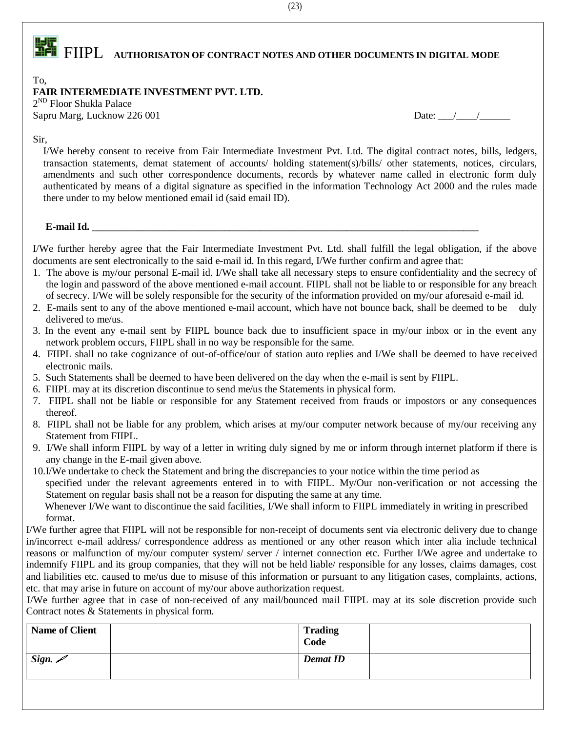# **FIFICAL PROPERTY AUTHORISATON OF CONTRACT NOTES AND OTHER DOCUMENTS IN DIGITAL MODE**

### To,

### **FAIR INTERMEDIATE INVESTMENT PVT. LTD.**

2 ND Floor Shukla Palace Sapru Marg, Lucknow 226 001 Date: \_\_\_/\_\_\_\_/\_\_\_\_\_\_

Sir,

I/We hereby consent to receive from Fair Intermediate Investment Pvt. Ltd. The digital contract notes, bills, ledgers, transaction statements, demat statement of accounts/ holding statement(s)/bills/ other statements, notices, circulars, amendments and such other correspondence documents, records by whatever name called in electronic form duly authenticated by means of a digital signature as specified in the information Technology Act 2000 and the rules made there under to my below mentioned email id (said email ID).

### **E-mail Id. \_\_\_\_\_\_\_\_\_\_\_\_\_\_\_\_\_\_\_\_\_\_\_\_\_\_\_\_\_\_\_\_\_\_\_\_\_\_\_\_\_\_\_\_\_\_\_\_\_\_\_\_\_\_\_\_\_\_\_\_\_\_\_\_\_\_\_\_\_\_\_\_\_\_\_\_**

I/We further hereby agree that the Fair Intermediate Investment Pvt. Ltd. shall fulfill the legal obligation, if the above documents are sent electronically to the said e-mail id. In this regard, I/We further confirm and agree that:

- 1. The above is my/our personal E-mail id. I/We shall take all necessary steps to ensure confidentiality and the secrecy of the login and password of the above mentioned e-mail account. FIIPL shall not be liable to or responsible for any breach of secrecy. I/We will be solely responsible for the security of the information provided on my/our aforesaid e-mail id.
- 2. E-mails sent to any of the above mentioned e-mail account, which have not bounce back, shall be deemed to be duly delivered to me/us.
- 3. In the event any e-mail sent by FIIPL bounce back due to insufficient space in my/our inbox or in the event any network problem occurs, FIIPL shall in no way be responsible for the same.
- 4. FIIPL shall no take cognizance of out-of-office/our of station auto replies and I/We shall be deemed to have received electronic mails.
- 5. Such Statements shall be deemed to have been delivered on the day when the e-mail is sent by FIIPL.
- 6. FIIPL may at its discretion discontinue to send me/us the Statements in physical form.
- 7. FIIPL shall not be liable or responsible for any Statement received from frauds or impostors or any consequences thereof.
- 8. FIIPL shall not be liable for any problem, which arises at my/our computer network because of my/our receiving any Statement from FIIPL.
- 9. I/We shall inform FIIPL by way of a letter in writing duly signed by me or inform through internet platform if there is any change in the E-mail given above.

10.I/We undertake to check the Statement and bring the discrepancies to your notice within the time period as specified under the relevant agreements entered in to with FIIPL. My/Our non-verification or not accessing the Statement on regular basis shall not be a reason for disputing the same at any time.

Whenever I/We want to discontinue the said facilities, I/We shall inform to FIIPL immediately in writing in prescribed format.

I/We further agree that FIIPL will not be responsible for non-receipt of documents sent via electronic delivery due to change in/incorrect e-mail address/ correspondence address as mentioned or any other reason which inter alia include technical reasons or malfunction of my/our computer system/ server / internet connection etc. Further I/We agree and undertake to indemnify FIIPL and its group companies, that they will not be held liable/ responsible for any losses, claims damages, cost and liabilities etc. caused to me/us due to misuse of this information or pursuant to any litigation cases, complaints, actions, etc. that may arise in future on account of my/our above authorization request.

 I/We further agree that in case of non-received of any mail/bounced mail FIIPL may at its sole discretion provide such Contract notes & Statements in physical form.

| <b>Name of Client</b> | <b>Trading</b><br>Code |  |
|-----------------------|------------------------|--|
| Sign. $\mathscr{D}$   | <b>Demat ID</b>        |  |

 $(23)$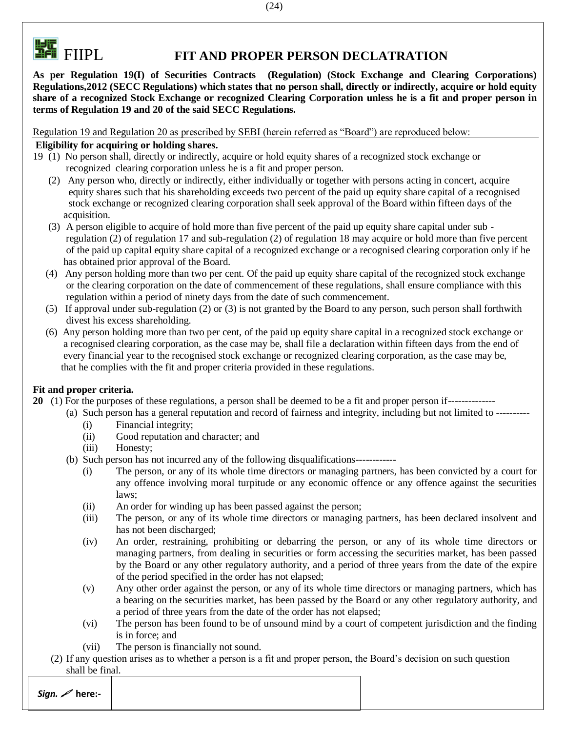

## **FILE**<br>**FILE** FIIPL FIT AND PROPER PERSON DECLATRATION

**As per Regulation 19(I) of Securities Contracts (Regulation) (Stock Exchange and Clearing Corporations) Regulations,2012 (SECC Regulations) which states that no person shall, directly or indirectly, acquire or hold equity share of a recognized Stock Exchange or recognized Clearing Corporation unless he is a fit and proper person in terms of Regulation 19 and 20 of the said SECC Regulations.**

Regulation 19 and Regulation 20 as prescribed by SEBI (herein referred as "Board") are reproduced below:

### **Eligibility for acquiring or holding shares.**

- 19 (1) No person shall, directly or indirectly, acquire or hold equity shares of a recognized stock exchange or recognized clearing corporation unless he is a fit and proper person.
	- (2) Any person who, directly or indirectly, either individually or together with persons acting in concert, acquire equity shares such that his shareholding exceeds two percent of the paid up equity share capital of a recognised stock exchange or recognized clearing corporation shall seek approval of the Board within fifteen days of the acquisition.
	- (3) A person eligible to acquire of hold more than five percent of the paid up equity share capital under sub regulation (2) of regulation 17 and sub-regulation (2) of regulation 18 may acquire or hold more than five percent of the paid up capital equity share capital of a recognized exchange or a recognised clearing corporation only if he has obtained prior approval of the Board.
	- (4) Any person holding more than two per cent. Of the paid up equity share capital of the recognized stock exchange or the clearing corporation on the date of commencement of these regulations, shall ensure compliance with this regulation within a period of ninety days from the date of such commencement.
	- (5) If approval under sub-regulation (2) or (3) is not granted by the Board to any person, such person shall forthwith divest his excess shareholding.
	- (6) Any person holding more than two per cent, of the paid up equity share capital in a recognized stock exchange or a recognised clearing corporation, as the case may be, shall file a declaration within fifteen days from the end of every financial year to the recognised stock exchange or recognized clearing corporation, as the case may be, that he complies with the fit and proper criteria provided in these regulations.

### **Fit and proper criteria.**

- **20** (1) For the purposes of these regulations, a person shall be deemed to be a fit and proper person if--------------
	- (a) Such person has a general reputation and record of fairness and integrity, including but not limited to ---------- (i) Financial integrity;
		- (ii) Good reputation and character; and
		- (iii) Honesty;
	- (b) Such person has not incurred any of the following disqualifications------------
		- (i) The person, or any of its whole time directors or managing partners, has been convicted by a court for any offence involving moral turpitude or any economic offence or any offence against the securities laws;
		- (ii) An order for winding up has been passed against the person;
		- (iii) The person, or any of its whole time directors or managing partners, has been declared insolvent and has not been discharged;
		- (iv) An order, restraining, prohibiting or debarring the person, or any of its whole time directors or managing partners, from dealing in securities or form accessing the securities market, has been passed by the Board or any other regulatory authority, and a period of three years from the date of the expire of the period specified in the order has not elapsed;
		- (v) Any other order against the person, or any of its whole time directors or managing partners, which has a bearing on the securities market, has been passed by the Board or any other regulatory authority, and a period of three years from the date of the order has not elapsed;
		- (vi) The person has been found to be of unsound mind by a court of competent jurisdiction and the finding is in force; and
		- (vii) The person is financially not sound.
	- (2) If any question arises as to whether a person is a fit and proper person, the Board's decision on such question shall be final.

*Sign.*  **here:-**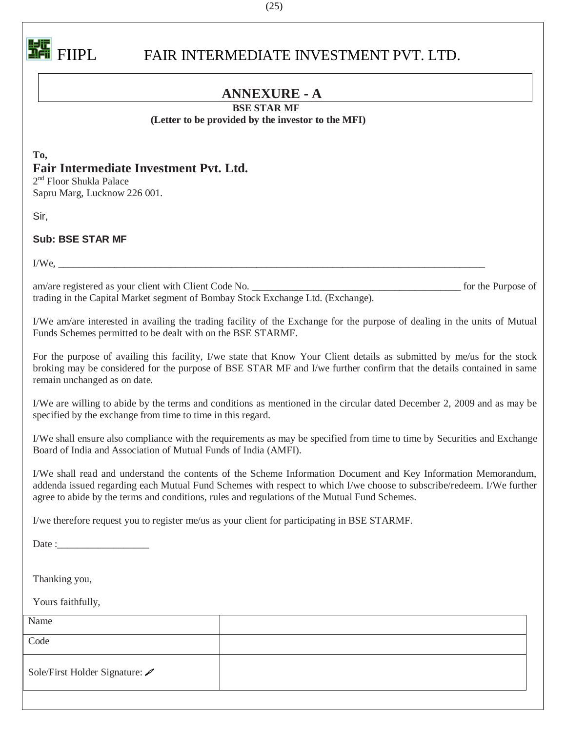

## FIIPL FAIR INTERMEDIATE INVESTMENT PVT. LTD.

### **ANNEXURE - A**

### **BSE STAR MF**

### **(Letter to be provided by the investor to the MFI)**

**To, Fair Intermediate Investment Pvt. Ltd.**

2<sup>nd</sup> Floor Shukla Palace Sapru Marg, Lucknow 226 001.

Sir,

**Sub: BSE STAR MF**

 $I/We$ ,

am/are registered as your client with Client Code No.  $\blacksquare$  for the Purpose of trading in the Capital Market segment of Bombay Stock Exchange Ltd. (Exchange).

I/We am/are interested in availing the trading facility of the Exchange for the purpose of dealing in the units of Mutual Funds Schemes permitted to be dealt with on the BSE STARMF.

For the purpose of availing this facility, I/we state that Know Your Client details as submitted by me/us for the stock broking may be considered for the purpose of BSE STAR MF and I/we further confirm that the details contained in same remain unchanged as on date.

I/We are willing to abide by the terms and conditions as mentioned in the circular dated December 2, 2009 and as may be specified by the exchange from time to time in this regard.

I/We shall ensure also compliance with the requirements as may be specified from time to time by Securities and Exchange Board of India and Association of Mutual Funds of India (AMFI).

I/We shall read and understand the contents of the Scheme Information Document and Key Information Memorandum, addenda issued regarding each Mutual Fund Schemes with respect to which I/we choose to subscribe/redeem. I/We further agree to abide by the terms and conditions, rules and regulations of the Mutual Fund Schemes.

I/we therefore request you to register me/us as your client for participating in BSE STARMF.

Date :

Thanking you,

Yours faithfully,

| Name                         |  |
|------------------------------|--|
| Code                         |  |
| Sole/First Holder Signature: |  |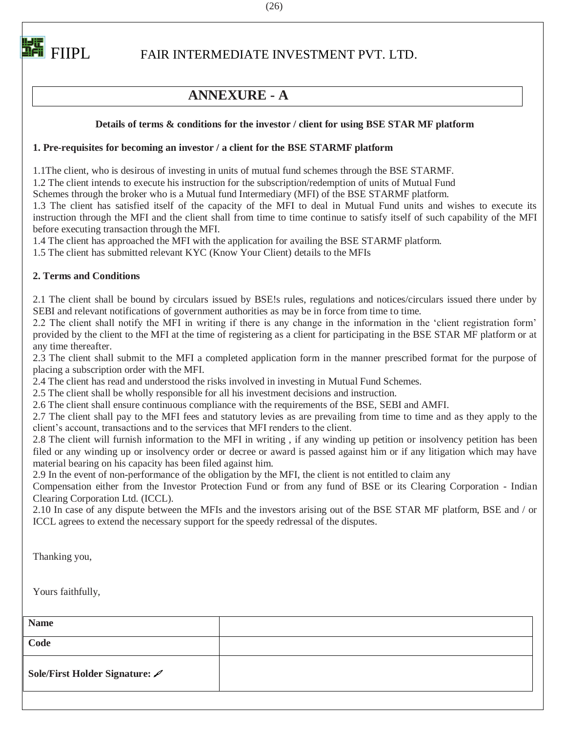

## FIIPL FAIR INTERMEDIATE INVESTMENT PVT. LTD.

### **ANNEXURE - A**

### **Details of terms & conditions for the investor / client for using BSE STAR MF platform**

### **1. Pre-requisites for becoming an investor / a client for the BSE STARMF platform**

1.1The client, who is desirous of investing in units of mutual fund schemes through the BSE STARMF.

1.2 The client intends to execute his instruction for the subscription/redemption of units of Mutual Fund

Schemes through the broker who is a Mutual fund Intermediary (MFI) of the BSE STARMF platform.

1.3 The client has satisfied itself of the capacity of the MFI to deal in Mutual Fund units and wishes to execute its instruction through the MFI and the client shall from time to time continue to satisfy itself of such capability of the MFI before executing transaction through the MFI.

1.4 The client has approached the MFI with the application for availing the BSE STARMF platform.

1.5 The client has submitted relevant KYC (Know Your Client) details to the MFIs

### **2. Terms and Conditions**

2.1 The client shall be bound by circulars issued by BSE!s rules, regulations and notices/circulars issued there under by SEBI and relevant notifications of government authorities as may be in force from time to time.

2.2 The client shall notify the MFI in writing if there is any change in the information in the 'client registration form' provided by the client to the MFI at the time of registering as a client for participating in the BSE STAR MF platform or at any time thereafter.

2.3 The client shall submit to the MFI a completed application form in the manner prescribed format for the purpose of placing a subscription order with the MFI.

2.4 The client has read and understood the risks involved in investing in Mutual Fund Schemes.

2.5 The client shall be wholly responsible for all his investment decisions and instruction.

2.6 The client shall ensure continuous compliance with the requirements of the BSE, SEBI and AMFI.

2.7 The client shall pay to the MFI fees and statutory levies as are prevailing from time to time and as they apply to the client's account, transactions and to the services that MFI renders to the client.

2.8 The client will furnish information to the MFI in writing , if any winding up petition or insolvency petition has been filed or any winding up or insolvency order or decree or award is passed against him or if any litigation which may have material bearing on his capacity has been filed against him.

2.9 In the event of non-performance of the obligation by the MFI, the client is not entitled to claim any

Compensation either from the Investor Protection Fund or from any fund of BSE or its Clearing Corporation - Indian Clearing Corporation Ltd. (ICCL).

2.10 In case of any dispute between the MFIs and the investors arising out of the BSE STAR MF platform, BSE and / or ICCL agrees to extend the necessary support for the speedy redressal of the disputes.

Thanking you,

Yours faithfully,

| <b>Name</b>                    |  |
|--------------------------------|--|
| Code                           |  |
| Sole/First Holder Signature: / |  |

(26)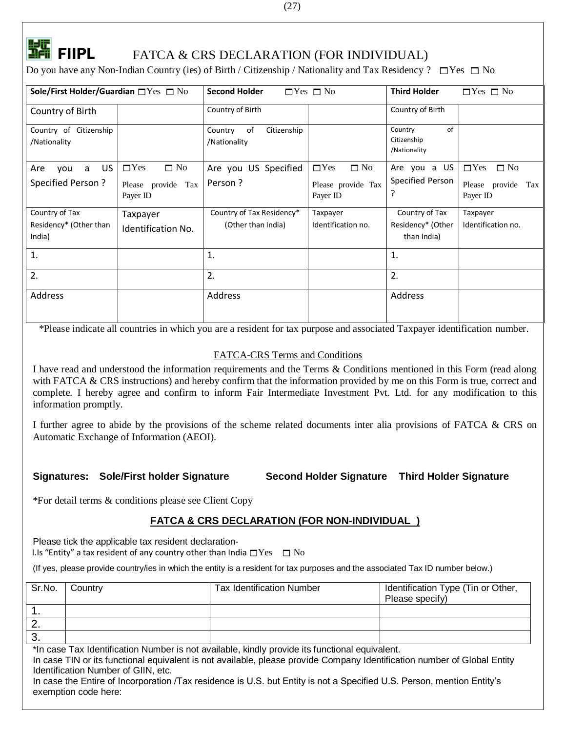

## **FILM**<br>**EFIIPL** FATCA & CRS DECLARATION (FOR INDIVIDUAL)

Do you have any Non-Indian Country (ies) of Birth / Citizenship / Nationality and Tax Residency ?  $\Box$  Yes  $\Box$  No

| Sole/First Holder/Guardian $\square$ Yes $\square$ No |                                                           | <b>Second Holder</b>                            | $\Box$ Yes $\Box$ No                                      | <b>Third Holder</b>                                | $\Box$ Yes $\Box$ No                                      |
|-------------------------------------------------------|-----------------------------------------------------------|-------------------------------------------------|-----------------------------------------------------------|----------------------------------------------------|-----------------------------------------------------------|
| Country of Birth                                      |                                                           | Country of Birth                                |                                                           | Country of Birth                                   |                                                           |
| Country of Citizenship<br>/Nationality                |                                                           | of<br>Citizenship<br>Country<br>/Nationality    |                                                           | Country<br>of<br>Citizenship<br>/Nationality       |                                                           |
| US<br>Are<br>a<br>you<br>Specified Person?            | $\Box$ Yes<br>$\Box$ No<br>Please provide Tax<br>Payer ID | Are you US Specified<br>Person?                 | $\Box$ Yes<br>$\Box$ No<br>Please provide Tax<br>Payer ID | Are you a US<br>Specified Person<br>?              | $\Box$ Yes<br>$\Box$ No<br>Please provide Tax<br>Payer ID |
| Country of Tax<br>Residency* (Other than<br>India)    | Taxpayer<br><b>Identification No.</b>                     | Country of Tax Residency*<br>(Other than India) | Taxpayer<br>Identification no.                            | Country of Tax<br>Residency* (Other<br>than India) | Taxpayer<br>Identification no.                            |
| 1.                                                    |                                                           | 1.                                              |                                                           | 1.                                                 |                                                           |
| 2.                                                    |                                                           | 2.                                              |                                                           | 2.                                                 |                                                           |
| Address                                               |                                                           | Address                                         |                                                           | Address                                            |                                                           |

\*Please indicate all countries in which you are a resident for tax purpose and associated Taxpayer identification number.

### FATCA-CRS Terms and Conditions

I have read and understood the information requirements and the Terms & Conditions mentioned in this Form (read along with FATCA & CRS instructions) and hereby confirm that the information provided by me on this Form is true, correct and complete. I hereby agree and confirm to inform Fair Intermediate Investment Pvt. Ltd. for any modification to this information promptly.

I further agree to abide by the provisions of the scheme related documents inter alia provisions of FATCA & CRS on Automatic Exchange of Information (AEOI).

**Signatures: Sole/First holder Signature Second Holder Signature Third Holder Signature**

\*For detail terms & conditions please see Client Copy

### **FATCA & CRS DECLARATION (FOR NON-INDIVIDUAL )**

Please tick the applicable tax resident declaration-

I.Is "Entity" a tax resident of any country other than India  $\Box$  Yes  $\Box$  No

(If yes, please provide country/ies in which the entity is a resident for tax purposes and the associated Tax ID number below.)

| Sr.No. | Country | <b>Tax Identification Number</b> | Identification Type (Tin or Other,<br>Please specify) |
|--------|---------|----------------------------------|-------------------------------------------------------|
|        |         |                                  |                                                       |
| Ζ.     |         |                                  |                                                       |
| - 3.   |         |                                  |                                                       |

\*In case Tax Identification Number is not available, kindly provide its functional equivalent.

In case TIN or its functional equivalent is not available, please provide Company Identification number of Global Entity Identification Number of GIIN, etc.

In case the Entire of Incorporation /Tax residence is U.S. but Entity is not a Specified U.S. Person, mention Entity's exemption code here: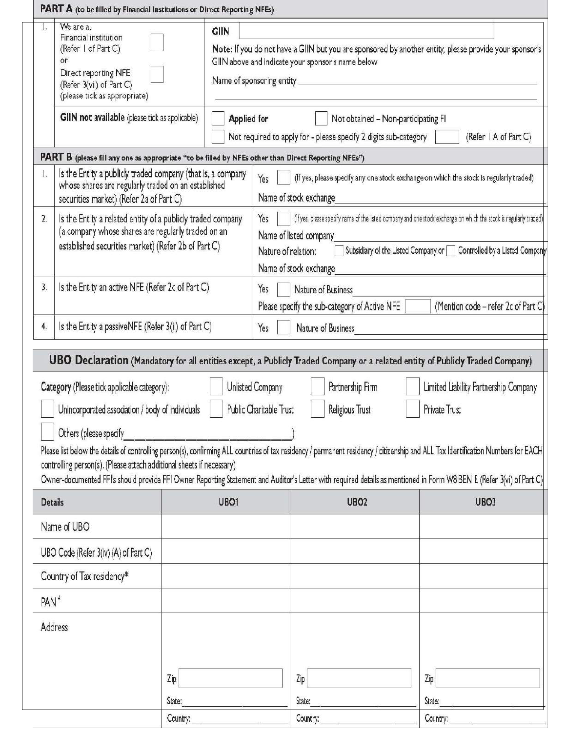|                  | <b>PART A</b> (to be filled by Financial Institutions or Direct Reporting NFEs)                                                                                          |                                   |                            |                                                                                                                                                                                    |                                       |
|------------------|--------------------------------------------------------------------------------------------------------------------------------------------------------------------------|-----------------------------------|----------------------------|------------------------------------------------------------------------------------------------------------------------------------------------------------------------------------|---------------------------------------|
| Iv.              | We are a,<br>Financial institution<br>(Refer I of Part C)<br>or.<br>Direct reporting NFE<br>(Refer 3(vii) of Part C)<br>(please tick as appropriate)                     | GIIN<br>Name of sponsoring entity |                            | Note: If you do not have a GIIN but you are sponsored by another entity, please provide your sponsor's<br>GIIN above and indicate your sponsor's name below                        |                                       |
|                  | <b>GIIN</b> not available (please tick as applicable)                                                                                                                    | <b>Applied for</b>                |                            | Not obtained - Non-participating FI<br>Not required to apply for - please specify 2 digits sub-category                                                                            | (Refer   A of Part C)                 |
|                  | PART B (please fill any one as appropriate "to be filled by NFEs other than Direct Reporting NFEs")                                                                      |                                   |                            |                                                                                                                                                                                    |                                       |
| $\mathbf{L}$     | Is the Entity a publicly traded company (that is, a company<br>whose shares are regularly traded on an established<br>securities market) (Refer 2a of Part C)            |                                   | Yes                        | (If yes, please specify any one stock exchange on which the stock is regularly traded)<br>Name of stock exchange                                                                   |                                       |
| $\overline{2}$ . | Is the Entity a related entity of a publicly traded company<br>(a company whose shares are regularly traded on an<br>established securities market) (Refer 2b of Part C) |                                   | Yes<br>Nature of relation: | (If yes, please specify name of the listed company and one stock exchange on which the stock is regularly traded)<br>Name of listed company<br>Subsidiary of the Listed Company or | Controlled by a Listed Company        |
|                  |                                                                                                                                                                          |                                   |                            | Name of stock exchange                                                                                                                                                             |                                       |
| 3,               | Is the Entity an active NFE (Refer 2c of Part C)                                                                                                                         |                                   | Yes                        | Nature of Business<br>Please specify the sub-category of Active NFE                                                                                                                | (Mention code - refer 2c of Part C)   |
| 4.               | Is the Entity a passiveNFE (Refer 3(ii) of Part C)                                                                                                                       |                                   | Yes                        | Nature of Business                                                                                                                                                                 |                                       |
|                  |                                                                                                                                                                          |                                   |                            |                                                                                                                                                                                    |                                       |
|                  |                                                                                                                                                                          |                                   |                            | <b>UBO Declaration</b> (Mandatory for all entities except, a Publicly Traded Company or a related entity of Publicly Traded Company)                                               |                                       |
|                  | Category (Please tick applicable category):                                                                                                                              |                                   | Unlisted Company           | Partnership Firm                                                                                                                                                                   | Limited Liability Partnership Company |
|                  | Unincorporated association / body of individuals                                                                                                                         |                                   | Public Charitable Trust    | Religious Trust                                                                                                                                                                    | Private Trust                         |
|                  | Others (please specify                                                                                                                                                   |                                   |                            |                                                                                                                                                                                    |                                       |
|                  |                                                                                                                                                                          |                                   |                            | Please list below the details of controlling person(s), confirming ALL countries of tax residency / permanent residency / citizenship and ALL Tax Identification Numbers for EACH  |                                       |
|                  | controlling person(s). (Please attach additional sheets if necessary)                                                                                                    |                                   |                            |                                                                                                                                                                                    |                                       |
|                  |                                                                                                                                                                          |                                   |                            | Owner-documented FFI's should provide FFI Owner Reporting Statement and Auditor's Letter with required details as mentioned in Form W8 BEN E (Refer 3(vi) of Part C)               |                                       |
| <b>Details</b>   |                                                                                                                                                                          | UBO <sub>1</sub>                  |                            | UBO <sub>2</sub>                                                                                                                                                                   | UBO <sub>3</sub>                      |
|                  | Name of UBO                                                                                                                                                              |                                   |                            |                                                                                                                                                                                    |                                       |
|                  | UBO Code (Refer 3(iv) (A) of Part C)                                                                                                                                     |                                   |                            |                                                                                                                                                                                    |                                       |
|                  | Country of Tax residency*                                                                                                                                                |                                   |                            |                                                                                                                                                                                    |                                       |
| PAN <sup>#</sup> |                                                                                                                                                                          |                                   |                            |                                                                                                                                                                                    |                                       |
|                  | Address                                                                                                                                                                  |                                   |                            |                                                                                                                                                                                    |                                       |
|                  |                                                                                                                                                                          | Zip                               |                            | Zip                                                                                                                                                                                | Zip                                   |
|                  |                                                                                                                                                                          | State:                            |                            | State:                                                                                                                                                                             | State:                                |
|                  |                                                                                                                                                                          | Country:                          |                            | Country:                                                                                                                                                                           | Country:                              |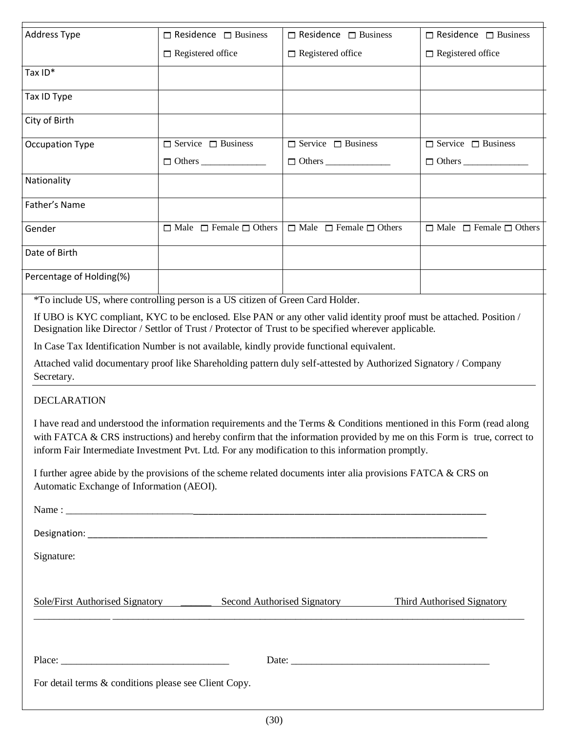| <b>Address Type</b>                                   | $\Box$ Residence $\Box$ Business                                                                                                                                                                                                                                                                                                                    | $\Box$ Residence $\Box$ Business        | $\Box$ Residence $\Box$ Business        |
|-------------------------------------------------------|-----------------------------------------------------------------------------------------------------------------------------------------------------------------------------------------------------------------------------------------------------------------------------------------------------------------------------------------------------|-----------------------------------------|-----------------------------------------|
|                                                       | $\Box$ Registered office                                                                                                                                                                                                                                                                                                                            | $\Box$ Registered office                | $\Box$ Registered office                |
| Tax ID*                                               |                                                                                                                                                                                                                                                                                                                                                     |                                         |                                         |
| Tax ID Type                                           |                                                                                                                                                                                                                                                                                                                                                     |                                         |                                         |
| City of Birth                                         |                                                                                                                                                                                                                                                                                                                                                     |                                         |                                         |
| <b>Occupation Type</b>                                | $\Box$ Service $\Box$ Business                                                                                                                                                                                                                                                                                                                      | $\Box$ Service $\Box$ Business          | $\Box$ Service $\Box$ Business          |
|                                                       | $\Box$ Others                                                                                                                                                                                                                                                                                                                                       | $\Box$ Others                           | $\Box$ Others                           |
| Nationality                                           |                                                                                                                                                                                                                                                                                                                                                     |                                         |                                         |
| Father's Name                                         |                                                                                                                                                                                                                                                                                                                                                     |                                         |                                         |
| Gender                                                | $\Box$ Male $\Box$ Female $\Box$ Others                                                                                                                                                                                                                                                                                                             | $\Box$ Male $\Box$ Female $\Box$ Others | $\Box$ Male $\Box$ Female $\Box$ Others |
| Date of Birth                                         |                                                                                                                                                                                                                                                                                                                                                     |                                         |                                         |
| Percentage of Holding(%)                              |                                                                                                                                                                                                                                                                                                                                                     |                                         |                                         |
|                                                       | *To include US, where controlling person is a US citizen of Green Card Holder.                                                                                                                                                                                                                                                                      |                                         |                                         |
|                                                       | If UBO is KYC compliant, KYC to be enclosed. Else PAN or any other valid identity proof must be attached. Position /<br>Designation like Director / Settlor of Trust / Protector of Trust to be specified wherever applicable.                                                                                                                      |                                         |                                         |
|                                                       | In Case Tax Identification Number is not available, kindly provide functional equivalent.                                                                                                                                                                                                                                                           |                                         |                                         |
| Secretary.                                            | Attached valid documentary proof like Shareholding pattern duly self-attested by Authorized Signatory / Company                                                                                                                                                                                                                                     |                                         |                                         |
| <b>DECLARATION</b>                                    |                                                                                                                                                                                                                                                                                                                                                     |                                         |                                         |
|                                                       | I have read and understood the information requirements and the Terms & Conditions mentioned in this Form (read along<br>with FATCA & CRS instructions) and hereby confirm that the information provided by me on this Form is true, correct to<br>inform Fair Intermediate Investment Pvt. Ltd. For any modification to this information promptly. |                                         |                                         |
| Automatic Exchange of Information (AEOI).             | I further agree abide by the provisions of the scheme related documents inter alia provisions FATCA $&CRS$ on                                                                                                                                                                                                                                       |                                         |                                         |
|                                                       |                                                                                                                                                                                                                                                                                                                                                     |                                         |                                         |
|                                                       |                                                                                                                                                                                                                                                                                                                                                     |                                         |                                         |
| Signature:                                            |                                                                                                                                                                                                                                                                                                                                                     |                                         |                                         |
|                                                       |                                                                                                                                                                                                                                                                                                                                                     |                                         |                                         |
| Sole/First Authorised Signatory                       |                                                                                                                                                                                                                                                                                                                                                     | Second Authorised Signatory             | <b>Third Authorised Signatory</b>       |
|                                                       |                                                                                                                                                                                                                                                                                                                                                     |                                         |                                         |
| For detail terms & conditions please see Client Copy. |                                                                                                                                                                                                                                                                                                                                                     |                                         |                                         |
|                                                       |                                                                                                                                                                                                                                                                                                                                                     |                                         |                                         |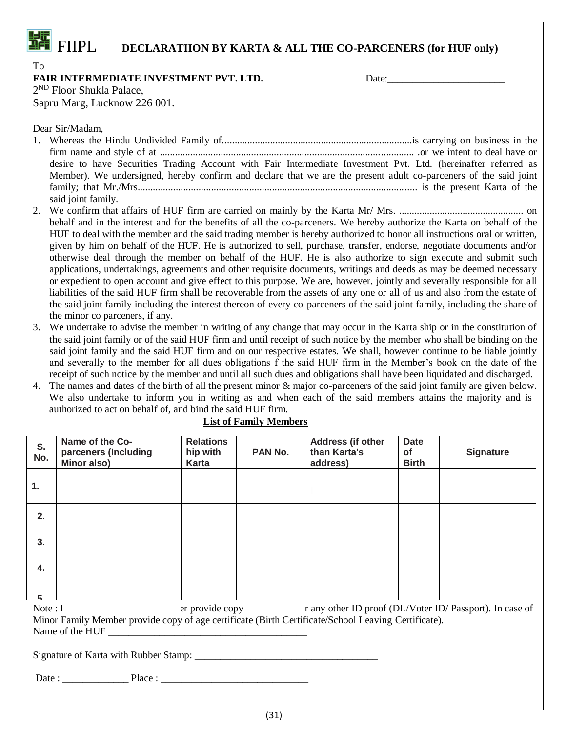## **FEE**<br>**EFFICITE:** DECLARATIION BY KARTA & ALL THE CO-PARCENERS (for HUF only)

| v<br>I<br>۰.<br>×<br>۰. |
|-------------------------|
|-------------------------|

### **FAIR INTERMEDIATE INVESTMENT PVT. LTD.** Date:

2<sup>ND</sup> Floor Shukla Palace,

Sapru Marg, Lucknow 226 001.

Dear Sir/Madam,

- 1. Whereas the Hindu Undivided Family of...........................................................................is carrying on business in the firm name and style of at .................................................................................................... .or we intent to deal have or desire to have Securities Trading Account with Fair Intermediate Investment Pvt. Ltd. (hereinafter referred as Member). We undersigned, hereby confirm and declare that we are the present adult co-parceners of the said joint family; that Mr./Mrs.............................................................................................................. is the present Karta of the said joint family.
- 2. We confirm that affairs of HUF firm are carried on mainly by the Karta Mr/ Mrs. ................................................. on behalf and in the interest and for the benefits of all the co-parceners. We hereby authorize the Karta on behalf of the HUF to deal with the member and the said trading member is hereby authorized to honor all instructions oral or written, given by him on behalf of the HUF. He is authorized to sell, purchase, transfer, endorse, negotiate documents and/or otherwise deal through the member on behalf of the HUF. He is also authorize to sign execute and submit such applications, undertakings, agreements and other requisite documents, writings and deeds as may be deemed necessary or expedient to open account and give effect to this purpose. We are, however, jointly and severally responsible for all liabilities of the said HUF firm shall be recoverable from the assets of any one or all of us and also from the estate of the said joint family including the interest thereon of every co-parceners of the said joint family, including the share of the minor co parceners, if any.
- 3. We undertake to advise the member in writing of any change that may occur in the Karta ship or in the constitution of the said joint family or of the said HUF firm and until receipt of such notice by the member who shall be binding on the said joint family and the said HUF firm and on our respective estates. We shall, however continue to be liable jointly and severally to the member for all dues obligations f the said HUF firm in the Member's book on the date of the receipt of such notice by the member and until all such dues and obligations shall have been liquidated and discharged.
- 4. The names and dates of the birth of all the present minor & major co-parceners of the said joint family are given below. We also undertake to inform you in writing as and when each of the said members attains the majority and is authorized to act on behalf of, and bind the said HUF firm.

| S.<br>No. | Name of the Co-<br>parceners (Including<br>Minor also)                                              | <b>Relations</b><br>hip with<br>Karta | PAN No. | Address (if other<br>than Karta's<br>address) | Date<br><b>of</b><br><b>Birth</b> | <b>Signature</b>                                                                           |
|-----------|-----------------------------------------------------------------------------------------------------|---------------------------------------|---------|-----------------------------------------------|-----------------------------------|--------------------------------------------------------------------------------------------|
| 1.        |                                                                                                     |                                       |         |                                               |                                   |                                                                                            |
| 2.        |                                                                                                     |                                       |         |                                               |                                   |                                                                                            |
| 3.        |                                                                                                     |                                       |         |                                               |                                   |                                                                                            |
| 4.        |                                                                                                     |                                       |         |                                               |                                   |                                                                                            |
| 5         |                                                                                                     |                                       |         |                                               |                                   |                                                                                            |
| Note: 1   |                                                                                                     |                                       |         |                                               |                                   | expected are provided copy of the range of the ID proof (DL/Voter ID/Passport). In case of |
|           | Minor Family Member provide copy of age certificate (Birth Certificate/School Leaving Certificate). |                                       |         |                                               |                                   |                                                                                            |
|           | Name of the HUF                                                                                     |                                       |         |                                               |                                   |                                                                                            |
|           |                                                                                                     |                                       |         |                                               |                                   |                                                                                            |
|           |                                                                                                     |                                       |         |                                               |                                   |                                                                                            |

### **List of Family Members**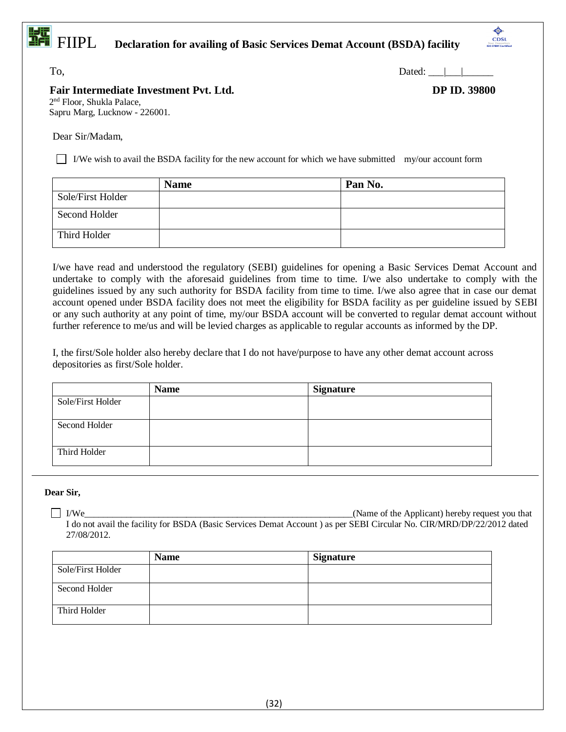# FIIPL **Declaration for availing of Basic Services Demat Account (BSDA) facility**

 $To,$  Dated:  $\Box$ 

### **Fair Intermediate Investment Pvt. Ltd. DP ID. 39800**

۵ CDSL

2<sup>nd</sup> Floor, Shukla Palace, Sapru Marg, Lucknow - 226001.

Dear Sir/Madam,

I/We wish to avail the BSDA facility for the new account for which we have submitted my/our account form

|                   | <b>Name</b> | Pan No. |
|-------------------|-------------|---------|
| Sole/First Holder |             |         |
| Second Holder     |             |         |
| Third Holder      |             |         |

I/we have read and understood the regulatory (SEBI) guidelines for opening a Basic Services Demat Account and undertake to comply with the aforesaid guidelines from time to time. I/we also undertake to comply with the guidelines issued by any such authority for BSDA facility from time to time. I/we also agree that in case our demat account opened under BSDA facility does not meet the eligibility for BSDA facility as per guideline issued by SEBI or any such authority at any point of time, my/our BSDA account will be converted to regular demat account without further reference to me/us and will be levied charges as applicable to regular accounts as informed by the DP.

I, the first/Sole holder also hereby declare that I do not have/purpose to have any other demat account across depositories as first/Sole holder.

|                   | <b>Name</b> | <b>Signature</b> |
|-------------------|-------------|------------------|
| Sole/First Holder |             |                  |
| Second Holder     |             |                  |
| Third Holder      |             |                  |

### **Dear Sir,**

I/We\_\_\_\_\_\_\_\_\_\_\_\_\_\_\_\_\_\_\_\_\_\_\_\_\_\_\_\_\_\_\_\_\_\_\_\_\_\_\_\_\_\_\_\_\_\_\_\_\_\_\_\_\_\_\_\_\_\_(Name of the Applicant) hereby request you that I do not avail the facility for BSDA (Basic Services Demat Account ) as per SEBI Circular No. CIR/MRD/DP/22/2012 dated 27/08/2012.

|                   | <b>Name</b> | <b>Signature</b> |
|-------------------|-------------|------------------|
| Sole/First Holder |             |                  |
| Second Holder     |             |                  |
| Third Holder      |             |                  |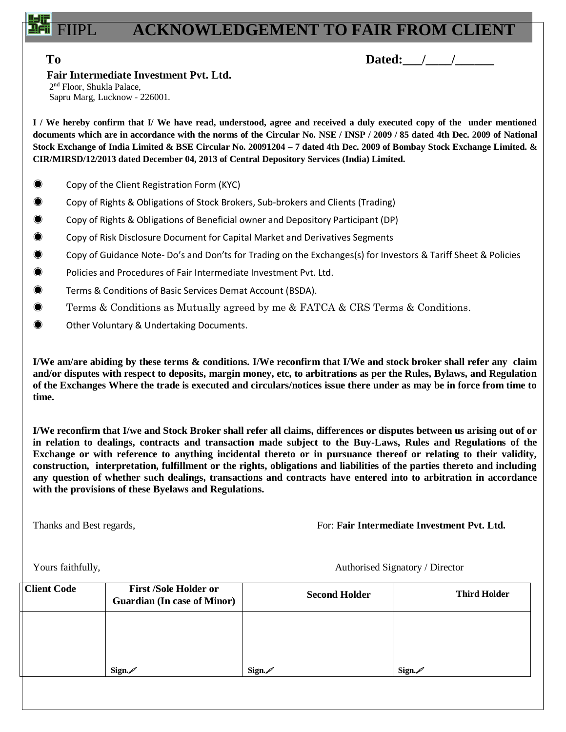## **ACKNOWLEDGEMENT TO FAIR FROM CLIENT**

**To Dated:** / /

### **Fair Intermediate Investment Pvt. Ltd.**

2<sup>nd</sup> Floor, Shukla Palace, Sapru Marg, Lucknow - 226001.

**I / We hereby confirm that I/ We have read, understood, agree and received a duly executed copy of the under mentioned documents which are in accordance with the norms of the Circular No. NSE / INSP / 2009 / 85 dated 4th Dec. 2009 of National Stock Exchange of India Limited & BSE Circular No. 20091204 – 7 dated 4th Dec. 2009 of Bombay Stock Exchange Limited. & CIR/MIRSD/12/2013 dated December 04, 2013 of Central Depository Services (India) Limited.**

- ◉ Copy of the Client Registration Form (KYC)
- ◉ Copy of Rights & Obligations of Stock Brokers, Sub-brokers and Clients (Trading)
- ◉ Copy of Rights & Obligations of Beneficial owner and Depository Participant (DP)
- ◉ Copy of Risk Disclosure Document for Capital Market and Derivatives Segments
- ◉ Copy of Guidance Note- Do's and Don'ts for Trading on the Exchanges(s) for Investors & Tariff Sheet & Policies
- ◉ Policies and Procedures of Fair Intermediate Investment Pvt. Ltd.
- ◉ Terms & Conditions of Basic Services Demat Account (BSDA).
- ◉ Terms & Conditions as Mutually agreed by me & FATCA & CRS Terms & Conditions.
- ◉ Other Voluntary & Undertaking Documents.

**I/We am/are abiding by these terms & conditions. I/We reconfirm that I/We and stock broker shall refer any claim and/or disputes with respect to deposits, margin money, etc, to arbitrations as per the Rules, Bylaws, and Regulation of the Exchanges Where the trade is executed and circulars/notices issue there under as may be in force from time to time.**

**I/We reconfirm that I/we and Stock Broker shall refer all claims, differences or disputes between us arising out of or in relation to dealings, contracts and transaction made subject to the Buy-Laws, Rules and Regulations of the Exchange or with reference to anything incidental thereto or in pursuance thereof or relating to their validity, construction, interpretation, fulfillment or the rights, obligations and liabilities of the parties thereto and including any question of whether such dealings, transactions and contracts have entered into to arbitration in accordance with the provisions of these Byelaws and Regulations.**

Thanks and Best regards, For: **Fair Intermediate Investment Pvt. Ltd.** 

Yours faithfully, **Authorised Signatory / Director** 

|                                                                   | <b>Client Code</b> | <b>First /Sole Holder or</b><br><b>Guardian (In case of Minor)</b> | <b>Second Holder</b> | <b>Third Holder</b> |
|-------------------------------------------------------------------|--------------------|--------------------------------------------------------------------|----------------------|---------------------|
|                                                                   |                    |                                                                    |                      |                     |
|                                                                   |                    |                                                                    |                      |                     |
| Sign. $\mathscr{D}$<br>Sign. $\mathscr{D}$<br>Sign. $\mathscr{D}$ |                    |                                                                    |                      |                     |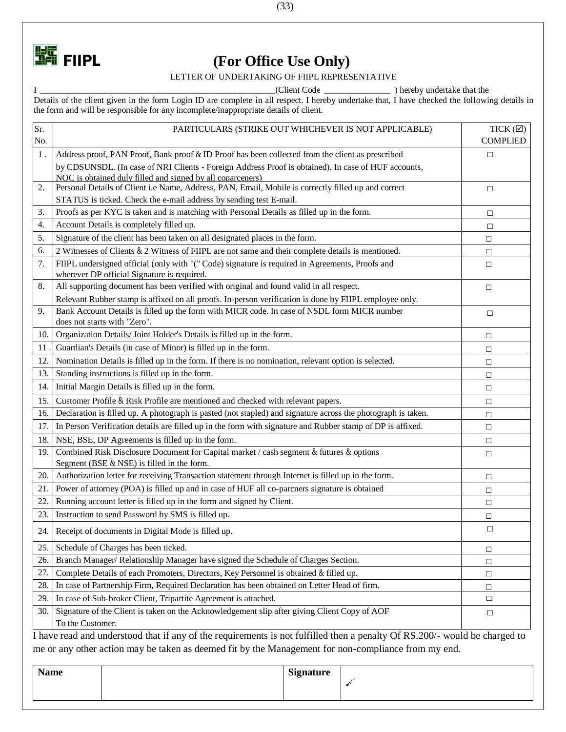

# **FIIPL** (For Office Use Only)

LETTER OF UNDERTAKING OF FIIPL REPRESENTATIVE

I \_\_\_\_\_\_\_\_\_\_\_\_\_\_\_\_\_\_\_\_\_\_\_\_\_\_\_\_\_\_\_\_\_\_\_\_\_\_\_\_\_\_\_\_\_\_\_\_\_\_\_\_\_(Client Code \_\_\_\_\_\_\_\_\_\_\_\_\_\_\_ ) hereby undertake that the Details of the client given in the form Login ID are complete in all respect. I hereby undertake that, I have checked the following details in the form and will be responsible for any incomplete/inappropriate details of client.

| Sr. | PARTICULARS (STRIKE OUT WHICHEVER IS NOT APPLICABLE)                                                                                           | TICK $(\boxtimes)$ |
|-----|------------------------------------------------------------------------------------------------------------------------------------------------|--------------------|
| No. |                                                                                                                                                | <b>COMPLIED</b>    |
| 1.  | Address proof, PAN Proof, Bank proof & ID Proof has been collected from the client as prescribed                                               | $\Box$             |
|     | by CDSUNSDL. (In case of NRI Clients - Foreign Address Proof is obtained). In case of HUF accounts,                                            |                    |
|     | NOC is obtained duly filled and signed by all coparceners)                                                                                     |                    |
| 2.  | Personal Details of Client i.e Name, Address, PAN, Email, Mobile is correctly filled up and correct                                            | $\Box$             |
|     | STATUS is ticked. Check the e-mail address by sending test E-mail.                                                                             |                    |
| 3.  | Proofs as per KYC is taken and is matching with Personal Details as filled up in the form.                                                     | $\Box$             |
| 4.  | Account Details is completely filled up.                                                                                                       | $\Box$             |
| 5.  | Signature of the client has been taken on all designated places in the form.                                                                   | $\Box$             |
| 6.  | 2 Witnesses of Clients & 2 Witness of FIIPL are not same and their complete details is mentioned.                                              | $\Box$             |
| 7.  | FIIPL undersigned official (only with "(" Code) signature is required in Agreements, Proofs and<br>wherever DP official Signature is required. | $\Box$             |
| 8.  | All supporting document has been verified with original and found valid in all respect.                                                        | $\Box$             |
|     | Relevant Rubber stamp is affixed on all proofs. In-person verification is done by FIIPL employee only.                                         |                    |
| 9.  | Bank Account Details is filled up the form with MICR code. In case of NSDL form MICR number<br>does not starts with "Zero".                    | $\Box$             |
| 10. | Organization Details/Joint Holder's Details is filled up in the form.                                                                          | $\Box$             |
| 11  | Guardian's Details (in case of Minor) is filled up in the form.                                                                                | □                  |
| 12. | Nomination Details is filled up in the form. If there is no nomination, relevant option is selected.                                           | □                  |
| 13. | Standing instructions is filled up in the form.                                                                                                | $\Box$             |
| 14. | Initial Margin Details is filled up in the form.                                                                                               | $\Box$             |
| 15. | Customer Profile & Risk Profile are mentioned and checked with relevant papers.                                                                | $\Box$             |
| 16. | Declaration is filled up. A photograph is pasted (not stapled) and signature across the photograph is taken.                                   | $\Box$             |
| 17. | In Person Verification details are filled up in the form with signature and Rubber stamp of DP is affixed.                                     | $\Box$             |
| 18. | NSE, BSE, DP Agreements is filled up in the form.                                                                                              | $\Box$             |
| 19. | Combined Risk Disclosure Document for Capital market / cash segment & futures & options<br>Segment (BSE & NSE) is filled in the form.          | $\Box$             |
| 20. | Authorization letter for receiving Transaction statement through Internet is filled up in the form.                                            | $\Box$             |
| 21. | Power of attorney (POA) is filled up and in case of HUF all co-parcners signature is obtained                                                  | $\Box$             |
| 22. | Running account letter is filled up in the form and signed by Client.                                                                          | $\Box$             |
| 23. | Instruction to send Password by SMS is filled up.                                                                                              | □                  |
|     | 24. Receipt of documents in Digital Mode is filled up.                                                                                         | $\Box$             |
| 25. | Schedule of Charges has been ticked.                                                                                                           | $\Box$             |
| 26. | Branch Manager/Relationship Manager have signed the Schedule of Charges Section.                                                               | $\Box$             |
| 27. | Complete Details of each Promoters, Directors, Key Personnel is obtained & filled up.                                                          | $\Box$             |
| 28. | In case of Partnership Firm, Required Declaration has been obtained on Letter Head of firm.                                                    | $\Box$             |
| 29. | In case of Sub-broker Client, Tripartite Agreement is attached.                                                                                | $\Box$             |
| 30. | Signature of the Client is taken on the Acknowledgement slip after giving Client Copy of AOF<br>To the Customer.                               | □                  |

I have read and understood that if any of the requirements is not fulfilled then a penalty Of RS.200/- would be charged to me or any other action may be taken as deemed fit by the Management for non-compliance from my end.

| <b>Name</b> | <b>Signature</b> |  |
|-------------|------------------|--|
|             |                  |  |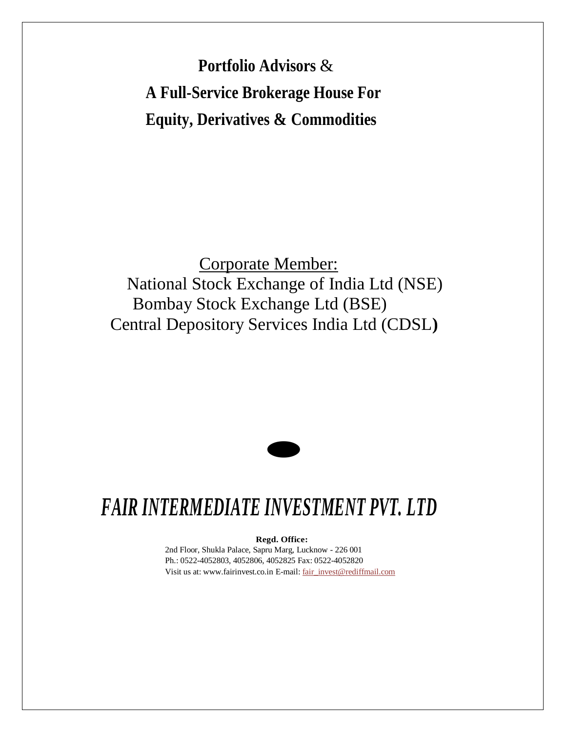**Portfolio Advisors** & **A Full-Service Brokerage House For Equity, Derivatives & Commodities**

Corporate Member: National Stock Exchange of India Ltd (NSE) Bombay Stock Exchange Ltd (BSE) Central Depository Services India Ltd (CDSL**)**



## *FAIR INTERMEDIATE INVESTMENT PVT. LTD*

**Regd. Office:**

2nd Floor, Shukla Palace, Sapru Marg, Lucknow - 226 001 Ph.: 0522-4052803, 4052806, 4052825 Fax: 0522-4052820 Visit us at: [www.fairinvest.co.in](http://www.fairinvest.co.in/) E-mail[: fair\\_invest@rediffmail.com](mailto:fair_invest@rediffmail.com)